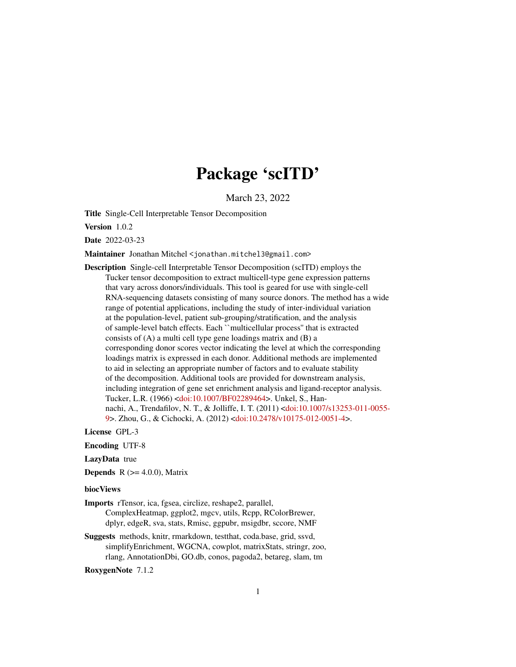# Package 'scITD'

March 23, 2022

Title Single-Cell Interpretable Tensor Decomposition

Version 1.0.2

Date 2022-03-23

Maintainer Jonathan Mitchel <jonathan.mitchel3@gmail.com>

Description Single-cell Interpretable Tensor Decomposition (scITD) employs the Tucker tensor decomposition to extract multicell-type gene expression patterns that vary across donors/individuals. This tool is geared for use with single-cell RNA-sequencing datasets consisting of many source donors. The method has a wide range of potential applications, including the study of inter-individual variation at the population-level, patient sub-grouping/stratification, and the analysis of sample-level batch effects. Each ``multicellular process'' that is extracted consists of (A) a multi cell type gene loadings matrix and (B) a corresponding donor scores vector indicating the level at which the corresponding loadings matrix is expressed in each donor. Additional methods are implemented to aid in selecting an appropriate number of factors and to evaluate stability of the decomposition. Additional tools are provided for downstream analysis, including integration of gene set enrichment analysis and ligand-receptor analysis. Tucker, L.R. (1966) [<doi:10.1007/BF02289464>](https://doi.org/10.1007/BF02289464). Unkel, S., Hannachi, A., Trendafilov, N. T., & Jolliffe, I. T. (2011) [<doi:10.1007/s13253-011-0055-](https://doi.org/10.1007/s13253-011-0055-9) [9>](https://doi.org/10.1007/s13253-011-0055-9). Zhou, G., & Cichocki, A. (2012) [<doi:10.2478/v10175-012-0051-4>](https://doi.org/10.2478/v10175-012-0051-4).

License GPL-3

Encoding UTF-8

LazyData true

**Depends** R  $(>= 4.0.0)$ , Matrix

#### biocViews

- Imports rTensor, ica, fgsea, circlize, reshape2, parallel, ComplexHeatmap, ggplot2, mgcv, utils, Rcpp, RColorBrewer, dplyr, edgeR, sva, stats, Rmisc, ggpubr, msigdbr, sccore, NMF
- Suggests methods, knitr, rmarkdown, testthat, coda.base, grid, ssvd, simplifyEnrichment, WGCNA, cowplot, matrixStats, stringr, zoo, rlang, AnnotationDbi, GO.db, conos, pagoda2, betareg, slam, tm

RoxygenNote 7.1.2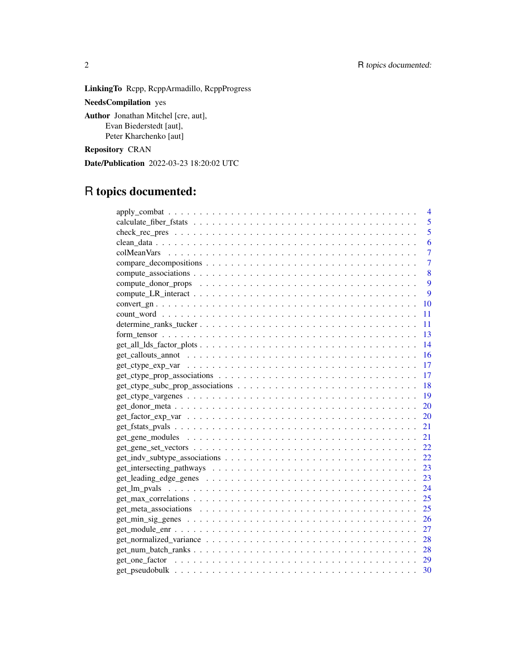LinkingTo Rcpp, RcppArmadillo, RcppProgress

NeedsCompilation yes

Author Jonathan Mitchel [cre, aut], Evan Biederstedt [aut], Peter Kharchenko [aut]

Repository CRAN

Date/Publication 2022-03-23 18:20:02 UTC

# R topics documented:

| 4              |
|----------------|
| 5              |
| 5              |
| 6              |
| $\overline{7}$ |
| $\overline{7}$ |
| 8              |
| 9              |
| $\overline{Q}$ |
| 10             |
| 11             |
| 11             |
| 13             |
| 14             |
| 16             |
|                |
| 17             |
| 18             |
| 19             |
| 20             |
| 20             |
| 21             |
| 21             |
| 22             |
| 22             |
| 23             |
| 23             |
| 24             |
|                |
| 25             |
| 26             |
| 27             |
| 28             |
| 28             |
|                |
| 30             |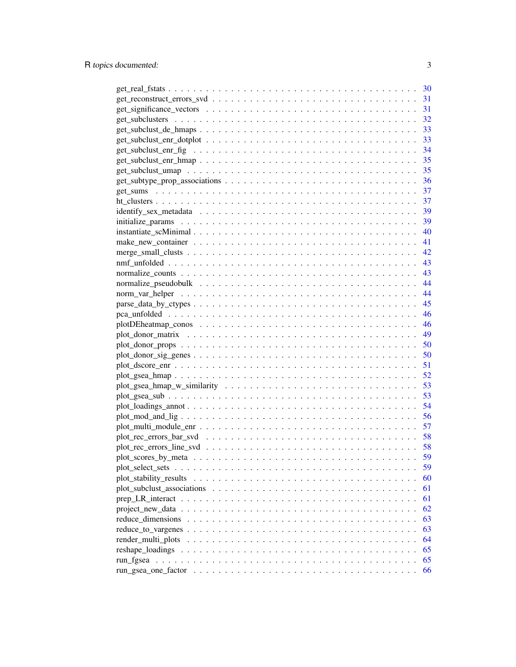|                                                                                                                            | 31 |
|----------------------------------------------------------------------------------------------------------------------------|----|
|                                                                                                                            | 32 |
|                                                                                                                            | 33 |
|                                                                                                                            | 33 |
|                                                                                                                            | 34 |
|                                                                                                                            |    |
|                                                                                                                            |    |
| $get\_subtype\_prop\_associations \ldots \ldots \ldots \ldots \ldots \ldots \ldots \ldots \ldots \ldots 36$                |    |
|                                                                                                                            |    |
|                                                                                                                            |    |
|                                                                                                                            |    |
|                                                                                                                            |    |
|                                                                                                                            |    |
|                                                                                                                            |    |
|                                                                                                                            |    |
|                                                                                                                            |    |
|                                                                                                                            |    |
|                                                                                                                            |    |
|                                                                                                                            | 44 |
|                                                                                                                            | 45 |
|                                                                                                                            | 46 |
|                                                                                                                            | 46 |
|                                                                                                                            | 49 |
|                                                                                                                            |    |
|                                                                                                                            |    |
|                                                                                                                            |    |
|                                                                                                                            |    |
|                                                                                                                            |    |
|                                                                                                                            |    |
|                                                                                                                            | 54 |
|                                                                                                                            | 56 |
|                                                                                                                            | 57 |
|                                                                                                                            |    |
|                                                                                                                            |    |
|                                                                                                                            | 59 |
|                                                                                                                            | 59 |
| plot_stability_results                                                                                                     | 60 |
| plot subclust associations $\ldots \ldots \ldots \ldots \ldots \ldots \ldots \ldots \ldots \ldots \ldots$                  | 61 |
|                                                                                                                            | 61 |
|                                                                                                                            | 62 |
| reduce_dimensions                                                                                                          | 63 |
|                                                                                                                            | 63 |
| render_multi_plots                                                                                                         | 64 |
|                                                                                                                            | 65 |
| run fgsea<br>a constitution de la constitution de la constitution de la constitution de la constitution de la constitution | 65 |
|                                                                                                                            | 66 |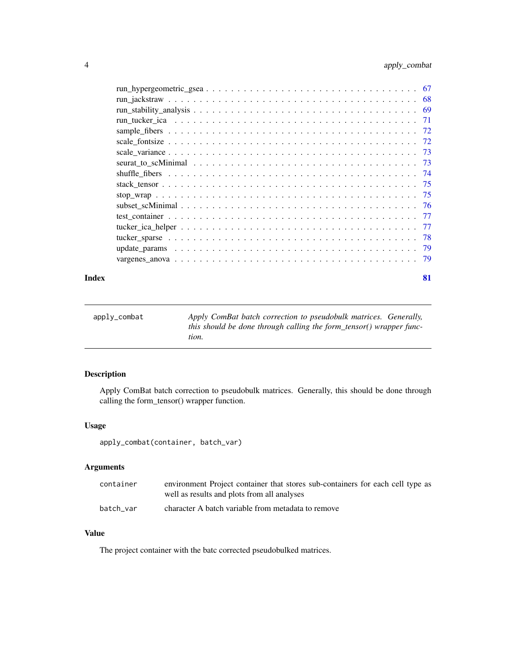<span id="page-3-0"></span>

| 78 |
|----|
|    |
|    |
|    |

#### **Index** [81](#page-80-0)

apply\_combat *Apply ComBat batch correction to pseudobulk matrices. Generally, this should be done through calling the form\_tensor() wrapper function.*

# Description

Apply ComBat batch correction to pseudobulk matrices. Generally, this should be done through calling the form\_tensor() wrapper function.

# Usage

apply\_combat(container, batch\_var)

# Arguments

| container | environment Project container that stores sub-containers for each cell type as |
|-----------|--------------------------------------------------------------------------------|
|           | well as results and plots from all analyses                                    |
| batch var | character A batch variable from metadata to remove                             |

# Value

The project container with the batc corrected pseudobulked matrices.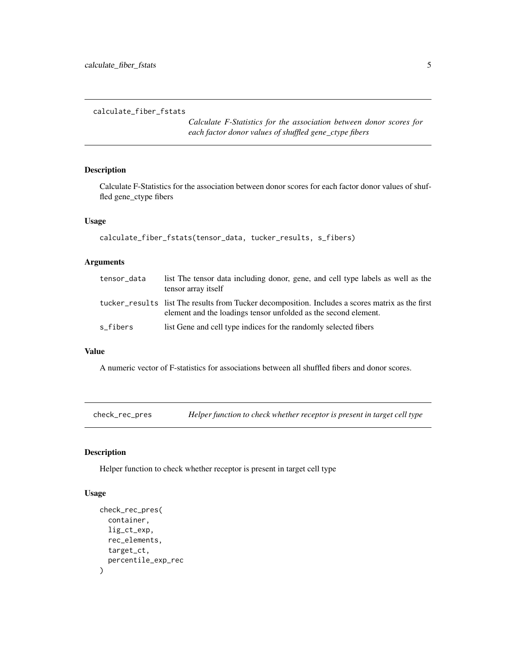<span id="page-4-0"></span>calculate\_fiber\_fstats

*Calculate F-Statistics for the association between donor scores for each factor donor values of shuffled gene\_ctype fibers*

# Description

Calculate F-Statistics for the association between donor scores for each factor donor values of shuffled gene\_ctype fibers

### Usage

```
calculate_fiber_fstats(tensor_data, tucker_results, s_fibers)
```
### Arguments

| tensor_data | list The tensor data including donor, gene, and cell type labels as well as the<br>tensor array itself                                                              |
|-------------|---------------------------------------------------------------------------------------------------------------------------------------------------------------------|
|             | tucker_results list The results from Tucker decomposition. Includes a scores matrix as the first<br>element and the loadings tensor unfolded as the second element. |
| s fibers    | list Gene and cell type indices for the randomly selected fibers                                                                                                    |

### Value

A numeric vector of F-statistics for associations between all shuffled fibers and donor scores.

check\_rec\_pres *Helper function to check whether receptor is present in target cell type*

### Description

Helper function to check whether receptor is present in target cell type

```
check_rec_pres(
  container,
  lig_ct_exp,
  rec_elements,
  target_ct,
  percentile_exp_rec
\mathcal{E}
```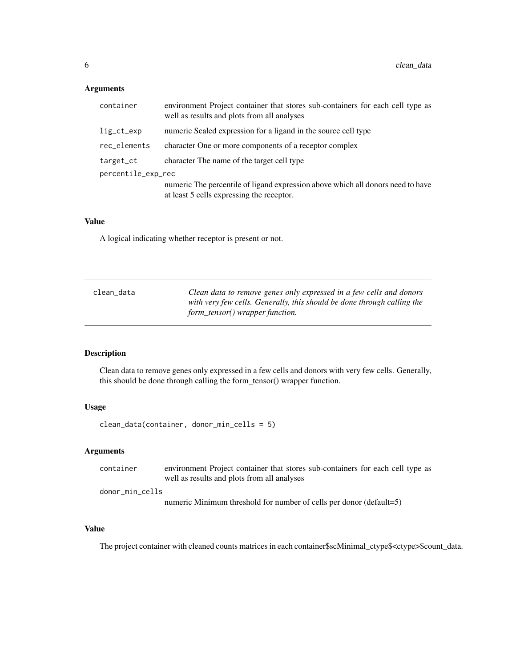<span id="page-5-0"></span>

| container          | environment Project container that stores sub-containers for each cell type as<br>well as results and plots from all analyses |
|--------------------|-------------------------------------------------------------------------------------------------------------------------------|
| lig_ct_exp         | numeric Scaled expression for a ligand in the source cell type                                                                |
| rec_elements       | character One or more components of a receptor complex                                                                        |
| target_ct          | character The name of the target cell type                                                                                    |
| percentile_exp_rec |                                                                                                                               |
|                    | numeric The percentile of ligand expression above which all donors need to have<br>at least 5 cells expressing the receptor.  |

# Value

A logical indicating whether receptor is present or not.

| clean_data | Clean data to remove genes only expressed in a few cells and donors     |
|------------|-------------------------------------------------------------------------|
|            | with very few cells. Generally, this should be done through calling the |
|            | form tensor() wrapper function.                                         |

# Description

Clean data to remove genes only expressed in a few cells and donors with very few cells. Generally, this should be done through calling the form\_tensor() wrapper function.

# Usage

clean\_data(container, donor\_min\_cells = 5)

# Arguments

| container       | environment Project container that stores sub-containers for each cell type as |  |
|-----------------|--------------------------------------------------------------------------------|--|
|                 | well as results and plots from all analyses                                    |  |
| donor min cells |                                                                                |  |
|                 | numeric Minimum threshold for number of cells per donor (default=5)            |  |

### Value

The project container with cleaned counts matrices in each container\$scMinimal\_ctype\$<ctype>\$count\_data.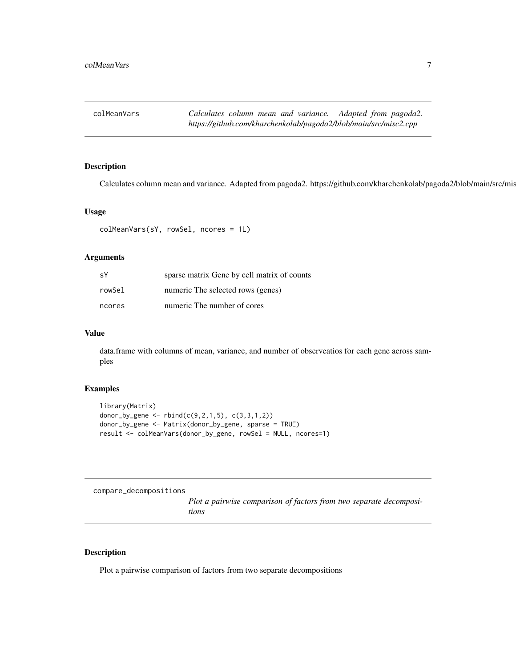<span id="page-6-0"></span>colMeanVars *Calculates column mean and variance. Adapted from pagoda2. https://github.com/kharchenkolab/pagoda2/blob/main/src/misc2.cpp*

# Description

Calculates column mean and variance. Adapted from pagoda2. https://github.com/kharchenkolab/pagoda2/blob/main/src/mis

## Usage

colMeanVars(sY, rowSel, ncores = 1L)

### **Arguments**

| sY     | sparse matrix Gene by cell matrix of counts |
|--------|---------------------------------------------|
| rowSel | numeric The selected rows (genes)           |
| ncores | numeric The number of cores                 |

### Value

data.frame with columns of mean, variance, and number of observeatios for each gene across samples

# Examples

```
library(Matrix)
donor_by_gene <- rbind(c(9, 2, 1, 5), c(3, 3, 1, 2))donor_by_gene <- Matrix(donor_by_gene, sparse = TRUE)
result <- colMeanVars(donor_by_gene, rowSel = NULL, ncores=1)
```
compare\_decompositions

*Plot a pairwise comparison of factors from two separate decompositions*

# Description

Plot a pairwise comparison of factors from two separate decompositions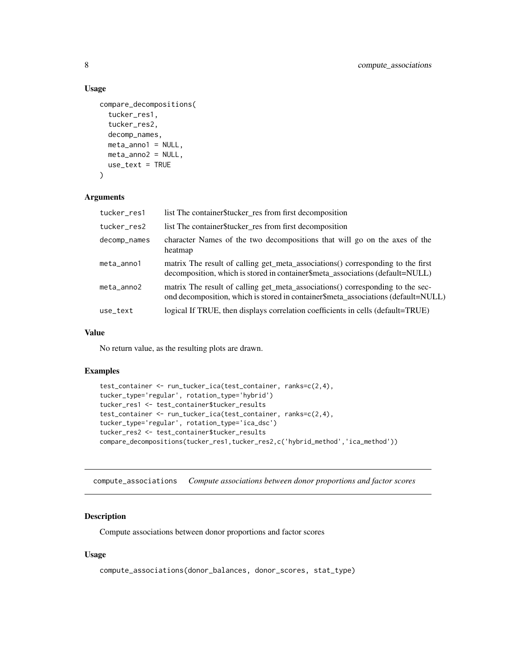#### Usage

```
compare_decompositions(
  tucker_res1,
  tucker_res2,
  decomp_names,
  meta_anno1 = NULL,
 meta_anno2 = NULL,
 use\_text = TRUE)
```
#### Arguments

| tucker_res1  | list The container\$tucker_res from first decomposition                                                                                                             |
|--------------|---------------------------------------------------------------------------------------------------------------------------------------------------------------------|
| tucker_res2  | list The container Stucker res from first decomposition                                                                                                             |
| decomp_names | character Names of the two decompositions that will go on the axes of the<br>heatmap                                                                                |
| meta_anno1   | matrix The result of calling get_meta_associations() corresponding to the first<br>decomposition, which is stored in container\$meta_associations (default=NULL)    |
| meta_anno2   | matrix The result of calling get_meta_associations() corresponding to the sec-<br>ond decomposition, which is stored in container\$meta_associations (default=NULL) |
| use_text     | logical If TRUE, then displays correlation coefficients in cells (default=TRUE)                                                                                     |
|              |                                                                                                                                                                     |

### Value

No return value, as the resulting plots are drawn.

#### Examples

```
test_container <- run_tucker_ica(test_container, ranks=c(2,4),
tucker_type='regular', rotation_type='hybrid')
tucker_res1 <- test_container$tucker_results
test_container <- run_tucker_ica(test_container, ranks=c(2,4),
tucker_type='regular', rotation_type='ica_dsc')
tucker_res2 <- test_container$tucker_results
compare_decompositions(tucker_res1,tucker_res2,c('hybrid_method','ica_method'))
```
compute\_associations *Compute associations between donor proportions and factor scores*

# Description

Compute associations between donor proportions and factor scores

```
compute_associations(donor_balances, donor_scores, stat_type)
```
<span id="page-7-0"></span>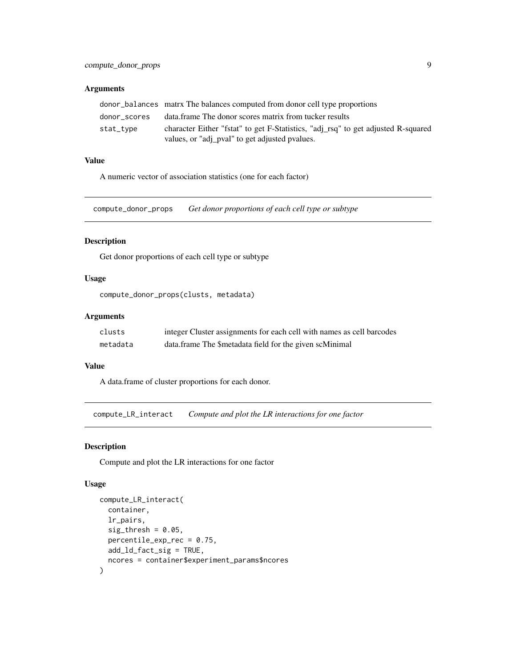<span id="page-8-0"></span>

|              | donor balances matrx The balances computed from donor cell type proportions       |
|--------------|-----------------------------------------------------------------------------------|
| donor scores | data.frame The donor scores matrix from tucker results                            |
| stat_type    | character Either "fstat" to get F-Statistics, "adj_rsq" to get adjusted R-squared |
|              | values, or "adj_pval" to get adjusted pvalues.                                    |

# Value

A numeric vector of association statistics (one for each factor)

compute\_donor\_props *Get donor proportions of each cell type or subtype*

# Description

Get donor proportions of each cell type or subtype

# Usage

```
compute_donor_props(clusts, metadata)
```
### Arguments

| clusts   | integer Cluster assignments for each cell with names as cell barcodes |
|----------|-----------------------------------------------------------------------|
| metadata | data.frame The \$metadata field for the given scMinimal               |

# Value

A data.frame of cluster proportions for each donor.

compute\_LR\_interact *Compute and plot the LR interactions for one factor*

## Description

Compute and plot the LR interactions for one factor

```
compute_LR_interact(
 container,
 lr_pairs,
 sig_thresh = 0.05,
 percentile_exp_rec = 0.75,
 add_ld_fact_sig = TRUE,
 ncores = container$experiment_params$ncores
)
```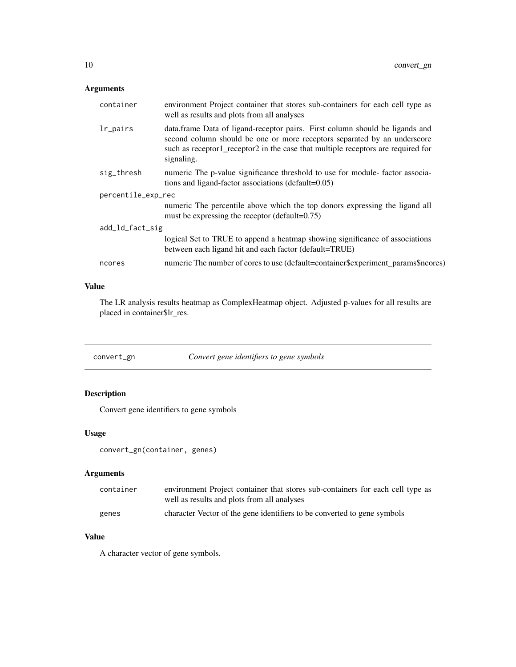<span id="page-9-0"></span>

| container          | environment Project container that stores sub-containers for each cell type as<br>well as results and plots from all analyses                                                                                                                              |  |
|--------------------|------------------------------------------------------------------------------------------------------------------------------------------------------------------------------------------------------------------------------------------------------------|--|
| lr_pairs           | data.frame Data of ligand-receptor pairs. First column should be ligands and<br>second column should be one or more receptors separated by an underscore<br>such as receptor1_receptor2 in the case that multiple receptors are required for<br>signaling. |  |
| sig_thresh         | numeric The p-value significance threshold to use for module-factor associa-<br>tions and ligand-factor associations (default=0.05)                                                                                                                        |  |
| percentile_exp_rec |                                                                                                                                                                                                                                                            |  |
|                    | numeric The percentile above which the top donors expressing the ligand all<br>must be expressing the receptor (default=0.75)                                                                                                                              |  |
| add_ld_fact_sig    |                                                                                                                                                                                                                                                            |  |
|                    | logical Set to TRUE to append a heatmap showing significance of associations<br>between each ligand hit and each factor (default=TRUE)                                                                                                                     |  |
| ncores             | numeric The number of cores to use (default=container\$experiment_params\$ncores)                                                                                                                                                                          |  |
|                    |                                                                                                                                                                                                                                                            |  |

### Value

The LR analysis results heatmap as ComplexHeatmap object. Adjusted p-values for all results are placed in container\$lr\_res.

| convert_gn |  | Convert gene identifiers to gene symbols |
|------------|--|------------------------------------------|
|            |  |                                          |

# Description

Convert gene identifiers to gene symbols

# Usage

```
convert_gn(container, genes)
```
# Arguments

| container | environment Project container that stores sub-containers for each cell type as |
|-----------|--------------------------------------------------------------------------------|
|           | well as results and plots from all analyses                                    |
| genes     | character Vector of the gene identifiers to be converted to gene symbols       |

### Value

A character vector of gene symbols.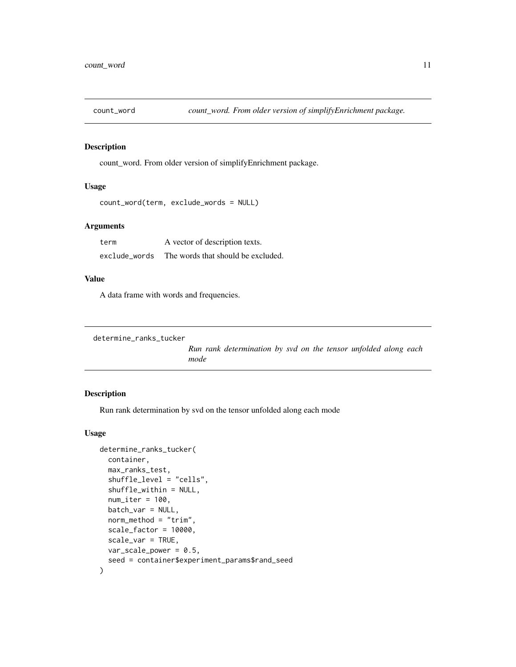<span id="page-10-0"></span>

### Description

count\_word. From older version of simplifyEnrichment package.

# Usage

```
count_word(term, exclude_words = NULL)
```
#### Arguments

| term          | A vector of description texts.     |
|---------------|------------------------------------|
| exclude words | The words that should be excluded. |

### Value

A data frame with words and frequencies.

```
determine_ranks_tucker
```
*Run rank determination by svd on the tensor unfolded along each mode*

# Description

Run rank determination by svd on the tensor unfolded along each mode

```
determine_ranks_tucker(
  container,
 max_ranks_test,
  shuffle_level = "cells",
  shuffle_within = NULL,
  num\_iter = 100,
  batch_var = NULL,
  norm_method = "trim",
  scale_factor = 10000,
  scale_var = TRUE,
  var_scale_power = 0.5,
  seed = container$experiment_params$rand_seed
\mathcal{E}
```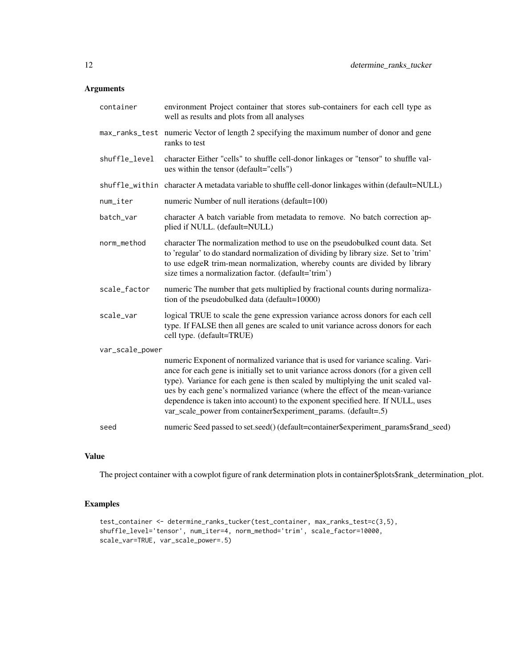| container       | environment Project container that stores sub-containers for each cell type as<br>well as results and plots from all analyses                                                                                                                                                                                                                                                                                                                                                                       |
|-----------------|-----------------------------------------------------------------------------------------------------------------------------------------------------------------------------------------------------------------------------------------------------------------------------------------------------------------------------------------------------------------------------------------------------------------------------------------------------------------------------------------------------|
|                 | max_ranks_test numeric Vector of length 2 specifying the maximum number of donor and gene<br>ranks to test                                                                                                                                                                                                                                                                                                                                                                                          |
| shuffle_level   | character Either "cells" to shuffle cell-donor linkages or "tensor" to shuffle val-<br>ues within the tensor (default="cells")                                                                                                                                                                                                                                                                                                                                                                      |
|                 | shuffle_within character A metadata variable to shuffle cell-donor linkages within (default=NULL)                                                                                                                                                                                                                                                                                                                                                                                                   |
| num_iter        | numeric Number of null iterations (default=100)                                                                                                                                                                                                                                                                                                                                                                                                                                                     |
| batch_var       | character A batch variable from metadata to remove. No batch correction ap-<br>plied if NULL. (default=NULL)                                                                                                                                                                                                                                                                                                                                                                                        |
| norm_method     | character The normalization method to use on the pseudobulked count data. Set<br>to 'regular' to do standard normalization of dividing by library size. Set to 'trim'<br>to use edgeR trim-mean normalization, whereby counts are divided by library<br>size times a normalization factor. (default='trim')                                                                                                                                                                                         |
| scale_factor    | numeric The number that gets multiplied by fractional counts during normaliza-<br>tion of the pseudobulked data (default=10000)                                                                                                                                                                                                                                                                                                                                                                     |
| scale_var       | logical TRUE to scale the gene expression variance across donors for each cell<br>type. If FALSE then all genes are scaled to unit variance across donors for each<br>cell type. (default=TRUE)                                                                                                                                                                                                                                                                                                     |
| var_scale_power |                                                                                                                                                                                                                                                                                                                                                                                                                                                                                                     |
|                 | numeric Exponent of normalized variance that is used for variance scaling. Vari-<br>ance for each gene is initially set to unit variance across donors (for a given cell<br>type). Variance for each gene is then scaled by multiplying the unit scaled val-<br>ues by each gene's normalized variance (where the effect of the mean-variance<br>dependence is taken into account) to the exponent specified here. If NULL, uses<br>var_scale_power from container\$experiment_params. (default=.5) |
| seed            | numeric Seed passed to set.seed() (default=container\$experiment_params\$rand_seed)                                                                                                                                                                                                                                                                                                                                                                                                                 |
|                 |                                                                                                                                                                                                                                                                                                                                                                                                                                                                                                     |

### Value

The project container with a cowplot figure of rank determination plots in container\$plots\$rank\_determination\_plot.

# Examples

```
test_container <- determine_ranks_tucker(test_container, max_ranks_test=c(3,5),
shuffle_level='tensor', num_iter=4, norm_method='trim', scale_factor=10000,
scale_var=TRUE, var_scale_power=.5)
```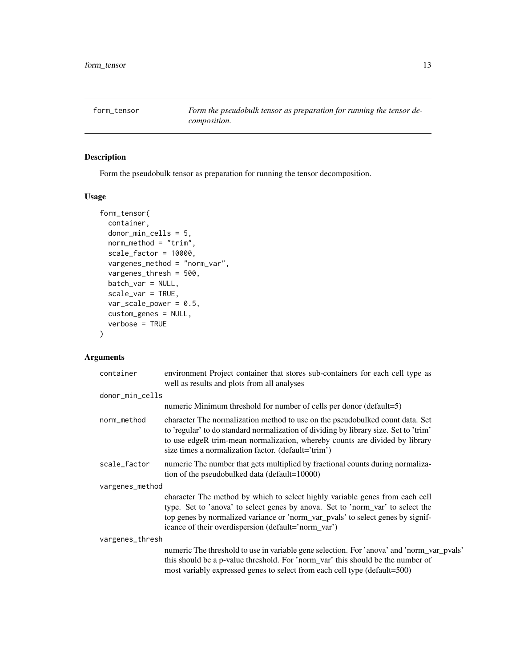<span id="page-12-0"></span>form\_tensor *Form the pseudobulk tensor as preparation for running the tensor decomposition.*

# Description

Form the pseudobulk tensor as preparation for running the tensor decomposition.

# Usage

```
form_tensor(
 container,
  donor_min_cells = 5,
 norm_method = "trim",
  scale_factor = 10000,
  vargenes_method = "norm_var",
  vargenes_thresh = 500,
 batch_var = NULL,
  scale_var = TRUE,
 var\_scale\_power = 0.5,
 custom_genes = NULL,
  verbose = TRUE
)
```

| container       | environment Project container that stores sub-containers for each cell type as<br>well as results and plots from all analyses                                                                                                                                                                               |  |
|-----------------|-------------------------------------------------------------------------------------------------------------------------------------------------------------------------------------------------------------------------------------------------------------------------------------------------------------|--|
| donor_min_cells |                                                                                                                                                                                                                                                                                                             |  |
|                 | numeric Minimum threshold for number of cells per donor (default=5)                                                                                                                                                                                                                                         |  |
| norm_method     | character The normalization method to use on the pseudobulked count data. Set<br>to 'regular' to do standard normalization of dividing by library size. Set to 'trim'<br>to use edgeR trim-mean normalization, whereby counts are divided by library<br>size times a normalization factor. (default='trim') |  |
| scale_factor    | numeric The number that gets multiplied by fractional counts during normaliza-<br>tion of the pseudobulked data (default=10000)                                                                                                                                                                             |  |
| vargenes_method |                                                                                                                                                                                                                                                                                                             |  |
|                 | character The method by which to select highly variable genes from each cell<br>type. Set to 'anova' to select genes by anova. Set to 'norm_var' to select the<br>top genes by normalized variance or 'norm_var_pvals' to select genes by signif-<br>icance of their overdispersion (default='norm_var')    |  |
| vargenes_thresh |                                                                                                                                                                                                                                                                                                             |  |
|                 | numeric The threshold to use in variable gene selection. For 'anova' and 'norm_var_pvals'<br>this should be a p-value threshold. For 'norm_var' this should be the number of<br>most variably expressed genes to select from each cell type (default=500)                                                   |  |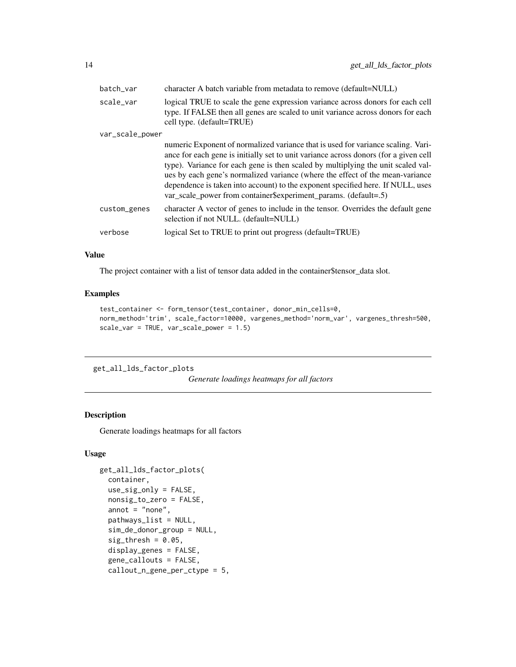<span id="page-13-0"></span>

| batch_var       | character A batch variable from metadata to remove (default=NULL)                                                                                                                                                                                                                                                                                                                                                                                                                                   |
|-----------------|-----------------------------------------------------------------------------------------------------------------------------------------------------------------------------------------------------------------------------------------------------------------------------------------------------------------------------------------------------------------------------------------------------------------------------------------------------------------------------------------------------|
| scale_var       | logical TRUE to scale the gene expression variance across donors for each cell<br>type. If FALSE then all genes are scaled to unit variance across donors for each<br>cell type. (default=TRUE)                                                                                                                                                                                                                                                                                                     |
| var_scale_power |                                                                                                                                                                                                                                                                                                                                                                                                                                                                                                     |
|                 | numeric Exponent of normalized variance that is used for variance scaling. Vari-<br>ance for each gene is initially set to unit variance across donors (for a given cell<br>type). Variance for each gene is then scaled by multiplying the unit scaled val-<br>ues by each gene's normalized variance (where the effect of the mean-variance<br>dependence is taken into account) to the exponent specified here. If NULL, uses<br>var_scale_power from container\$experiment_params. (default=.5) |
| custom_genes    | character A vector of genes to include in the tensor. Overrides the default gene<br>selection if not NULL. (default=NULL)                                                                                                                                                                                                                                                                                                                                                                           |
| verbose         | logical Set to TRUE to print out progress (default=TRUE)                                                                                                                                                                                                                                                                                                                                                                                                                                            |
|                 |                                                                                                                                                                                                                                                                                                                                                                                                                                                                                                     |

# Value

The project container with a list of tensor data added in the container\$tensor\_data slot.

# Examples

```
test_container <- form_tensor(test_container, donor_min_cells=0,
norm_method='trim', scale_factor=10000, vargenes_method='norm_var', vargenes_thresh=500,
scale_var = TRUE, var_scale_power = 1.5)
```
get\_all\_lds\_factor\_plots

*Generate loadings heatmaps for all factors*

# Description

Generate loadings heatmaps for all factors

```
get_all_lds_factor_plots(
  container,
  use_sig_only = FALSE,
  nonsig_to_zero = FALSE,
  annot = "none",pathways_list = NULL,
  sim_de_donor_group = NULL,
  sig_thresh = 0.05,
  display_genes = FALSE,
  gene_callouts = FALSE,
  callout_n_gene_per_ctype = 5,
```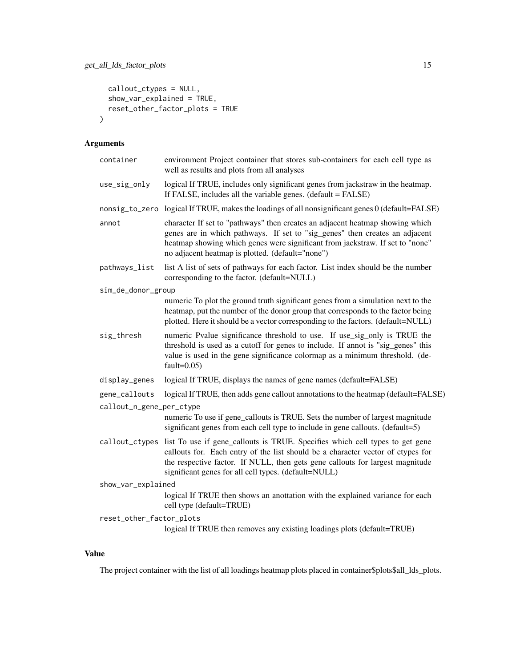```
callout_ctypes = NULL,
  show_var_explained = TRUE,
  reset_other_factor_plots = TRUE
\mathcal{L}
```

| container                | environment Project container that stores sub-containers for each cell type as<br>well as results and plots from all analyses                                                                                                                                                                                           |
|--------------------------|-------------------------------------------------------------------------------------------------------------------------------------------------------------------------------------------------------------------------------------------------------------------------------------------------------------------------|
| use_sig_only             | logical If TRUE, includes only significant genes from jackstraw in the heatmap.<br>If FALSE, includes all the variable genes. (default = FALSE)                                                                                                                                                                         |
| nonsig_to_zero           | logical If TRUE, makes the loadings of all nonsignificant genes 0 (default=FALSE)                                                                                                                                                                                                                                       |
| annot                    | character If set to "pathways" then creates an adjacent heatmap showing which<br>genes are in which pathways. If set to "sig_genes" then creates an adjacent<br>heatmap showing which genes were significant from jackstraw. If set to "none"<br>no adjacent heatmap is plotted. (default="none")                       |
| pathways_list            | list A list of sets of pathways for each factor. List index should be the number<br>corresponding to the factor. (default=NULL)                                                                                                                                                                                         |
| sim_de_donor_group       |                                                                                                                                                                                                                                                                                                                         |
|                          | numeric To plot the ground truth significant genes from a simulation next to the<br>heatmap, put the number of the donor group that corresponds to the factor being<br>plotted. Here it should be a vector corresponding to the factors. (default=NULL)                                                                 |
| sig_thresh               | numeric Pvalue significance threshold to use. If use_sig_only is TRUE the<br>threshold is used as a cutoff for genes to include. If annot is "sig_genes" this<br>value is used in the gene significance colormap as a minimum threshold. (de-<br>fault= $0.05$ )                                                        |
| display_genes            | logical If TRUE, displays the names of gene names (default=FALSE)                                                                                                                                                                                                                                                       |
| gene_callouts            | logical If TRUE, then adds gene callout annotations to the heatmap (default=FALSE)                                                                                                                                                                                                                                      |
| callout_n_gene_per_ctype |                                                                                                                                                                                                                                                                                                                         |
|                          | numeric To use if gene_callouts is TRUE. Sets the number of largest magnitude<br>significant genes from each cell type to include in gene callouts. (default=5)                                                                                                                                                         |
|                          | callout_ctypes list To use if gene_callouts is TRUE. Specifies which cell types to get gene<br>callouts for. Each entry of the list should be a character vector of ctypes for<br>the respective factor. If NULL, then gets gene callouts for largest magnitude<br>significant genes for all cell types. (default=NULL) |
| show_var_explained       |                                                                                                                                                                                                                                                                                                                         |
|                          | logical If TRUE then shows an anottation with the explained variance for each<br>cell type (default=TRUE)                                                                                                                                                                                                               |
| reset_other_factor_plots |                                                                                                                                                                                                                                                                                                                         |
|                          | logical If TRUE then removes any existing loadings plots (default=TRUE)                                                                                                                                                                                                                                                 |

### Value

The project container with the list of all loadings heatmap plots placed in container\$plots\$all\_lds\_plots.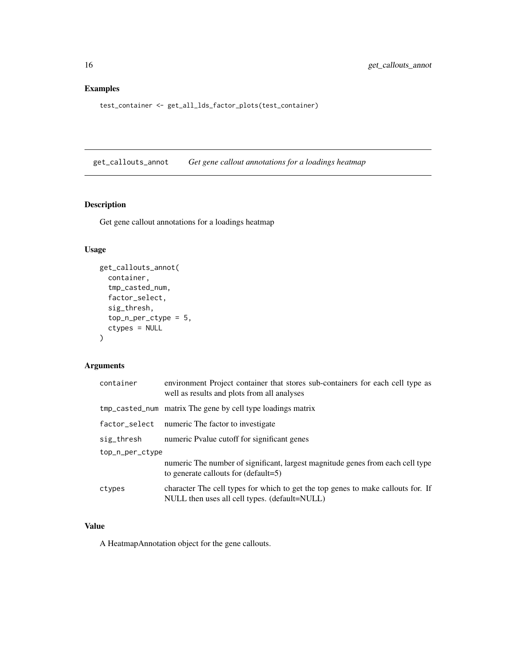# Examples

test\_container <- get\_all\_lds\_factor\_plots(test\_container)

get\_callouts\_annot *Get gene callout annotations for a loadings heatmap*

# Description

Get gene callout annotations for a loadings heatmap

# Usage

```
get_callouts_annot(
  container,
  tmp_casted_num,
  factor_select,
  sig_thresh,
  top_n_per_ctype = 5,
 ctypes = NULL
)
```
# Arguments

| environment Project container that stores sub-containers for each cell type as<br>well as results and plots from all analyses     |  |  |
|-----------------------------------------------------------------------------------------------------------------------------------|--|--|
| tmp_casted_num matrix The gene by cell type loadings matrix                                                                       |  |  |
| numeric The factor to investigate                                                                                                 |  |  |
| numeric Pvalue cutoff for significant genes                                                                                       |  |  |
| top_n_per_ctype                                                                                                                   |  |  |
| numeric The number of significant, largest magnitude genes from each cell type<br>to generate callouts for $(default=5)$          |  |  |
| character The cell types for which to get the top genes to make callouts for. If<br>NULL then uses all cell types. (default=NULL) |  |  |
|                                                                                                                                   |  |  |

### Value

A HeatmapAnnotation object for the gene callouts.

<span id="page-15-0"></span>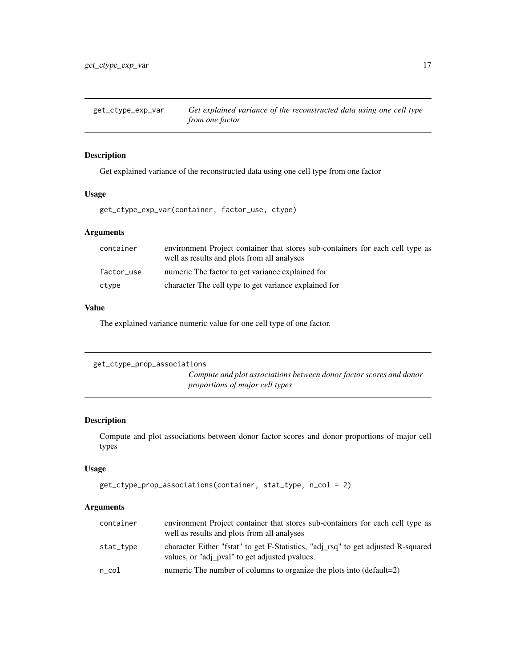<span id="page-16-0"></span>

# Description

Get explained variance of the reconstructed data using one cell type from one factor

### Usage

get\_ctype\_exp\_var(container, factor\_use, ctype)

# Arguments

| container  | environment Project container that stores sub-containers for each cell type as<br>well as results and plots from all analyses |
|------------|-------------------------------------------------------------------------------------------------------------------------------|
| factor_use | numeric The factor to get variance explained for                                                                              |
| ctype      | character The cell type to get variance explained for                                                                         |

# Value

The explained variance numeric value for one cell type of one factor.

```
get_ctype_prop_associations
```
*Compute and plot associations between donor factor scores and donor proportions of major cell types*

### Description

Compute and plot associations between donor factor scores and donor proportions of major cell types

# Usage

```
get_ctype_prop_associations(container, stat_type, n_col = 2)
```

| container  | environment Project container that stores sub-containers for each cell type as<br>well as results and plots from all analyses       |
|------------|-------------------------------------------------------------------------------------------------------------------------------------|
| stat_type  | character Either "fstat" to get F-Statistics, "adj_rsq" to get adjusted R-squared<br>values, or "adj_pval" to get adjusted pvalues. |
| $n\_{col}$ | numeric The number of columns to organize the plots into (default=2)                                                                |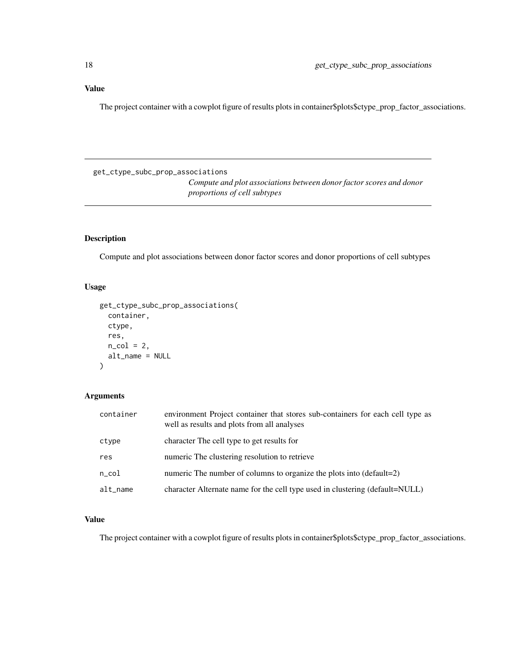# <span id="page-17-0"></span>Value

The project container with a cowplot figure of results plots in container\$plots\$ctype\_prop\_factor\_associations.

get\_ctype\_subc\_prop\_associations

*Compute and plot associations between donor factor scores and donor proportions of cell subtypes*

# Description

Compute and plot associations between donor factor scores and donor proportions of cell subtypes

# Usage

```
get_ctype_subc_prop_associations(
  container,
  ctype,
  res,
  n_{col} = 2,
  alt_name = NULL
\mathcal{L}
```
# Arguments

| container  | environment Project container that stores sub-containers for each cell type as<br>well as results and plots from all analyses |
|------------|-------------------------------------------------------------------------------------------------------------------------------|
| ctype      | character The cell type to get results for                                                                                    |
| res        | numeric The clustering resolution to retrieve                                                                                 |
| n col      | numeric The number of columns to organize the plots into (default=2)                                                          |
| $alt_name$ | character Alternate name for the cell type used in clustering (default=NULL)                                                  |

# Value

The project container with a cowplot figure of results plots in container\$plots\$ctype\_prop\_factor\_associations.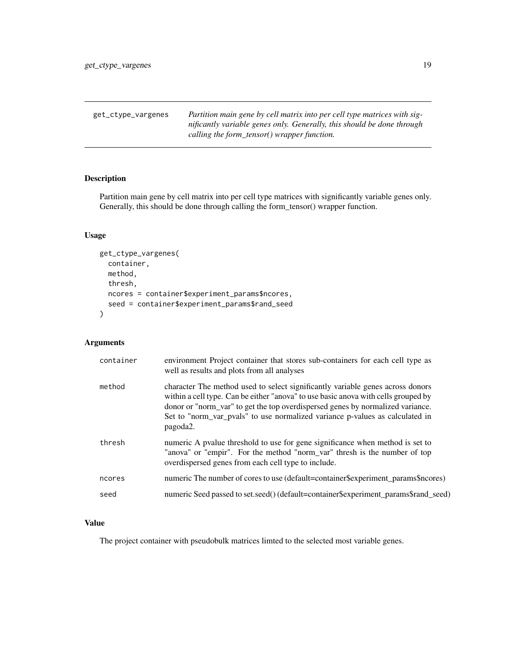<span id="page-18-0"></span>get\_ctype\_vargenes *Partition main gene by cell matrix into per cell type matrices with significantly variable genes only. Generally, this should be done through calling the form\_tensor() wrapper function.*

# Description

Partition main gene by cell matrix into per cell type matrices with significantly variable genes only. Generally, this should be done through calling the form\_tensor() wrapper function.

### Usage

```
get_ctype_vargenes(
  container,
 method,
  thresh,
  ncores = container$experiment_params$ncores,
  seed = container$experiment_params$rand_seed
)
```
# Arguments

| container | environment Project container that stores sub-containers for each cell type as<br>well as results and plots from all analyses                                                                                                                                                                                                                      |
|-----------|----------------------------------------------------------------------------------------------------------------------------------------------------------------------------------------------------------------------------------------------------------------------------------------------------------------------------------------------------|
| method    | character The method used to select significantly variable genes across donors<br>within a cell type. Can be either "anova" to use basic anova with cells grouped by<br>donor or "norm_var" to get the top overdispersed genes by normalized variance.<br>Set to "norm_var_pvals" to use normalized variance p-values as calculated in<br>pagoda2. |
| thresh    | numeric A pvalue threshold to use for gene significance when method is set to<br>"anova" or "empir". For the method "norm_var" thresh is the number of top<br>overdispersed genes from each cell type to include.                                                                                                                                  |
| ncores    | numeric The number of cores to use (default=container\$experiment_params\$ncores)                                                                                                                                                                                                                                                                  |
| seed      | numeric Seed passed to set.seed() (default=container\$experiment_params\$rand_seed)                                                                                                                                                                                                                                                                |

### Value

The project container with pseudobulk matrices limted to the selected most variable genes.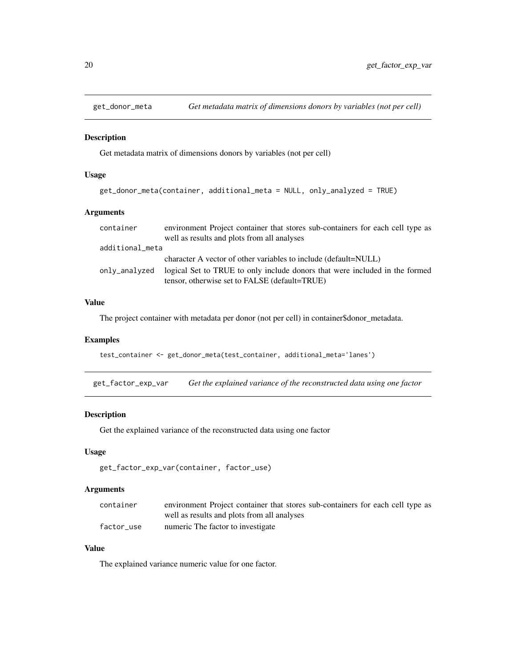<span id="page-19-0"></span>

#### Description

Get metadata matrix of dimensions donors by variables (not per cell)

#### Usage

```
get_donor_meta(container, additional_meta = NULL, only_analyzed = TRUE)
```
# Arguments

| container       | environment Project container that stores sub-containers for each cell type as                                               |
|-----------------|------------------------------------------------------------------------------------------------------------------------------|
|                 | well as results and plots from all analyses                                                                                  |
| additional_meta |                                                                                                                              |
|                 | character A vector of other variables to include (default=NULL)                                                              |
| only_analyzed   | logical Set to TRUE to only include donors that were included in the formed<br>tensor, otherwise set to FALSE (default=TRUE) |
|                 |                                                                                                                              |

### Value

The project container with metadata per donor (not per cell) in container\$donor\_metadata.

#### Examples

test\_container <- get\_donor\_meta(test\_container, additional\_meta='lanes')

get\_factor\_exp\_var *Get the explained variance of the reconstructed data using one factor*

### Description

Get the explained variance of the reconstructed data using one factor

# Usage

```
get_factor_exp_var(container, factor_use)
```
### Arguments

| container  | environment Project container that stores sub-containers for each cell type as |
|------------|--------------------------------------------------------------------------------|
|            | well as results and plots from all analyses                                    |
| factor use | numeric The factor to investigate                                              |

# Value

The explained variance numeric value for one factor.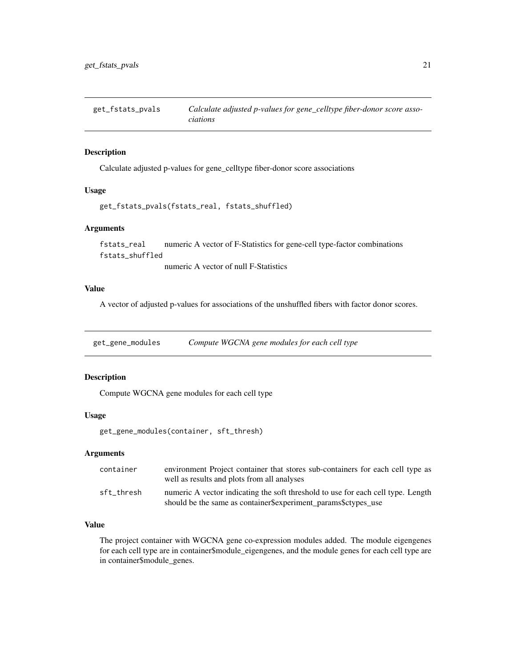<span id="page-20-0"></span>

# Description

Calculate adjusted p-values for gene\_celltype fiber-donor score associations

#### Usage

```
get_fstats_pvals(fstats_real, fstats_shuffled)
```
#### Arguments

fstats\_real numeric A vector of F-Statistics for gene-cell type-factor combinations fstats\_shuffled

numeric A vector of null F-Statistics

### Value

A vector of adjusted p-values for associations of the unshuffled fibers with factor donor scores.

get\_gene\_modules *Compute WGCNA gene modules for each cell type*

#### Description

Compute WGCNA gene modules for each cell type

### Usage

get\_gene\_modules(container, sft\_thresh)

### Arguments

| container  | environment Project container that stores sub-containers for each cell type as<br>well as results and plots from all analyses                      |
|------------|----------------------------------------------------------------------------------------------------------------------------------------------------|
| sft thresh | numeric A vector indicating the soft threshold to use for each cell type. Length<br>should be the same as container\$experiment_params\$ctypes_use |

#### Value

The project container with WGCNA gene co-expression modules added. The module eigengenes for each cell type are in container\$module\_eigengenes, and the module genes for each cell type are in container\$module\_genes.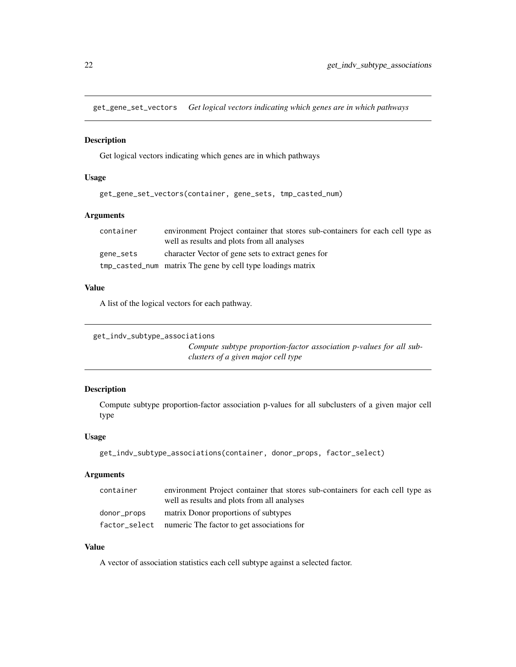<span id="page-21-0"></span>get\_gene\_set\_vectors *Get logical vectors indicating which genes are in which pathways*

### Description

Get logical vectors indicating which genes are in which pathways

#### Usage

get\_gene\_set\_vectors(container, gene\_sets, tmp\_casted\_num)

#### Arguments

| container | environment Project container that stores sub-containers for each cell type as |
|-----------|--------------------------------------------------------------------------------|
|           | well as results and plots from all analyses                                    |
| gene_sets | character Vector of gene sets to extract genes for                             |
|           | tmp_casted_num matrix The gene by cell type loadings matrix                    |

# Value

A list of the logical vectors for each pathway.

```
get_indv_subtype_associations
```
*Compute subtype proportion-factor association p-values for all subclusters of a given major cell type*

# Description

Compute subtype proportion-factor association p-values for all subclusters of a given major cell type

#### Usage

```
get_indv_subtype_associations(container, donor_props, factor_select)
```
#### Arguments

| container   | environment Project container that stores sub-containers for each cell type as |
|-------------|--------------------------------------------------------------------------------|
|             | well as results and plots from all analyses                                    |
| donor_props | matrix Donor proportions of subtypes                                           |
|             | factor_select numeric The factor to get associations for                       |

# Value

A vector of association statistics each cell subtype against a selected factor.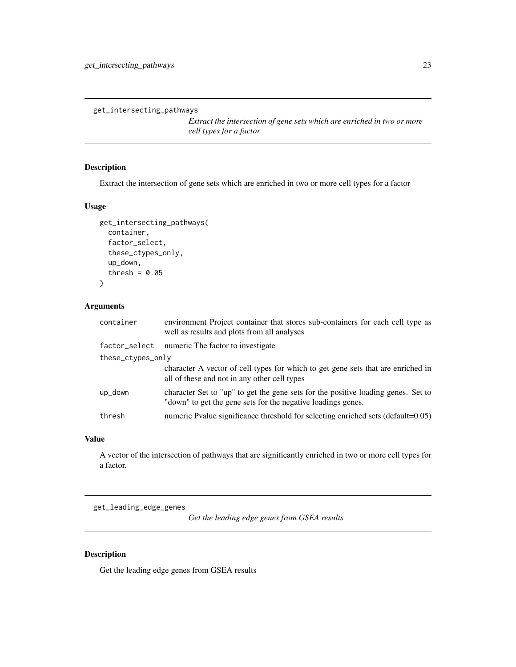```
get_intersecting_pathways
```
*Extract the intersection of gene sets which are enriched in two or more cell types for a factor*

# Description

Extract the intersection of gene sets which are enriched in two or more cell types for a factor

# Usage

```
get_intersecting_pathways(
  container,
  factor_select,
  these_ctypes_only,
  up_down,
  thresh = 0.05\mathcal{L}
```
# Arguments

| container         | environment Project container that stores sub-containers for each cell type as<br>well as results and plots from all analyses                     |  |
|-------------------|---------------------------------------------------------------------------------------------------------------------------------------------------|--|
| factor_select     | numeric The factor to investigate                                                                                                                 |  |
| these_ctypes_only |                                                                                                                                                   |  |
|                   | character A vector of cell types for which to get gene sets that are enriched in<br>all of these and not in any other cell types                  |  |
| up_down           | character Set to "up" to get the gene sets for the positive loading genes. Set to<br>"down" to get the gene sets for the negative loadings genes. |  |
| thresh            | numeric Pvalue significance threshold for selecting enriched sets (default=0.05)                                                                  |  |
|                   |                                                                                                                                                   |  |

# Value

A vector of the intersection of pathways that are significantly enriched in two or more cell types for a factor.

get\_leading\_edge\_genes

*Get the leading edge genes from GSEA results*

# Description

Get the leading edge genes from GSEA results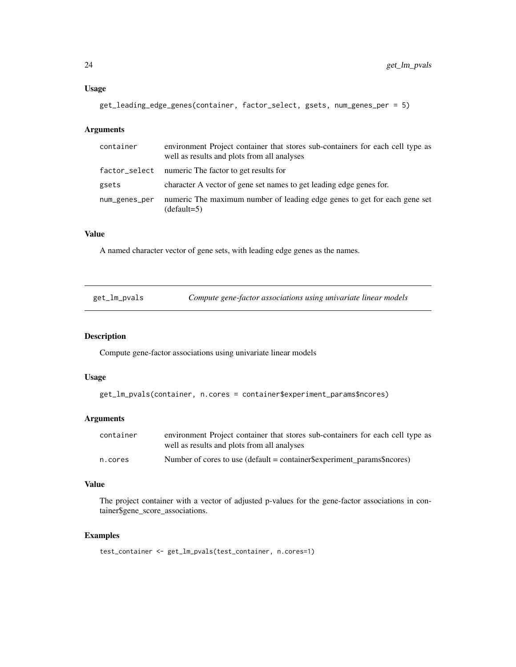# <span id="page-23-0"></span>Usage

```
get_leading_edge_genes(container, factor_select, gsets, num_genes_per = 5)
```
# Arguments

| container     | environment Project container that stores sub-containers for each cell type as<br>well as results and plots from all analyses |
|---------------|-------------------------------------------------------------------------------------------------------------------------------|
|               | factor_select numeric The factor to get results for                                                                           |
| gsets         | character A vector of gene set names to get leading edge genes for.                                                           |
| num_genes_per | numeric The maximum number of leading edge genes to get for each gene set<br>(default=5)                                      |

### Value

A named character vector of gene sets, with leading edge genes as the names.

| get_lm_pvals | Compute gene-factor associations using univariate linear models |
|--------------|-----------------------------------------------------------------|
|--------------|-----------------------------------------------------------------|

# Description

Compute gene-factor associations using univariate linear models

# Usage

```
get_lm_pvals(container, n.cores = container$experiment_params$ncores)
```
# Arguments

| container | environment Project container that stores sub-containers for each cell type as<br>well as results and plots from all analyses |
|-----------|-------------------------------------------------------------------------------------------------------------------------------|
| n.cores   | Number of cores to use ( $default = container$ ) sexperiment params\, norms\$ncores ( $ $                                     |

# Value

The project container with a vector of adjusted p-values for the gene-factor associations in container\$gene\_score\_associations.

#### Examples

test\_container <- get\_lm\_pvals(test\_container, n.cores=1)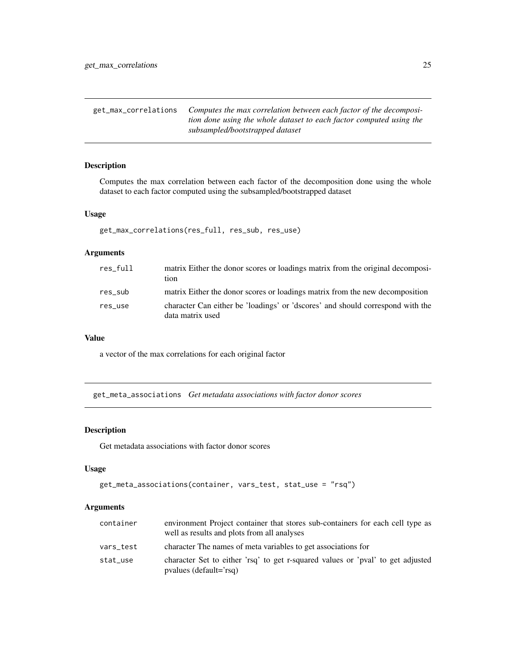<span id="page-24-0"></span>

| get_max_correlations <i>Computes the max correlation between each factor of the decomposi-</i> |
|------------------------------------------------------------------------------------------------|
| tion done using the whole dataset to each factor computed using the                            |
| subsampled/bootstrapped dataset                                                                |

# Description

Computes the max correlation between each factor of the decomposition done using the whole dataset to each factor computed using the subsampled/bootstrapped dataset

### Usage

```
get_max_correlations(res_full, res_sub, res_use)
```
# Arguments

| res_full | matrix Either the donor scores or loadings matrix from the original decomposi-<br>tion             |
|----------|----------------------------------------------------------------------------------------------------|
| res_sub  | matrix Either the donor scores or loadings matrix from the new decomposition                       |
| res_use  | character Can either be 'loadings' or 'dscores' and should correspond with the<br>data matrix used |

### Value

a vector of the max correlations for each original factor

get\_meta\_associations *Get metadata associations with factor donor scores*

# Description

Get metadata associations with factor donor scores

# Usage

```
get_meta_associations(container, vars_test, stat_use = "rsq")
```

| container | environment Project container that stores sub-containers for each cell type as<br>well as results and plots from all analyses |
|-----------|-------------------------------------------------------------------------------------------------------------------------------|
| vars_test | character The names of meta variables to get associations for                                                                 |
| stat_use  | character Set to either 'rsq' to get r-squared values or 'pval' to get adjusted<br>pvalues (default='rsq)                     |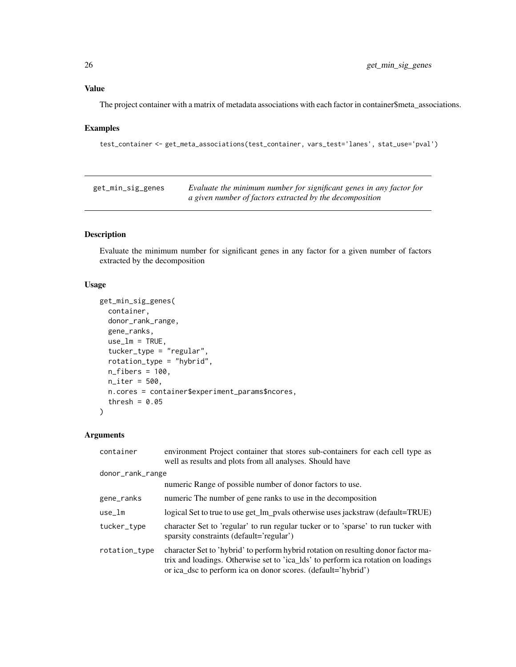### Value

The project container with a matrix of metadata associations with each factor in container\$meta\_associations.

### Examples

test\_container <- get\_meta\_associations(test\_container, vars\_test='lanes', stat\_use='pval')

| get_min_sig_genes | Evaluate the minimum number for significant genes in any factor for |
|-------------------|---------------------------------------------------------------------|
|                   | a given number of factors extracted by the decomposition            |

# Description

Evaluate the minimum number for significant genes in any factor for a given number of factors extracted by the decomposition

### Usage

```
get_min_sig_genes(
  container,
  donor_rank_range,
  gene_ranks,
 use_l = TRUE,tucker_type = "regular",
  rotation_type = "hybrid",
 n_fibers = 100,n_iter = 500,
 n.cores = container$experiment_params$ncores,
  thresh = 0.05\mathcal{L}
```

| container        | environment Project container that stores sub-containers for each cell type as<br>well as results and plots from all analyses. Should have                                                                                               |
|------------------|------------------------------------------------------------------------------------------------------------------------------------------------------------------------------------------------------------------------------------------|
| donor_rank_range |                                                                                                                                                                                                                                          |
|                  | numeric Range of possible number of donor factors to use.                                                                                                                                                                                |
| gene_ranks       | numeric The number of gene ranks to use in the decomposition                                                                                                                                                                             |
| $use_l$          | logical Set to true to use get_lm_pvals otherwise uses jackstraw (default=TRUE)                                                                                                                                                          |
| tucker_type      | character Set to 'regular' to run regular tucker or to 'sparse' to run tucker with<br>sparsity constraints (default='regular')                                                                                                           |
| rotation_type    | character Set to 'hybrid' to perform hybrid rotation on resulting donor factor ma-<br>trix and loadings. Otherwise set to 'ica_lds' to perform ica rotation on loadings<br>or ica_dsc to perform ica on donor scores. (default='hybrid') |

<span id="page-25-0"></span>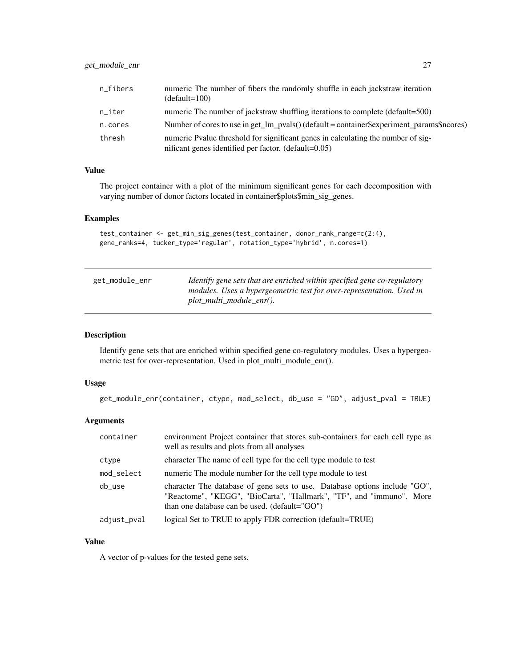<span id="page-26-0"></span>

| n_fibers | numeric The number of fibers the randomly shuffle in each jackstraw iteration<br>(default=100)                                           |
|----------|------------------------------------------------------------------------------------------------------------------------------------------|
| n_iter   | numeric The number of jackstraw shuffling iterations to complete (default=500)                                                           |
| n.cores  | Number of cores to use in get_lm_pvals() (default = container\$experiment_params\$ncores)                                                |
| thresh   | numeric Pvalue threshold for significant genes in calculating the number of sig-<br>nificant genes identified per factor. (default=0.05) |

# Value

The project container with a plot of the minimum significant genes for each decomposition with varying number of donor factors located in container\$plots\$min\_sig\_genes.

### Examples

```
test_container <- get_min_sig_genes(test_container, donor_rank_range=c(2:4),
gene_ranks=4, tucker_type='regular', rotation_type='hybrid', n.cores=1)
```

| get_module_enr | Identify gene sets that are enriched within specified gene co-regulatory |
|----------------|--------------------------------------------------------------------------|
|                | modules. Uses a hypergeometric test for over-representation. Used in     |
|                | plot multi module enr().                                                 |

### Description

Identify gene sets that are enriched within specified gene co-regulatory modules. Uses a hypergeometric test for over-representation. Used in plot\_multi\_module\_enr().

#### Usage

```
get_module_enr(container, ctype, mod_select, db_use = "GO", adjust_pval = TRUE)
```
# Arguments

| container   | environment Project container that stores sub-containers for each cell type as<br>well as results and plots from all analyses                                                                       |
|-------------|-----------------------------------------------------------------------------------------------------------------------------------------------------------------------------------------------------|
| ctype       | character The name of cell type for the cell type module to test                                                                                                                                    |
| mod_select  | numeric The module number for the cell type module to test                                                                                                                                          |
| db_use      | character The database of gene sets to use. Database options include "GO",<br>"Reactome", "KEGG", "BioCarta", "Hallmark", "TF", and "immuno". More<br>than one database can be used. (default="GO") |
| adjust_pval | logical Set to TRUE to apply FDR correction (default=TRUE)                                                                                                                                          |

# Value

A vector of p-values for the tested gene sets.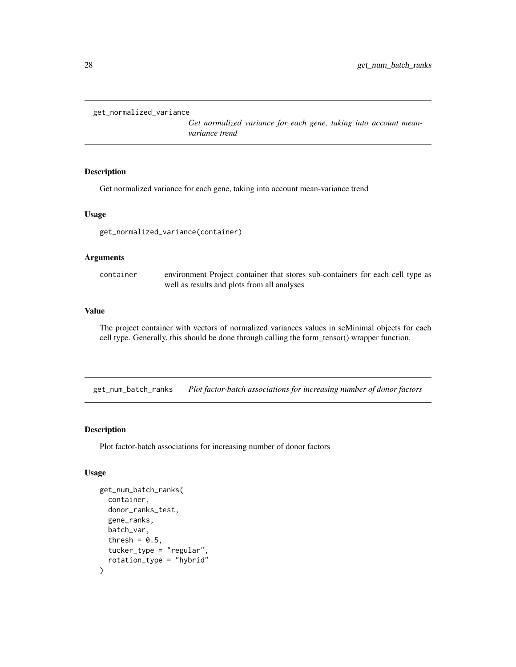```
get_normalized_variance
```
*Get normalized variance for each gene, taking into account meanvariance trend*

### Description

Get normalized variance for each gene, taking into account mean-variance trend

#### Usage

get\_normalized\_variance(container)

#### Arguments

| container | environment Project container that stores sub-containers for each cell type as |
|-----------|--------------------------------------------------------------------------------|
|           | well as results and plots from all analyses                                    |

# Value

The project container with vectors of normalized variances values in scMinimal objects for each cell type. Generally, this should be done through calling the form\_tensor() wrapper function.

get\_num\_batch\_ranks *Plot factor-batch associations for increasing number of donor factors*

# Description

Plot factor-batch associations for increasing number of donor factors

```
get_num_batch_ranks(
  container,
  donor_ranks_test,
  gene_ranks,
 batch_var,
  thresh = 0.5,
  tucker_type = "regular",
  rotation_type = "hybrid"
)
```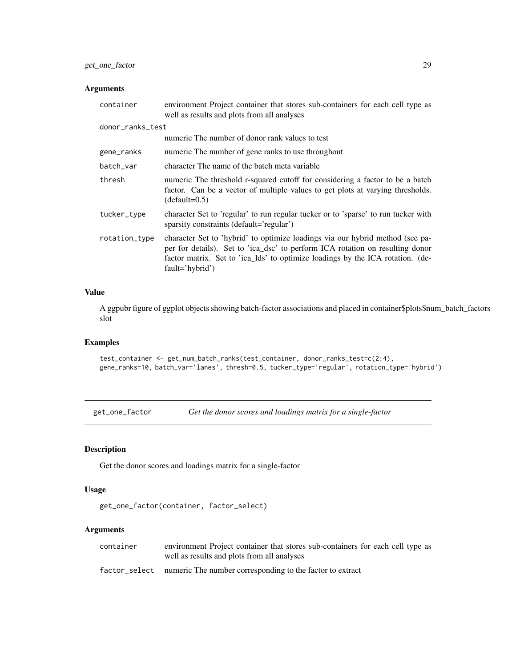# <span id="page-28-0"></span>get\_one\_factor 29

### Arguments

| container        | environment Project container that stores sub-containers for each cell type as<br>well as results and plots from all analyses                                                                                                                                       |
|------------------|---------------------------------------------------------------------------------------------------------------------------------------------------------------------------------------------------------------------------------------------------------------------|
| donor_ranks_test |                                                                                                                                                                                                                                                                     |
|                  | numeric The number of donor rank values to test                                                                                                                                                                                                                     |
| gene_ranks       | numeric The number of gene ranks to use throughout                                                                                                                                                                                                                  |
| batch_var        | character The name of the batch meta variable                                                                                                                                                                                                                       |
| thresh           | numeric The threshold r-squared cutoff for considering a factor to be a batch<br>factor. Can be a vector of multiple values to get plots at varying thresholds.<br>$(detault=0.5)$                                                                                  |
| tucker_type      | character Set to 'regular' to run regular tucker or to 'sparse' to run tucker with<br>sparsity constraints (default='regular')                                                                                                                                      |
| rotation_type    | character Set to 'hybrid' to optimize loadings via our hybrid method (see pa-<br>per for details). Set to 'ica_dsc' to perform ICA rotation on resulting donor<br>factor matrix. Set to 'ica_lds' to optimize loadings by the ICA rotation. (de-<br>fault='hybrid') |

# Value

A ggpubr figure of ggplot objects showing batch-factor associations and placed in container\$plots\$num\_batch\_factors slot

# Examples

```
test_container <- get_num_batch_ranks(test_container, donor_ranks_test=c(2:4),
gene_ranks=10, batch_var='lanes', thresh=0.5, tucker_type='regular', rotation_type='hybrid')
```
get\_one\_factor *Get the donor scores and loadings matrix for a single-factor*

# Description

Get the donor scores and loadings matrix for a single-factor

# Usage

```
get_one_factor(container, factor_select)
```

| container | environment Project container that stores sub-containers for each cell type as |
|-----------|--------------------------------------------------------------------------------|
|           | well as results and plots from all analyses                                    |
|           | factor_select numeric The number corresponding to the factor to extract        |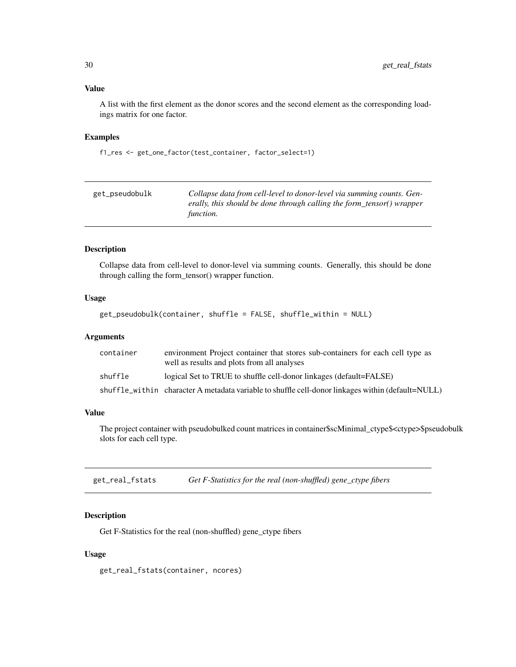### <span id="page-29-0"></span>Value

A list with the first element as the donor scores and the second element as the corresponding loadings matrix for one factor.

#### Examples

```
f1_res <- get_one_factor(test_container, factor_select=1)
```

| get_pseudobulk | Collapse data from cell-level to donor-level via summing counts. Gen- |
|----------------|-----------------------------------------------------------------------|
|                | erally, this should be done through calling the form_tensor() wrapper |
|                | <i>function.</i>                                                      |

# Description

Collapse data from cell-level to donor-level via summing counts. Generally, this should be done through calling the form\_tensor() wrapper function.

### Usage

```
get_pseudobulk(container, shuffle = FALSE, shuffle_within = NULL)
```
### Arguments

| container | environment Project container that stores sub-containers for each cell type as<br>well as results and plots from all analyses |
|-----------|-------------------------------------------------------------------------------------------------------------------------------|
| shuffle   | logical Set to TRUE to shuffle cell-donor linkages (default=FALSE)                                                            |
|           | shuffle_within character A metadata variable to shuffle cell-donor linkages within (default=NULL)                             |

# Value

The project container with pseudobulked count matrices in container\$scMinimal\_ctype\$<ctype>\$pseudobulk slots for each cell type.

get\_real\_fstats *Get F-Statistics for the real (non-shuffled) gene\_ctype fibers*

# Description

Get F-Statistics for the real (non-shuffled) gene\_ctype fibers

#### Usage

get\_real\_fstats(container, ncores)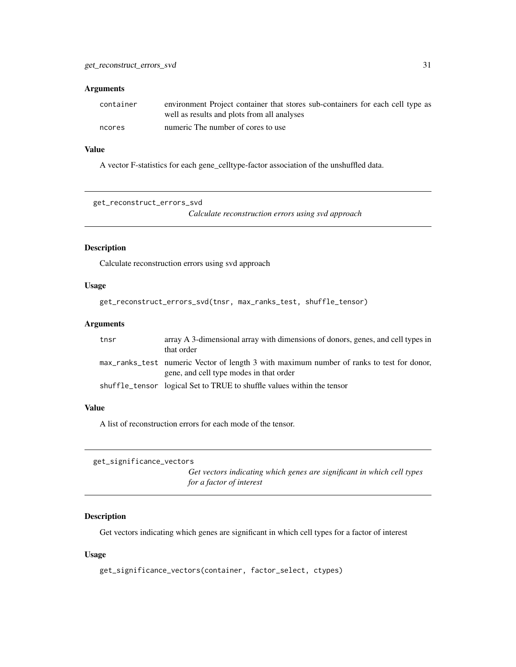<span id="page-30-0"></span>

| container | environment Project container that stores sub-containers for each cell type as |
|-----------|--------------------------------------------------------------------------------|
|           | well as results and plots from all analyses                                    |
| ncores    | numeric The number of cores to use                                             |

## Value

A vector F-statistics for each gene\_celltype-factor association of the unshuffled data.

get\_reconstruct\_errors\_svd

*Calculate reconstruction errors using svd approach*

### Description

Calculate reconstruction errors using svd approach

### Usage

```
get_reconstruct_errors_svd(tnsr, max_ranks_test, shuffle_tensor)
```
# Arguments

| tnsr | array A 3-dimensional array with dimensions of donors, genes, and cell types in<br>that order                                        |
|------|--------------------------------------------------------------------------------------------------------------------------------------|
|      | max_ranks_test_numeric_Vector of length 3 with maximum number of ranks to test for donor,<br>gene, and cell type modes in that order |
|      | shuffle tensor logical Set to TRUE to shuffle values within the tensor                                                               |

# Value

A list of reconstruction errors for each mode of the tensor.

get\_significance\_vectors

*Get vectors indicating which genes are significant in which cell types for a factor of interest*

# Description

Get vectors indicating which genes are significant in which cell types for a factor of interest

```
get_significance_vectors(container, factor_select, ctypes)
```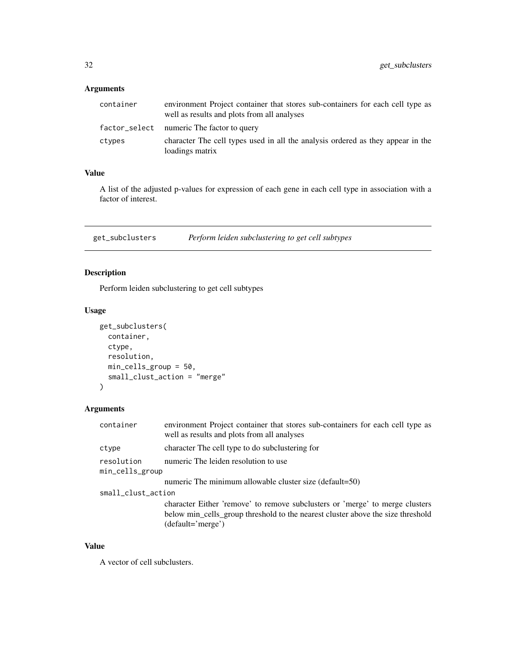<span id="page-31-0"></span>

| container | environment Project container that stores sub-containers for each cell type as<br>well as results and plots from all analyses |
|-----------|-------------------------------------------------------------------------------------------------------------------------------|
|           | factor_select numeric The factor to query                                                                                     |
| ctypes    | character The cell types used in all the analysis ordered as they appear in the<br>loadings matrix                            |

# Value

A list of the adjusted p-values for expression of each gene in each cell type in association with a factor of interest.

get\_subclusters *Perform leiden subclustering to get cell subtypes*

# Description

Perform leiden subclustering to get cell subtypes

# Usage

```
get_subclusters(
  container,
  ctype,
  resolution,
  min_cells_group = 50,
  small_clust_action = "merge"
)
```
# Arguments

| container                     | environment Project container that stores sub-containers for each cell type as<br>well as results and plots from all analyses |
|-------------------------------|-------------------------------------------------------------------------------------------------------------------------------|
| ctype                         | character The cell type to do subclustering for                                                                               |
| resolution<br>min_cells_group | numeric The leiden resolution to use                                                                                          |
|                               | numeric The minimum allowable cluster size (default=50)                                                                       |
| small_clust_action            |                                                                                                                               |
|                               | character Either 'remove' to remove subclusters or 'merge' to merge clusters                                                  |
|                               | below min_cells_group threshold to the nearest cluster above the size threshold                                               |
|                               | (default='merge')                                                                                                             |

# Value

A vector of cell subclusters.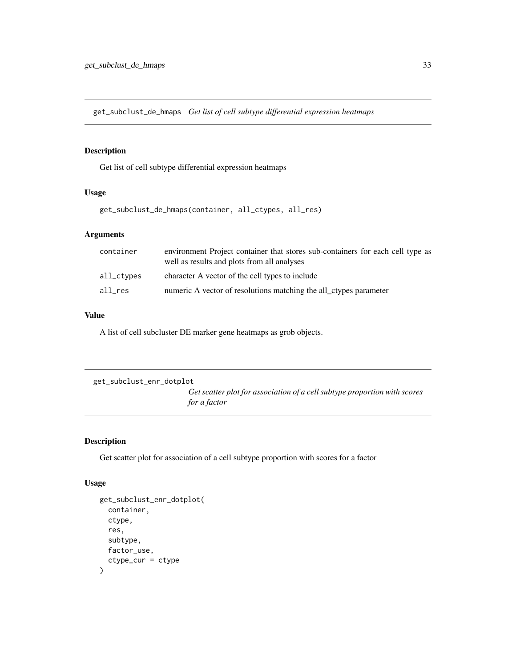<span id="page-32-0"></span>get\_subclust\_de\_hmaps *Get list of cell subtype differential expression heatmaps*

# Description

Get list of cell subtype differential expression heatmaps

### Usage

```
get_subclust_de_hmaps(container, all_ctypes, all_res)
```
# Arguments

| container  | environment Project container that stores sub-containers for each cell type as<br>well as results and plots from all analyses |
|------------|-------------------------------------------------------------------------------------------------------------------------------|
| all_ctypes | character A vector of the cell types to include                                                                               |
| all res    | numeric A vector of resolutions matching the all_ctypes parameter                                                             |

### Value

A list of cell subcluster DE marker gene heatmaps as grob objects.

```
get_subclust_enr_dotplot
                           Get scatter plot for association of a cell subtype proportion with scores
                           for a factor
```
# Description

Get scatter plot for association of a cell subtype proportion with scores for a factor

```
get_subclust_enr_dotplot(
  container,
 ctype,
 res,
  subtype,
 factor_use,
  ctype_cur = ctype
)
```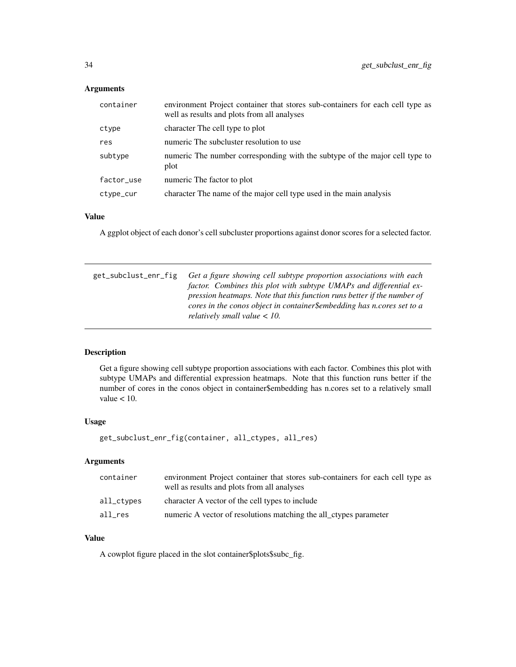<span id="page-33-0"></span>

| container  | environment Project container that stores sub-containers for each cell type as<br>well as results and plots from all analyses |
|------------|-------------------------------------------------------------------------------------------------------------------------------|
| ctype      | character The cell type to plot                                                                                               |
| res        | numeric The subcluster resolution to use                                                                                      |
| subtype    | numeric The number corresponding with the subtype of the major cell type to<br>plot                                           |
| factor_use | numeric The factor to plot                                                                                                    |
| ctype_cur  | character The name of the major cell type used in the main analysis                                                           |

### Value

A ggplot object of each donor's cell subcluster proportions against donor scores for a selected factor.

| get_subclust_enr_fig Get a figure showing cell subtype proportion associations with each |
|------------------------------------------------------------------------------------------|
| factor. Combines this plot with subtype UMAPs and differential ex-                       |
| pression heatmaps. Note that this function runs better if the number of                  |
| cores in the conos object in container Sembedding has n, cores set to a                  |
| relatively small value $<$ 10.                                                           |

# Description

Get a figure showing cell subtype proportion associations with each factor. Combines this plot with subtype UMAPs and differential expression heatmaps. Note that this function runs better if the number of cores in the conos object in container\$embedding has n.cores set to a relatively small value  $< 10$ .

# Usage

```
get_subclust_enr_fig(container, all_ctypes, all_res)
```
# Arguments

| container  | environment Project container that stores sub-containers for each cell type as<br>well as results and plots from all analyses |
|------------|-------------------------------------------------------------------------------------------------------------------------------|
| all_ctypes | character A vector of the cell types to include                                                                               |
| all_res    | numeric A vector of resolutions matching the all_ctypes parameter                                                             |

# Value

A cowplot figure placed in the slot container\$plots\$subc\_fig.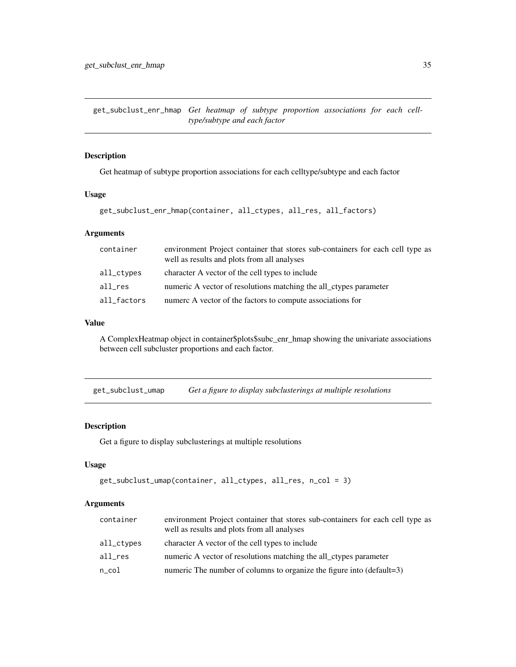<span id="page-34-0"></span>get\_subclust\_enr\_hmap *Get heatmap of subtype proportion associations for each celltype/subtype and each factor*

### Description

Get heatmap of subtype proportion associations for each celltype/subtype and each factor

# Usage

get\_subclust\_enr\_hmap(container, all\_ctypes, all\_res, all\_factors)

#### Arguments

| container   | environment Project container that stores sub-containers for each cell type as<br>well as results and plots from all analyses |
|-------------|-------------------------------------------------------------------------------------------------------------------------------|
| all_ctypes  | character A vector of the cell types to include                                                                               |
| all_res     | numeric A vector of resolutions matching the all_ctypes parameter                                                             |
| all factors | numero A vector of the factors to compute associations for                                                                    |

# Value

A ComplexHeatmap object in container\$plots\$subc\_enr\_hmap showing the univariate associations between cell subcluster proportions and each factor.

get\_subclust\_umap *Get a figure to display subclusterings at multiple resolutions*

# Description

Get a figure to display subclusterings at multiple resolutions

#### Usage

```
get_subclust_umap(container, all_ctypes, all_res, n_col = 3)
```

| container  | environment Project container that stores sub-containers for each cell type as<br>well as results and plots from all analyses |
|------------|-------------------------------------------------------------------------------------------------------------------------------|
| all_ctypes | character A vector of the cell types to include                                                                               |
| all_res    | numeric A vector of resolutions matching the all_ctypes parameter                                                             |
| $n\_{col}$ | numeric The number of columns to organize the figure into $(\text{default}=3)$                                                |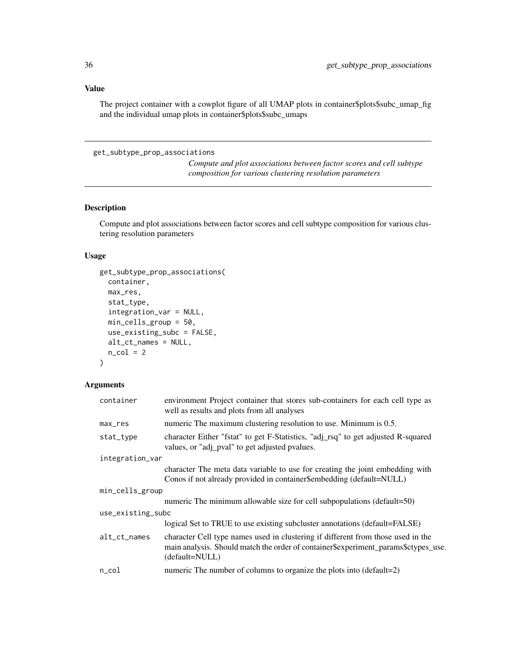# <span id="page-35-0"></span>Value

The project container with a cowplot figure of all UMAP plots in container\$plots\$subc\_umap\_fig and the individual umap plots in container\$plots\$subc\_umaps

# get\_subtype\_prop\_associations

*Compute and plot associations between factor scores and cell subtype composition for various clustering resolution parameters*

# Description

Compute and plot associations between factor scores and cell subtype composition for various clustering resolution parameters

# Usage

```
get_subtype_prop_associations(
 container,
 max_res,
  stat_type,
  integration_var = NULL,
 min_cells_group = 50,
 use_existing_subc = FALSE,
  alt_ct_names = NULL,
 n_{col} = 2\lambda
```

| container           | environment Project container that stores sub-containers for each cell type as<br>well as results and plots from all analyses                                                              |
|---------------------|--------------------------------------------------------------------------------------------------------------------------------------------------------------------------------------------|
| max_res             | numeric The maximum clustering resolution to use. Minimum is 0.5.                                                                                                                          |
| stat_type           | character Either "fstat" to get F-Statistics, "adj_rsq" to get adjusted R-squared<br>values, or "adj_pval" to get adjusted pvalues.                                                        |
| integration_var     |                                                                                                                                                                                            |
|                     | character The meta data variable to use for creating the joint embedding with<br>Conos if not already provided in container\$embedding (default=NULL)                                      |
| min_cells_group     |                                                                                                                                                                                            |
|                     | numeric The minimum allowable size for cell subpopulations (default=50)                                                                                                                    |
| use_existing_subc   |                                                                                                                                                                                            |
|                     | logical Set to TRUE to use existing subcluster annotations (default=FALSE)                                                                                                                 |
| alt_ct_names        | character Cell type names used in clustering if different from those used in the<br>main analysis. Should match the order of container \$experiment_params \$ctypes_use.<br>(default=NULL) |
| $n_{\rm \perp}$ col | numeric The number of columns to organize the plots into (default=2)                                                                                                                       |
|                     |                                                                                                                                                                                            |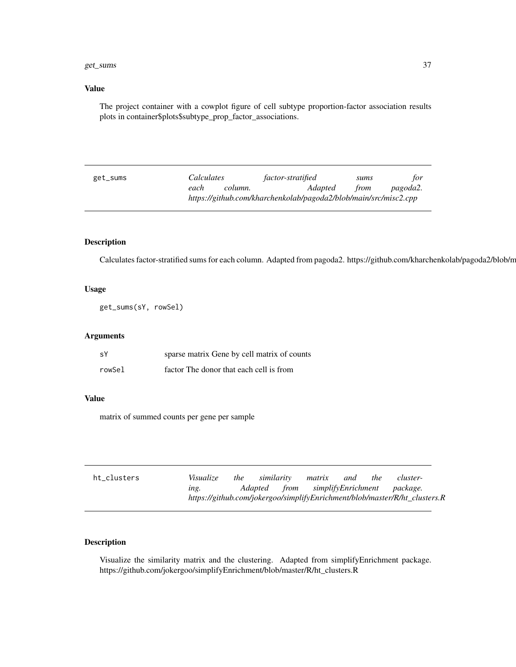#### get\_sums 37

#### Value

The project container with a cowplot figure of cell subtype proportion-factor association results plots in container\$plots\$subtype\_prop\_factor\_associations.

| get_sums | Calculates |         | <i>factor-stratified</i>                                         | sums | for      |  |
|----------|------------|---------|------------------------------------------------------------------|------|----------|--|
|          | each       | column. | Adapted                                                          | from | pagoda2. |  |
|          |            |         | https://github.com/kharchenkolab/pagoda2/blob/main/src/misc2.cpp |      |          |  |

## Description

Calculates factor-stratified sums for each column. Adapted from pagoda2. https://github.com/kharchenkolab/pagoda2/blob/m

#### Usage

get\_sums(sY, rowSel)

## Arguments

| sY     | sparse matrix Gene by cell matrix of counts |
|--------|---------------------------------------------|
| rowSel | factor The donor that each cell is from     |

#### Value

matrix of summed counts per gene per sample

| ht clusters | <i>Visualize</i> | <i>the</i> | similarity | matrix | and | <i>the</i> | cluster-                                                                   |  |
|-------------|------------------|------------|------------|--------|-----|------------|----------------------------------------------------------------------------|--|
|             | ing.             |            |            |        |     |            | Adapted from simplifyEnrichment package.                                   |  |
|             |                  |            |            |        |     |            | https://github.com/jokergoo/simplifyEnrichment/blob/master/R/ht_clusters.R |  |

## Description

Visualize the similarity matrix and the clustering. Adapted from simplifyEnrichment package. https://github.com/jokergoo/simplifyEnrichment/blob/master/R/ht\_clusters.R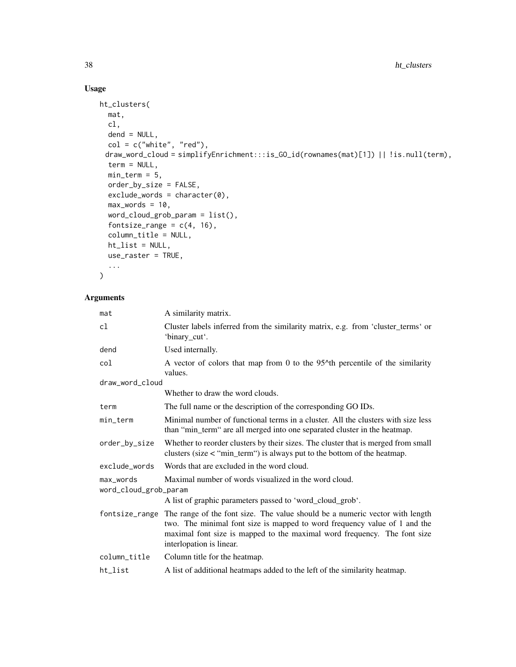# Usage

```
ht_clusters(
 mat,
 cl,
 dend = NULL,col = c("white", "red"),draw_word_cloud = simplifyEnrichment:::is_GO_id(rownames(mat)[1]) || !is.null(term),
  term = NULL,
 min\_term = 5,
 order_by_size = FALSE,
 exclude_words = character(0),max_words = 10,
 word_cloud_grob_param = list(),
 fontsize_range = c(4, 16),
  column_title = NULL,
 ht_list = NULL,
 use_raster = TRUE,
  ...
\mathcal{L}
```

| A similarity matrix.                                                                                                                                                                                                                                                             |
|----------------------------------------------------------------------------------------------------------------------------------------------------------------------------------------------------------------------------------------------------------------------------------|
| Cluster labels inferred from the similarity matrix, e.g. from 'cluster_terms' or<br>'binary_cut'.                                                                                                                                                                                |
| Used internally.                                                                                                                                                                                                                                                                 |
| A vector of colors that map from 0 to the $95$ <sup><math>\wedge</math>th</sup> percentile of the similarity<br>values.                                                                                                                                                          |
| draw_word_cloud                                                                                                                                                                                                                                                                  |
| Whether to draw the word clouds.                                                                                                                                                                                                                                                 |
| The full name or the description of the corresponding GO IDs.                                                                                                                                                                                                                    |
| Minimal number of functional terms in a cluster. All the clusters with size less<br>than "min_term" are all merged into one separated cluster in the heatmap.                                                                                                                    |
| Whether to reorder clusters by their sizes. The cluster that is merged from small<br>clusters (size $\lt$ "min_term") is always put to the bottom of the heatmap.                                                                                                                |
| Words that are excluded in the word cloud.                                                                                                                                                                                                                                       |
| Maximal number of words visualized in the word cloud.                                                                                                                                                                                                                            |
| word_cloud_grob_param                                                                                                                                                                                                                                                            |
| A list of graphic parameters passed to 'word_cloud_grob'.                                                                                                                                                                                                                        |
| fontsize_range The range of the font size. The value should be a numeric vector with length<br>two. The minimal font size is mapped to word frequency value of 1 and the<br>maximal font size is mapped to the maximal word frequency. The font size<br>interlopation is linear. |
| Column title for the heatmap.                                                                                                                                                                                                                                                    |
| A list of additional heatmaps added to the left of the similarity heatmap.                                                                                                                                                                                                       |
|                                                                                                                                                                                                                                                                                  |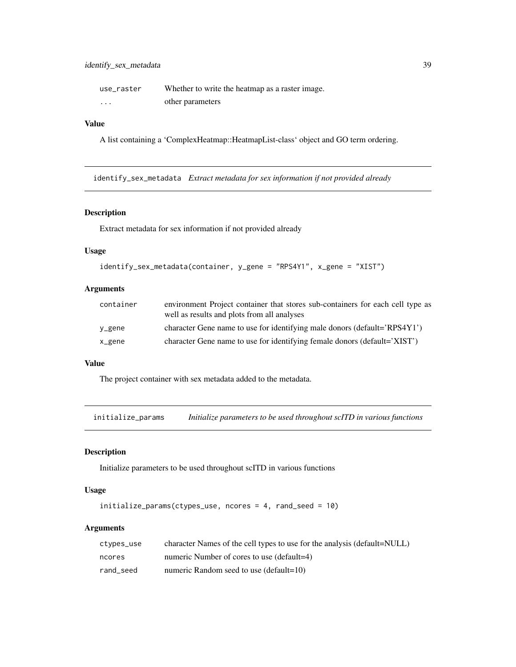| use raster | Whether to write the heatmap as a raster image. |
|------------|-------------------------------------------------|
| .          | other parameters                                |

#### Value

A list containing a 'ComplexHeatmap::HeatmapList-class' object and GO term ordering.

identify\_sex\_metadata *Extract metadata for sex information if not provided already*

#### Description

Extract metadata for sex information if not provided already

#### Usage

```
identify_sex_metadata(container, y_gene = "RPS4Y1", x_gene = "XIST")
```
#### Arguments

| container | environment Project container that stores sub-containers for each cell type as<br>well as results and plots from all analyses |
|-----------|-------------------------------------------------------------------------------------------------------------------------------|
| v_gene    | character Gene name to use for identifying male donors (default='RPS4Y1')                                                     |
| x_gene    | character Gene name to use for identifying female donors (default='XIST')                                                     |

#### Value

The project container with sex metadata added to the metadata.

initialize\_params *Initialize parameters to be used throughout scITD in various functions*

## Description

Initialize parameters to be used throughout scITD in various functions

#### Usage

```
initialize_params(ctypes_use, ncores = 4, rand_seed = 10)
```

| ctypes_use | character Names of the cell types to use for the analysis (default=NULL) |
|------------|--------------------------------------------------------------------------|
| ncores     | numeric Number of cores to use (default=4)                               |
| rand seed  | numeric Random seed to use (default=10)                                  |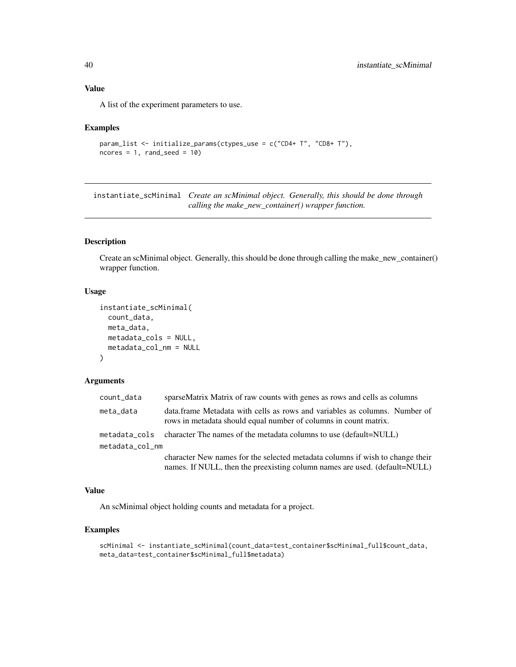## Value

A list of the experiment parameters to use.

#### Examples

```
param_list <- initialize_params(ctypes_use = c("CD4+ T", "CD8+ T"),
ncores = 1, rand\_seed = 10
```
instantiate\_scMinimal *Create an scMinimal object. Generally, this should be done through calling the make\_new\_container() wrapper function.*

#### Description

Create an scMinimal object. Generally, this should be done through calling the make\_new\_container() wrapper function.

## Usage

```
instantiate_scMinimal(
 count_data,
 meta_data,
 metadata_cols = NULL,
 metadata_col_nm = NULL
)
```
#### Arguments

| count_data      | sparseMatrix Matrix of raw counts with genes as rows and cells as columns                                                                                   |
|-----------------|-------------------------------------------------------------------------------------------------------------------------------------------------------------|
| meta data       | data.frame Metadata with cells as rows and variables as columns. Number of<br>rows in metadata should equal number of columns in count matrix.              |
|                 | metadata_cols character The names of the metadata columns to use (default=NULL)                                                                             |
| metadata_col_nm |                                                                                                                                                             |
|                 | character New names for the selected metadata columns if wish to change their<br>names. If NULL, then the preexisting column names are used. (default=NULL) |

#### Value

An scMinimal object holding counts and metadata for a project.

#### Examples

```
scMinimal <- instantiate_scMinimal(count_data=test_container$scMinimal_full$count_data,
meta_data=test_container$scMinimal_full$metadata)
```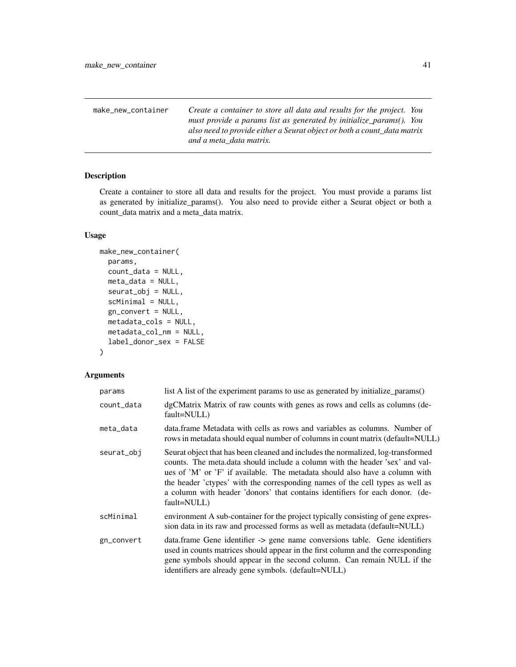make\_new\_container *Create a container to store all data and results for the project. You must provide a params list as generated by initialize\_params(). You also need to provide either a Seurat object or both a count\_data matrix and a meta\_data matrix.*

## Description

Create a container to store all data and results for the project. You must provide a params list as generated by initialize\_params(). You also need to provide either a Seurat object or both a count\_data matrix and a meta\_data matrix.

#### Usage

```
make_new_container(
  params,
  count_data = NULL,
  meta_data = NULL,
  seurat_obj = NULL,
  scMinimal = NULL,
  gn_convert = NULL,
  metadata_cols = NULL,
  metadata_col_nm = NULL,
  label_donor_sex = FALSE
)
```

| params     | list A list of the experiment params to use as generated by initialize_params()                                                                                                                                                                                                                                                                                                                                                 |
|------------|---------------------------------------------------------------------------------------------------------------------------------------------------------------------------------------------------------------------------------------------------------------------------------------------------------------------------------------------------------------------------------------------------------------------------------|
| count_data | dgCMatrix Matrix of raw counts with genes as rows and cells as columns (de-<br>fault=NULL)                                                                                                                                                                                                                                                                                                                                      |
| meta_data  | data.frame Metadata with cells as rows and variables as columns. Number of<br>rows in metadata should equal number of columns in count matrix (default=NULL)                                                                                                                                                                                                                                                                    |
| seurat_obj | Seurat object that has been cleaned and includes the normalized, log-transformed<br>counts. The meta.data should include a column with the header 'sex' and val-<br>ues of 'M' or 'F' if available. The metadata should also have a column with<br>the header 'ctypes' with the corresponding names of the cell types as well as<br>a column with header 'donors' that contains identifiers for each donor. (de-<br>fault=NULL) |
| scMinimal  | environment A sub-container for the project typically consisting of gene expres-<br>sion data in its raw and processed forms as well as metadata (default=NULL)                                                                                                                                                                                                                                                                 |
| gn_convert | data.frame Gene identifier -> gene name conversions table. Gene identifiers<br>used in counts matrices should appear in the first column and the corresponding<br>gene symbols should appear in the second column. Can remain NULL if the<br>identifiers are already gene symbols. (default=NULL)                                                                                                                               |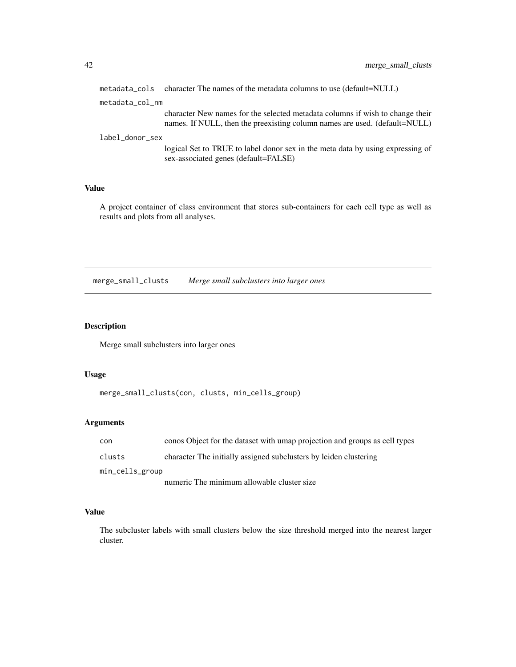| metadata_col_nm<br>label_donor_sex<br>sex-associated genes (default=FALSE) | metadata cols | character The names of the metadata columns to use (default=NULL)                                                                                           |
|----------------------------------------------------------------------------|---------------|-------------------------------------------------------------------------------------------------------------------------------------------------------------|
|                                                                            |               |                                                                                                                                                             |
|                                                                            |               | character New names for the selected metadata columns if wish to change their<br>names. If NULL, then the preexisting column names are used. (default=NULL) |
|                                                                            |               |                                                                                                                                                             |
|                                                                            |               | logical Set to TRUE to label donor sex in the meta data by using expressing of                                                                              |

#### Value

A project container of class environment that stores sub-containers for each cell type as well as results and plots from all analyses.

merge\_small\_clusts *Merge small subclusters into larger ones*

# Description

Merge small subclusters into larger ones

## Usage

```
merge_small_clusts(con, clusts, min_cells_group)
```
## Arguments

| con             | conos Object for the dataset with umap projection and groups as cell types |
|-----------------|----------------------------------------------------------------------------|
| clusts          | character The initially assigned subclusters by leiden clustering          |
| min_cells_group |                                                                            |
|                 | numeric The minimum allowable cluster size                                 |

#### Value

The subcluster labels with small clusters below the size threshold merged into the nearest larger cluster.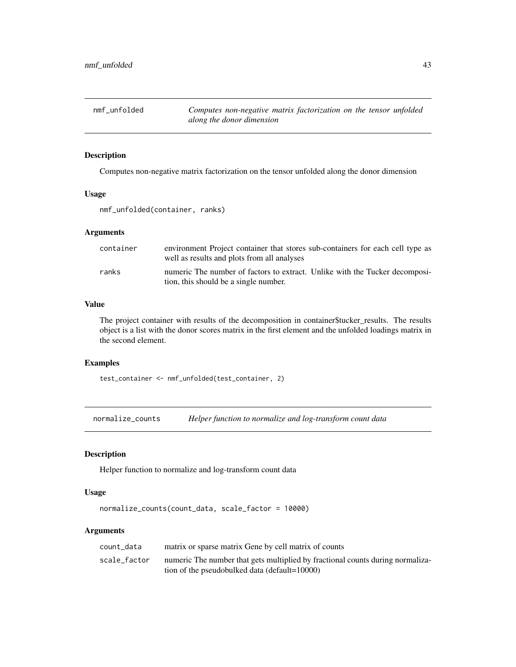#### Description

Computes non-negative matrix factorization on the tensor unfolded along the donor dimension

#### Usage

nmf\_unfolded(container, ranks)

#### Arguments

| container | environment Project container that stores sub-containers for each cell type as<br>well as results and plots from all analyses |
|-----------|-------------------------------------------------------------------------------------------------------------------------------|
| ranks     | numeric The number of factors to extract. Unlike with the Tucker decomposi-<br>tion, this should be a single number.          |

#### Value

The project container with results of the decomposition in container\$tucker\_results. The results object is a list with the donor scores matrix in the first element and the unfolded loadings matrix in the second element.

#### Examples

test\_container <- nmf\_unfolded(test\_container, 2)

normalize\_counts *Helper function to normalize and log-transform count data*

## Description

Helper function to normalize and log-transform count data

#### Usage

```
normalize_counts(count_data, scale_factor = 10000)
```

| count data   | matrix or sparse matrix Gene by cell matrix of counts                          |
|--------------|--------------------------------------------------------------------------------|
| scale factor | numeric The number that gets multiplied by fractional counts during normaliza- |
|              | tion of the pseudobulked data (default=10000)                                  |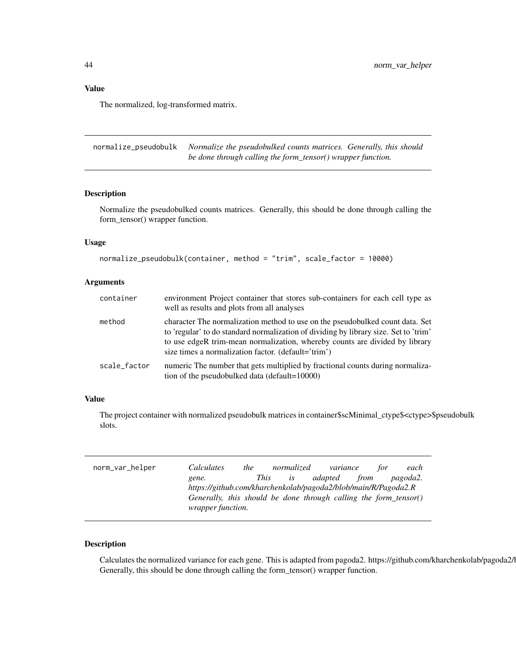The normalized, log-transformed matrix.

normalize\_pseudobulk *Normalize the pseudobulked counts matrices. Generally, this should be done through calling the form\_tensor() wrapper function.*

#### Description

Normalize the pseudobulked counts matrices. Generally, this should be done through calling the form\_tensor() wrapper function.

#### Usage

```
normalize_pseudobulk(container, method = "trim", scale_factor = 10000)
```
## Arguments

| container    | environment Project container that stores sub-containers for each cell type as<br>well as results and plots from all analyses                                                                                                                                                                               |
|--------------|-------------------------------------------------------------------------------------------------------------------------------------------------------------------------------------------------------------------------------------------------------------------------------------------------------------|
| method       | character The normalization method to use on the pseudobulked count data. Set<br>to 'regular' to do standard normalization of dividing by library size. Set to 'trim'<br>to use edgeR trim-mean normalization, whereby counts are divided by library<br>size times a normalization factor. (default='trim') |
| scale_factor | numeric The number that gets multiplied by fractional counts during normaliza-<br>tion of the pseudobulked data (default=10000)                                                                                                                                                                             |

# Value

The project container with normalized pseudobulk matrices in container\$scMinimal\_ctype\$<ctype>\$pseudobulk slots.

| norm_var_helper | Calculates                                                       | the |                    | normalized variance | for  | each     |
|-----------------|------------------------------------------------------------------|-----|--------------------|---------------------|------|----------|
|                 | gene.                                                            |     | <i>This</i><br>i s | adapted             | from | pagoda2. |
|                 | https://github.com/kharchenkolab/pagoda2/blob/main/R/Pagoda2.R   |     |                    |                     |      |          |
|                 | Generally, this should be done through calling the form tensor() |     |                    |                     |      |          |
|                 | <i>wrapper function.</i>                                         |     |                    |                     |      |          |

## Description

Calculates the normalized variance for each gene. This is adapted from pagoda2. https://github.com/kharchenkolab/pagoda2/ Generally, this should be done through calling the form\_tensor() wrapper function.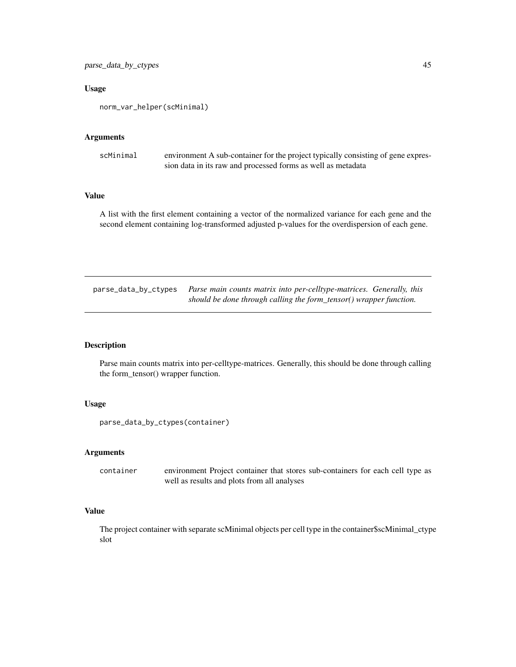```
parse_data_by_ctypes 45
```
## Usage

```
norm_var_helper(scMinimal)
```
#### Arguments

```
scMinimal environment A sub-container for the project typically consisting of gene expres-
                  sion data in its raw and processed forms as well as metadata
```
## Value

A list with the first element containing a vector of the normalized variance for each gene and the second element containing log-transformed adjusted p-values for the overdispersion of each gene.

| parse_data_by_ctypes Parse main counts matrix into per-celltype-matrices. Generally, this |  |
|-------------------------------------------------------------------------------------------|--|
| should be done through calling the form_tensor() wrapper function.                        |  |

#### Description

Parse main counts matrix into per-celltype-matrices. Generally, this should be done through calling the form\_tensor() wrapper function.

#### Usage

```
parse_data_by_ctypes(container)
```
#### Arguments

| container | environment Project container that stores sub-containers for each cell type as |
|-----------|--------------------------------------------------------------------------------|
|           | well as results and plots from all analyses                                    |

#### Value

The project container with separate scMinimal objects per cell type in the container\$scMinimal\_ctype slot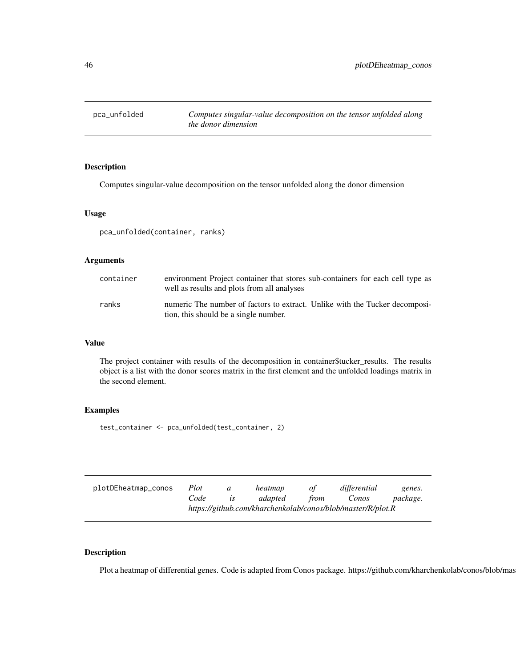## Description

Computes singular-value decomposition on the tensor unfolded along the donor dimension

#### Usage

pca\_unfolded(container, ranks)

#### Arguments

| container | environment Project container that stores sub-containers for each cell type as<br>well as results and plots from all analyses |
|-----------|-------------------------------------------------------------------------------------------------------------------------------|
| ranks     | numeric The number of factors to extract. Unlike with the Tucker decomposi-<br>tion, this should be a single number.          |

# Value

The project container with results of the decomposition in container\$tucker\_results. The results object is a list with the donor scores matrix in the first element and the unfolded loadings matrix in the second element.

#### Examples

test\_container <- pca\_unfolded(test\_container, 2)

| plotDEheatmap_conos | Plot | a   | heatmap | of   | differential                                                | genes.   |
|---------------------|------|-----|---------|------|-------------------------------------------------------------|----------|
|                     | Code | ĹS. | adapted | from | Conos                                                       | package. |
|                     |      |     |         |      | https://github.com/kharchenkolab/conos/blob/master/R/plot.R |          |

## Description

Plot a heatmap of differential genes. Code is adapted from Conos package. https://github.com/kharchenkolab/conos/blob/mas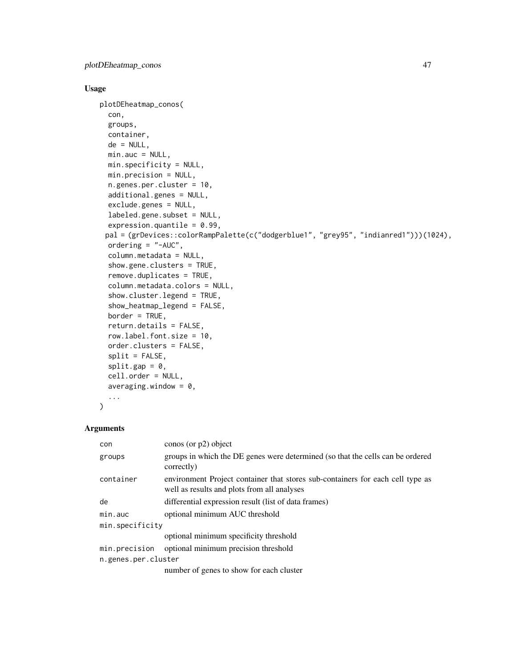## Usage

```
plotDEheatmap_conos(
  con,
  groups,
  container,
  de = NULL,min.auc = NULL,
 min.specificity = NULL,
 min.precision = NULL,
  n.genes.per.cluster = 10,
  additional.genes = NULL,
  exclude.genes = NULL,
  labeled.gene.subset = NULL,
  expression.quantile = 0.99,
 pal = (grDevices::colorRampPalette(c("dodgerblue1", "grey95", "indianred1")))(1024),
 ordering = "-AUC",
  column.metadata = NULL,
  show.gene.clusters = TRUE,
  remove.duplicates = TRUE,
  column.metadata.colors = NULL,
  show.cluster.legend = TRUE,
  show_heatmap_legend = FALSE,
  border = TRUE,return.details = FALSE,
  row.label.font.size = 10,
  order.clusters = FALSE,
  split = FALSE,
  split.gap = \theta,
  cell.order = NULL,
  averaging.window = 0,
  ...
\mathcal{L}
```

| con                 | conos (or p2) object                                                                                                          |
|---------------------|-------------------------------------------------------------------------------------------------------------------------------|
| groups              | groups in which the DE genes were determined (so that the cells can be ordered<br>correctly)                                  |
| container           | environment Project container that stores sub-containers for each cell type as<br>well as results and plots from all analyses |
| de                  | differential expression result (list of data frames)                                                                          |
| $min.$ auc          | optional minimum AUC threshold                                                                                                |
| min.specificity     |                                                                                                                               |
|                     | optional minimum specificity threshold                                                                                        |
| min.precision       | optional minimum precision threshold                                                                                          |
| n.genes.per.cluster |                                                                                                                               |
|                     | number of genes to show for each cluster                                                                                      |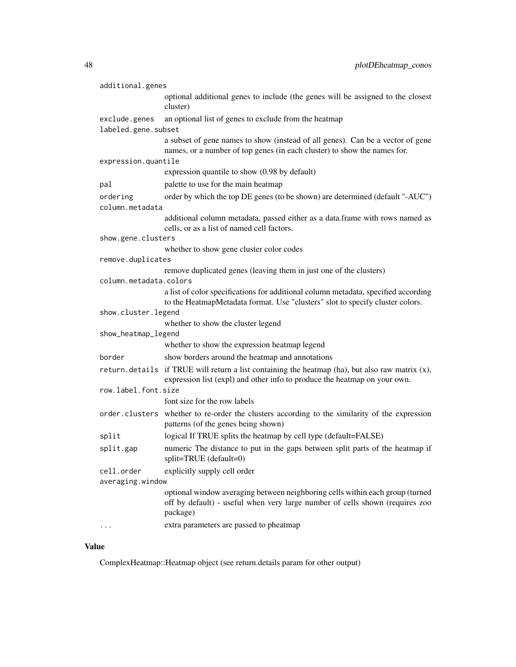| additional.genes                     |                                                                                                                                                                                 |  |
|--------------------------------------|---------------------------------------------------------------------------------------------------------------------------------------------------------------------------------|--|
|                                      | optional additional genes to include (the genes will be assigned to the closest<br>cluster)                                                                                     |  |
| exclude.genes<br>labeled.gene.subset | an optional list of genes to exclude from the heatmap                                                                                                                           |  |
|                                      | a subset of gene names to show (instead of all genes). Can be a vector of gene<br>names, or a number of top genes (in each cluster) to show the names for.                      |  |
| expression.quantile                  |                                                                                                                                                                                 |  |
|                                      | expression quantile to show (0.98 by default)                                                                                                                                   |  |
| pal                                  | palette to use for the main heatmap                                                                                                                                             |  |
| ordering<br>column.metadata          | order by which the top DE genes (to be shown) are determined (default "-AUC")                                                                                                   |  |
|                                      | additional column metadata, passed either as a data.frame with rows named as<br>cells, or as a list of named cell factors.                                                      |  |
| show.gene.clusters                   |                                                                                                                                                                                 |  |
|                                      | whether to show gene cluster color codes                                                                                                                                        |  |
| remove.duplicates                    |                                                                                                                                                                                 |  |
|                                      | remove duplicated genes (leaving them in just one of the clusters)                                                                                                              |  |
| column.metadata.colors               |                                                                                                                                                                                 |  |
|                                      | a list of color specifications for additional column metadata, specified according<br>to the HeatmapMetadata format. Use "clusters" slot to specify cluster colors.             |  |
| show.cluster.legend                  |                                                                                                                                                                                 |  |
|                                      | whether to show the cluster legend                                                                                                                                              |  |
| show_heatmap_legend                  |                                                                                                                                                                                 |  |
|                                      | whether to show the expression heatmap legend                                                                                                                                   |  |
| border                               | show borders around the heatmap and annotations                                                                                                                                 |  |
|                                      | return details if TRUE will return a list containing the heatmap (ha), but also raw matrix $(x)$ ,<br>expression list (expl) and other info to produce the heatmap on your own. |  |
| row.label.font.size                  |                                                                                                                                                                                 |  |
|                                      | font size for the row labels                                                                                                                                                    |  |
|                                      | order.clusters whether to re-order the clusters according to the similarity of the expression<br>patterns (of the genes being shown)                                            |  |
| split                                | logical If TRUE splits the heatmap by cell type (default=FALSE)                                                                                                                 |  |
| split.gap                            | numeric The distance to put in the gaps between split parts of the heatmap if<br>split=TRUE (default=0)                                                                         |  |
| cell.order                           | explicitly supply cell order                                                                                                                                                    |  |
| averaging.window                     |                                                                                                                                                                                 |  |
|                                      | optional window averaging between neighboring cells within each group (turned<br>off by default) - useful when very large number of cells shown (requires zoo<br>package)       |  |
|                                      | extra parameters are passed to pheatmap                                                                                                                                         |  |

# Value

ComplexHeatmap::Heatmap object (see return.details param for other output)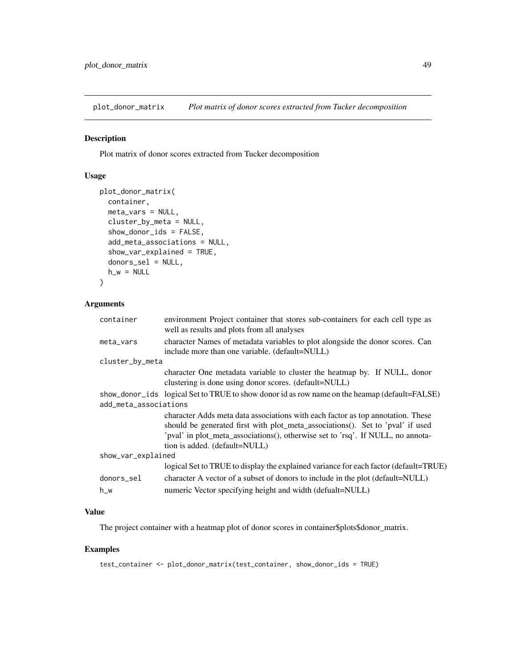plot\_donor\_matrix *Plot matrix of donor scores extracted from Tucker decomposition*

#### Description

Plot matrix of donor scores extracted from Tucker decomposition

## Usage

```
plot_donor_matrix(
 container,
 meta_vars = NULL,
 cluster_by_meta = NULL,
  show_donor_ids = FALSE,
  add_meta_associations = NULL,
  show_var_explained = TRUE,
  donors_sel = NULL,
 h_w = NULL)
```
#### Arguments

| environment Project container that stores sub-containers for each cell type as<br>well as results and plots from all analyses                                                                                                                                                         |
|---------------------------------------------------------------------------------------------------------------------------------------------------------------------------------------------------------------------------------------------------------------------------------------|
| character Names of metadata variables to plot alongside the donor scores. Can<br>include more than one variable. (default=NULL)                                                                                                                                                       |
| cluster_by_meta                                                                                                                                                                                                                                                                       |
| character One metadata variable to cluster the heatmap by. If NULL, donor<br>clustering is done using donor scores. (default=NULL)                                                                                                                                                    |
| show_donor_ids logical Set to TRUE to show donor id as row name on the heamap (default=FALSE)                                                                                                                                                                                         |
| add_meta_associations                                                                                                                                                                                                                                                                 |
| character Adds meta data associations with each factor as top annotation. These<br>should be generated first with plot_meta_associations(). Set to 'pval' if used<br>'pval' in plot_meta_associations(), otherwise set to 'rsq'. If NULL, no annota-<br>tion is added. (default=NULL) |
| show_var_explained                                                                                                                                                                                                                                                                    |
| logical Set to TRUE to display the explained variance for each factor (default=TRUE)                                                                                                                                                                                                  |
| character A vector of a subset of donors to include in the plot (default=NULL)                                                                                                                                                                                                        |
| numeric Vector specifying height and width (defualt=NULL)                                                                                                                                                                                                                             |
|                                                                                                                                                                                                                                                                                       |

#### Value

The project container with a heatmap plot of donor scores in container\$plots\$donor\_matrix.

#### Examples

```
test_container <- plot_donor_matrix(test_container, show_donor_ids = TRUE)
```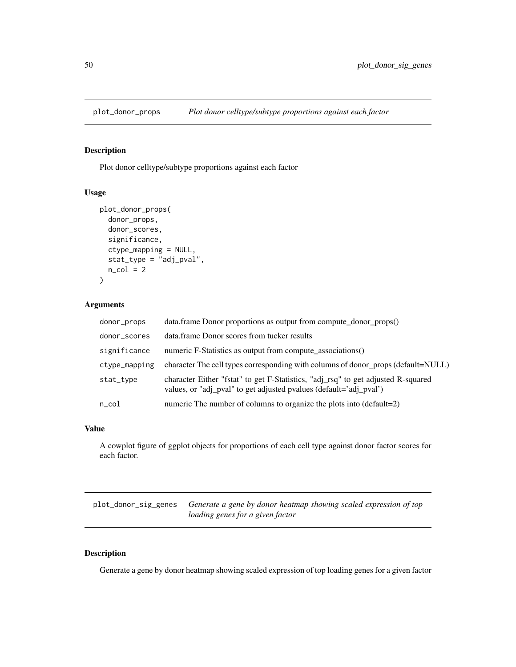#### Description

Plot donor celltype/subtype proportions against each factor

## Usage

```
plot_donor_props(
  donor_props,
  donor_scores,
  significance,
  ctype_mapping = NULL,
  stat_type = "adj_pval",
 n_{col} = 2)
```
## Arguments

| donor_props   | data.frame Donor proportions as output from compute_donor_props()                                                                                       |
|---------------|---------------------------------------------------------------------------------------------------------------------------------------------------------|
| donor_scores  | data.frame Donor scores from tucker results                                                                                                             |
| significance  | numeric F-Statistics as output from compute associations()                                                                                              |
| ctype_mapping | character The cell types corresponding with columns of donor props (default=NULL)                                                                       |
| stat_type     | character Either "fstat" to get F-Statistics, "adj_rsq" to get adjusted R-squared<br>values, or "adj_pval" to get adjusted pvalues (default='adj_pval') |
| $n\_{col}$    | numeric The number of columns to organize the plots into (default=2)                                                                                    |

#### Value

A cowplot figure of ggplot objects for proportions of each cell type against donor factor scores for each factor.

plot\_donor\_sig\_genes *Generate a gene by donor heatmap showing scaled expression of top loading genes for a given factor*

## Description

Generate a gene by donor heatmap showing scaled expression of top loading genes for a given factor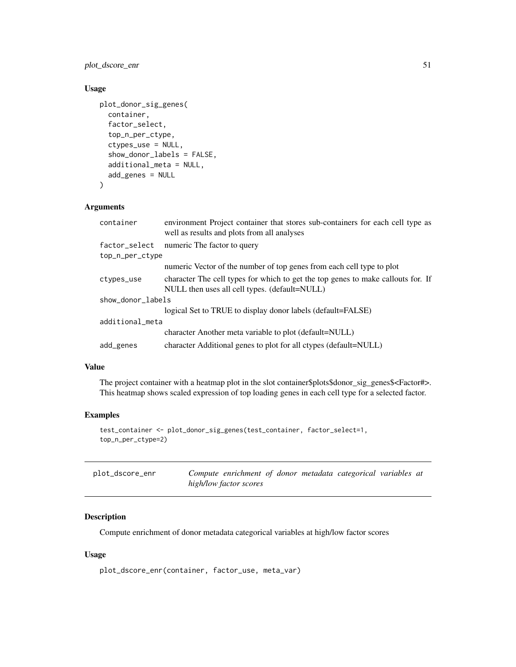plot\_dscore\_enr 51

#### Usage

```
plot_donor_sig_genes(
 container,
  factor_select,
  top_n_per_ctype,
  ctypes_use = NULL,
  show_donor_labels = FALSE,
  additional_meta = NULL,
  add_genes = NULL
)
```
#### Arguments

| container         | environment Project container that stores sub-containers for each cell type as<br>well as results and plots from all analyses     |
|-------------------|-----------------------------------------------------------------------------------------------------------------------------------|
| factor_select     | numeric The factor to query                                                                                                       |
| top_n_per_ctype   |                                                                                                                                   |
|                   | numeric Vector of the number of top genes from each cell type to plot                                                             |
| ctypes_use        | character The cell types for which to get the top genes to make callouts for. If<br>NULL then uses all cell types. (default=NULL) |
| show_donor_labels |                                                                                                                                   |
|                   | logical Set to TRUE to display donor labels (default=FALSE)                                                                       |
| additional_meta   |                                                                                                                                   |
|                   | character Another meta variable to plot (default=NULL)                                                                            |
| add_genes         | character Additional genes to plot for all ctypes (default=NULL)                                                                  |

#### Value

The project container with a heatmap plot in the slot container\$plots\$donor\_sig\_genes\$<Factor#>. This heatmap shows scaled expression of top loading genes in each cell type for a selected factor.

## Examples

```
test_container <- plot_donor_sig_genes(test_container, factor_select=1,
top_n_per_ctype=2)
```

| plot_dscore_enr |                        |  | Compute enrichment of donor metadata categorical variables at |  |
|-----------------|------------------------|--|---------------------------------------------------------------|--|
|                 | high/low factor scores |  |                                                               |  |

# Description

Compute enrichment of donor metadata categorical variables at high/low factor scores

## Usage

```
plot_dscore_enr(container, factor_use, meta_var)
```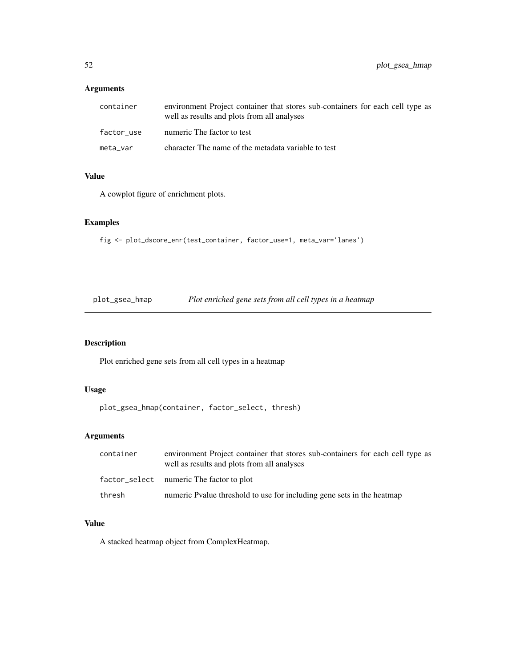# Arguments

| container  | environment Project container that stores sub-containers for each cell type as<br>well as results and plots from all analyses |
|------------|-------------------------------------------------------------------------------------------------------------------------------|
| factor use | numeric The factor to test                                                                                                    |
| meta var   | character The name of the metadata variable to test                                                                           |

# Value

A cowplot figure of enrichment plots.

# Examples

```
fig <- plot_dscore_enr(test_container, factor_use=1, meta_var='lanes')
```
plot\_gsea\_hmap *Plot enriched gene sets from all cell types in a heatmap*

# Description

Plot enriched gene sets from all cell types in a heatmap

## Usage

```
plot_gsea_hmap(container, factor_select, thresh)
```
# Arguments

| container | environment Project container that stores sub-containers for each cell type as<br>well as results and plots from all analyses |
|-----------|-------------------------------------------------------------------------------------------------------------------------------|
|           | factor_select numeric The factor to plot                                                                                      |
| thresh    | numeric Pvalue threshold to use for including gene sets in the heatmap                                                        |

## Value

A stacked heatmap object from ComplexHeatmap.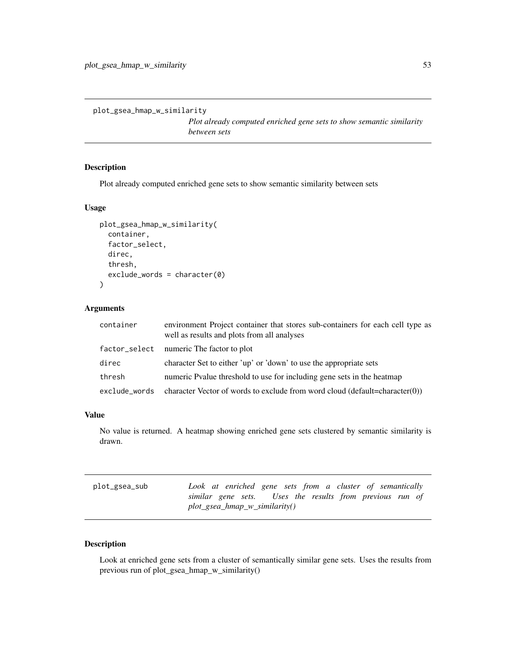```
plot_gsea_hmap_w_similarity
```
*Plot already computed enriched gene sets to show semantic similarity between sets*

## Description

Plot already computed enriched gene sets to show semantic similarity between sets

## Usage

```
plot_gsea_hmap_w_similarity(
  container,
  factor_select,
 direc,
  thresh,
  exclude_words = character(0)
)
```
#### Arguments

| container     | environment Project container that stores sub-containers for each cell type as<br>well as results and plots from all analyses |
|---------------|-------------------------------------------------------------------------------------------------------------------------------|
| factor_select | numeric The factor to plot                                                                                                    |
| direc         | character Set to either 'up' or 'down' to use the appropriate sets                                                            |
| thresh        | numeric Pvalue threshold to use for including gene sets in the heatmap                                                        |
| exclude_words | character Vector of words to exclude from word cloud (default=character(0))                                                   |

# Value

No value is returned. A heatmap showing enriched gene sets clustered by semantic similarity is drawn.

| plot_gsea_sub |                                     | Look at enriched gene sets from a cluster of semantically |
|---------------|-------------------------------------|-----------------------------------------------------------|
|               | $plot\_gsea\_hmap\_w\_similarity()$ | similar gene sets. Uses the results from previous run of  |

## Description

Look at enriched gene sets from a cluster of semantically similar gene sets. Uses the results from previous run of plot\_gsea\_hmap\_w\_similarity()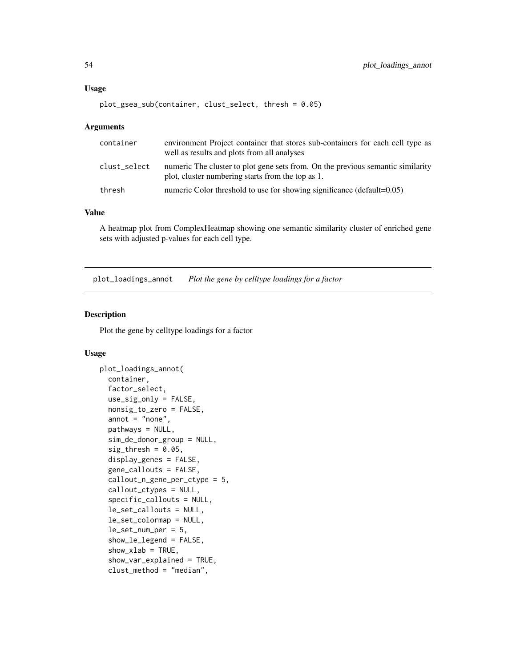```
plot_gsea_sub(container, clust_select, thresh = 0.05)
```
#### **Arguments**

| container    | environment Project container that stores sub-containers for each cell type as<br>well as results and plots from all analyses        |
|--------------|--------------------------------------------------------------------------------------------------------------------------------------|
| clust_select | numeric The cluster to plot gene sets from. On the previous semantic similarity<br>plot, cluster numbering starts from the top as 1. |
| thresh       | numeric Color threshold to use for showing significance (default=0.05)                                                               |

#### Value

A heatmap plot from ComplexHeatmap showing one semantic similarity cluster of enriched gene sets with adjusted p-values for each cell type.

plot\_loadings\_annot *Plot the gene by celltype loadings for a factor*

#### Description

Plot the gene by celltype loadings for a factor

#### Usage

```
plot_loadings_annot(
  container,
  factor_select,
  use_sig_only = FALSE,
  nonsig_to_zero = FALSE,
  annot = "none",pathways = NULL,
  sim_de_donor_group = NULL,
  sig_thresh = 0.05,display_genes = FALSE,
  gene_callouts = FALSE,
  callout_n_gene_per_ctype = 5,
  callout_ctypes = NULL,
  specific_callouts = NULL,
  le_set_callouts = NULL,
  le_set_colormap = NULL,
  le\_set\_num\_per = 5,
  show_le_legend = FALSE,
  show_xlab = TRUE,show_var_explained = TRUE,
  clust_method = "median",
```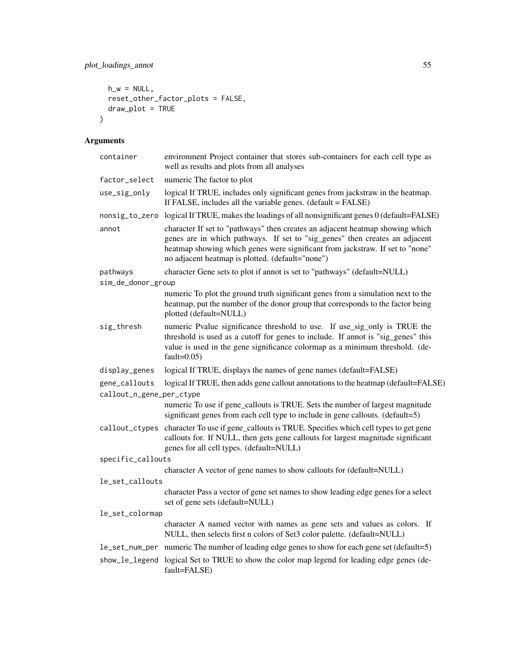```
h_w = NULL,reset_other_factor_plots = FALSE,
 draw_plot = TRUE
\mathcal{L}
```

| container                | environment Project container that stores sub-containers for each cell type as<br>well as results and plots from all analyses                                                                                                                                                                     |
|--------------------------|---------------------------------------------------------------------------------------------------------------------------------------------------------------------------------------------------------------------------------------------------------------------------------------------------|
| factor_select            | numeric The factor to plot                                                                                                                                                                                                                                                                        |
| use_sig_only             | logical If TRUE, includes only significant genes from jackstraw in the heatmap.<br>If FALSE, includes all the variable genes. (default = FALSE)                                                                                                                                                   |
| nonsig_to_zero           | logical If TRUE, makes the loadings of all nonsignificant genes 0 (default=FALSE)                                                                                                                                                                                                                 |
| annot                    | character If set to "pathways" then creates an adjacent heatmap showing which<br>genes are in which pathways. If set to "sig_genes" then creates an adjacent<br>heatmap showing which genes were significant from jackstraw. If set to "none"<br>no adjacent heatmap is plotted. (default="none") |
| pathways                 | character Gene sets to plot if annot is set to "pathways" (default=NULL)                                                                                                                                                                                                                          |
| sim_de_donor_group       |                                                                                                                                                                                                                                                                                                   |
|                          | numeric To plot the ground truth significant genes from a simulation next to the<br>heatmap, put the number of the donor group that corresponds to the factor being<br>plotted (default=NULL)                                                                                                     |
| sig_thresh               | numeric Pvalue significance threshold to use. If use_sig_only is TRUE the<br>threshold is used as a cutoff for genes to include. If annot is "sig_genes" this<br>value is used in the gene significance colormap as a minimum threshold. (de-<br>fault= $0.05$ )                                  |
| display_genes            | logical If TRUE, displays the names of gene names (default=FALSE)                                                                                                                                                                                                                                 |
| gene_callouts            | logical If TRUE, then adds gene callout annotations to the heatmap (default=FALSE)                                                                                                                                                                                                                |
| callout_n_gene_per_ctype |                                                                                                                                                                                                                                                                                                   |
|                          | numeric To use if gene_callouts is TRUE. Sets the number of largest magnitude<br>significant genes from each cell type to include in gene callouts. (default=5)                                                                                                                                   |
|                          | callout_ctypes character To use if gene_callouts is TRUE. Specifies which cell types to get gene<br>callouts for. If NULL, then gets gene callouts for largest magnitude significant<br>genes for all cell types. (default=NULL)                                                                  |
| specific_callouts        |                                                                                                                                                                                                                                                                                                   |
|                          | character A vector of gene names to show callouts for (default=NULL)                                                                                                                                                                                                                              |
| le_set_callouts          |                                                                                                                                                                                                                                                                                                   |
|                          | character Pass a vector of gene set names to show leading edge genes for a select<br>set of gene sets (default=NULL)                                                                                                                                                                              |
| le_set_colormap          |                                                                                                                                                                                                                                                                                                   |
|                          | character A named vector with names as gene sets and values as colors. If<br>NULL, then selects first n colors of Set3 color palette. (default=NULL)                                                                                                                                              |
| le_set_num_per           | numeric The number of leading edge genes to show for each gene set (default=5)                                                                                                                                                                                                                    |
| show_le_legend           | logical Set to TRUE to show the color map legend for leading edge genes (de-<br>fault=FALSE)                                                                                                                                                                                                      |
|                          |                                                                                                                                                                                                                                                                                                   |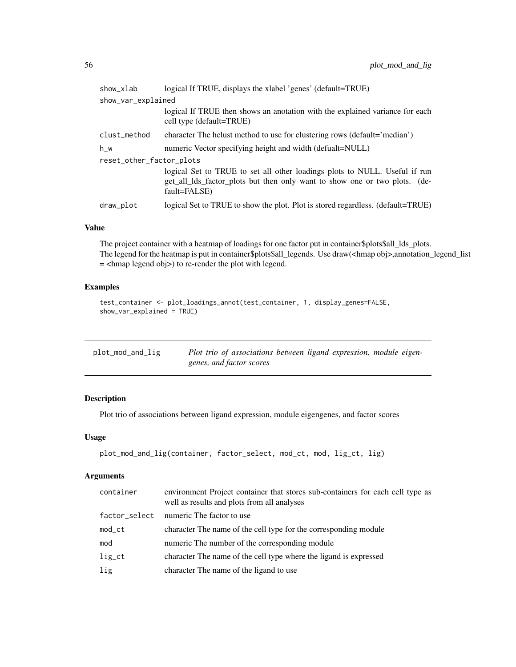| show_xlab                | logical If TRUE, displays the xlabel 'genes' (default=TRUE)                                                                                                              |
|--------------------------|--------------------------------------------------------------------------------------------------------------------------------------------------------------------------|
| show_var_explained       |                                                                                                                                                                          |
|                          | logical If TRUE then shows an anotation with the explained variance for each<br>cell type (default=TRUE)                                                                 |
| clust_method             | character The holust method to use for clustering rows (default='median')                                                                                                |
| h w                      | numeric Vector specifying height and width (defualt=NULL)                                                                                                                |
| reset_other_factor_plots |                                                                                                                                                                          |
|                          | logical Set to TRUE to set all other loadings plots to NULL. Useful if run<br>get_all_lds_factor_plots but then only want to show one or two plots. (de-<br>fault=FALSE) |
| draw_plot                | logical Set to TRUE to show the plot. Plot is stored regardless. (default=TRUE)                                                                                          |

# Value

The project container with a heatmap of loadings for one factor put in container\$plots\$all\_lds\_plots. The legend for the heatmap is put in container\$plots\$all\_legends. Use draw(<hmap obj>,annotation\_legend\_list = <hmap legend obj>) to re-render the plot with legend.

## Examples

```
test_container <- plot_loadings_annot(test_container, 1, display_genes=FALSE,
show_var_explained = TRUE)
```

| plot_mod_and_lig | Plot trio of associations between ligand expression, module eigen- |  |  |  |
|------------------|--------------------------------------------------------------------|--|--|--|
|                  | genes, and factor scores                                           |  |  |  |

# Description

Plot trio of associations between ligand expression, module eigengenes, and factor scores

#### Usage

```
plot_mod_and_lig(container, factor_select, mod_ct, mod, lig_ct, lig)
```

| environment Project container that stores sub-containers for each cell type as<br>well as results and plots from all analyses |
|-------------------------------------------------------------------------------------------------------------------------------|
| numeric The factor to use                                                                                                     |
| character The name of the cell type for the corresponding module                                                              |
| numeric The number of the corresponding module                                                                                |
| character The name of the cell type where the ligand is expressed                                                             |
| character The name of the ligand to use                                                                                       |
|                                                                                                                               |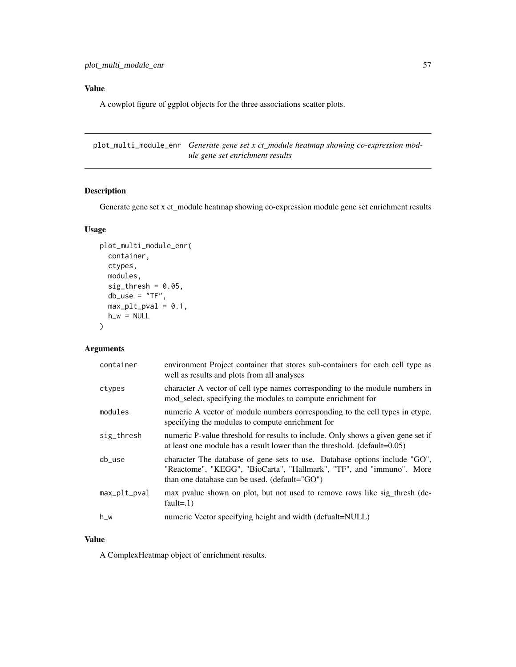# Value

A cowplot figure of ggplot objects for the three associations scatter plots.

plot\_multi\_module\_enr *Generate gene set x ct\_module heatmap showing co-expression module gene set enrichment results*

## Description

Generate gene set x ct\_module heatmap showing co-expression module gene set enrichment results

## Usage

```
plot_multi_module_enr(
 container,
 ctypes,
 modules,
 sig_thresh = 0.05,
 db\_use = "TF",max_p1t_pval = 0.1,
 h_w = NULL)
```
## Arguments

## Value

A ComplexHeatmap object of enrichment results.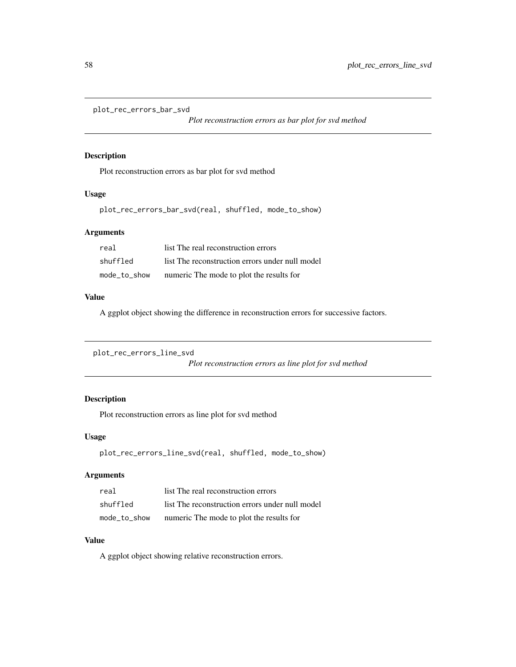```
plot_rec_errors_bar_svd
```
*Plot reconstruction errors as bar plot for svd method*

## Description

Plot reconstruction errors as bar plot for svd method

## Usage

plot\_rec\_errors\_bar\_svd(real, shuffled, mode\_to\_show)

#### Arguments

| real         | list The real reconstruction errors             |
|--------------|-------------------------------------------------|
| shuffled     | list The reconstruction errors under null model |
| mode to show | numeric The mode to plot the results for        |

#### Value

A ggplot object showing the difference in reconstruction errors for successive factors.

```
plot_rec_errors_line_svd
```
*Plot reconstruction errors as line plot for svd method*

# Description

Plot reconstruction errors as line plot for svd method

#### Usage

```
plot_rec_errors_line_svd(real, shuffled, mode_to_show)
```
#### Arguments

| real         | list The real reconstruction errors             |
|--------------|-------------------------------------------------|
| shuffled     | list The reconstruction errors under null model |
| mode to show | numeric The mode to plot the results for        |

#### Value

A ggplot object showing relative reconstruction errors.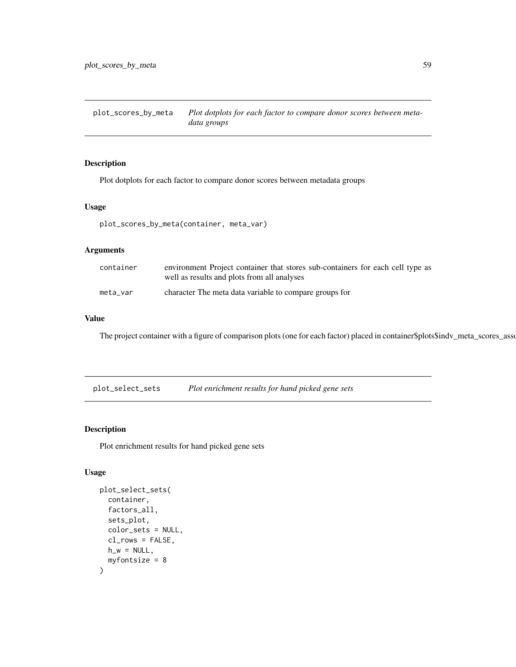plot\_scores\_by\_meta *Plot dotplots for each factor to compare donor scores between metadata groups*

## Description

Plot dotplots for each factor to compare donor scores between metadata groups

#### Usage

```
plot_scores_by_meta(container, meta_var)
```
## Arguments

| container | environment Project container that stores sub-containers for each cell type as |
|-----------|--------------------------------------------------------------------------------|
|           | well as results and plots from all analyses                                    |
| meta var  | character The meta data variable to compare groups for                         |

#### Value

The project container with a figure of comparison plots (one for each factor) placed in container\$plots\$indv\_meta\_scores\_asso

plot\_select\_sets *Plot enrichment results for hand picked gene sets*

#### Description

Plot enrichment results for hand picked gene sets

## Usage

```
plot_select_sets(
  container,
  factors_all,
  sets_plot,
 color_sets = NULL,
 cl_rows = FALSE,
 h_w = NULL,myfontsize = 8)
```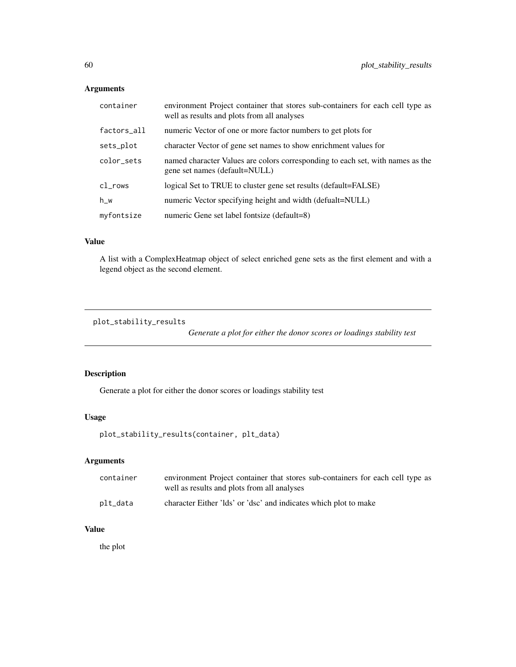# Arguments

| container    | environment Project container that stores sub-containers for each cell type as<br>well as results and plots from all analyses |
|--------------|-------------------------------------------------------------------------------------------------------------------------------|
| factors_all  | numeric Vector of one or more factor numbers to get plots for                                                                 |
| sets_plot    | character Vector of gene set names to show enrichment values for                                                              |
| color_sets   | named character Values are colors corresponding to each set, with names as the<br>gene set names (default=NULL)               |
| $cl_{r}$ ows | logical Set to TRUE to cluster gene set results (default=FALSE)                                                               |
| h w          | numeric Vector specifying height and width (defualt=NULL)                                                                     |
| myfontsize   | numeric Gene set label fontsize (default=8)                                                                                   |

# Value

A list with a ComplexHeatmap object of select enriched gene sets as the first element and with a legend object as the second element.

plot\_stability\_results

*Generate a plot for either the donor scores or loadings stability test*

## Description

Generate a plot for either the donor scores or loadings stability test

# Usage

plot\_stability\_results(container, plt\_data)

## Arguments

| container | environment Project container that stores sub-containers for each cell type as<br>well as results and plots from all analyses |
|-----------|-------------------------------------------------------------------------------------------------------------------------------|
| plt_data  | character Either 'lds' or 'dsc' and indicates which plot to make                                                              |

## Value

the plot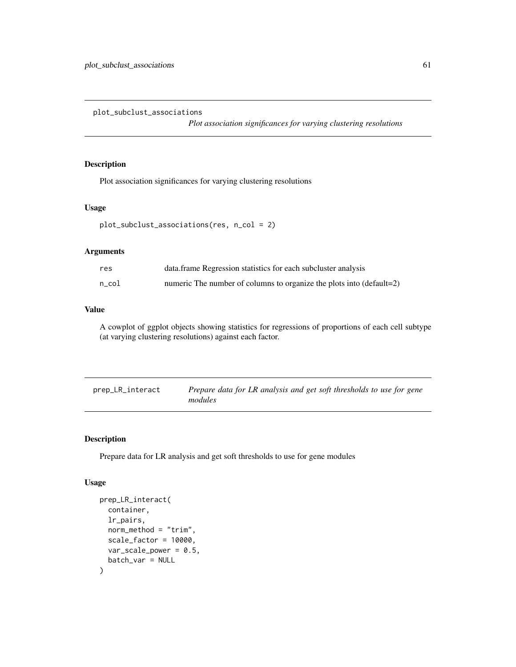plot\_subclust\_associations

*Plot association significances for varying clustering resolutions*

## Description

Plot association significances for varying clustering resolutions

#### Usage

```
plot_subclust_associations(res, n_col = 2)
```
#### Arguments

| res   | data.frame Regression statistics for each subcluster analysis        |
|-------|----------------------------------------------------------------------|
| n col | numeric The number of columns to organize the plots into (default=2) |

#### Value

A cowplot of ggplot objects showing statistics for regressions of proportions of each cell subtype (at varying clustering resolutions) against each factor.

| prep_LR_interact | Prepare data for LR analysis and get soft thresholds to use for gene |
|------------------|----------------------------------------------------------------------|
|                  | modules                                                              |

## Description

Prepare data for LR analysis and get soft thresholds to use for gene modules

## Usage

```
prep_LR_interact(
  container,
  lr_pairs,
 norm_method = "trim",
  scale_factor = 10000,
 var_scale_power = 0.5,
 batch_var = NULL
)
```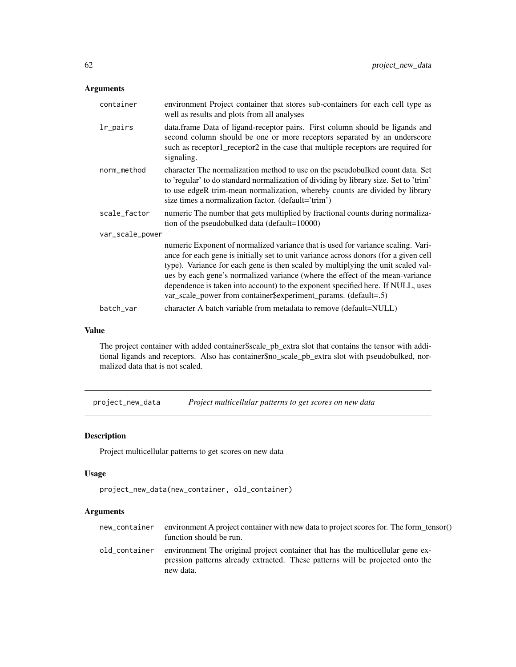# Arguments

| container       | environment Project container that stores sub-containers for each cell type as<br>well as results and plots from all analyses                                                                                                                                                                                                                                                                                                                                                                       |
|-----------------|-----------------------------------------------------------------------------------------------------------------------------------------------------------------------------------------------------------------------------------------------------------------------------------------------------------------------------------------------------------------------------------------------------------------------------------------------------------------------------------------------------|
| lr_pairs        | data.frame Data of ligand-receptor pairs. First column should be ligands and<br>second column should be one or more receptors separated by an underscore<br>such as receptor1_receptor2 in the case that multiple receptors are required for<br>signaling.                                                                                                                                                                                                                                          |
| norm_method     | character The normalization method to use on the pseudobulked count data. Set<br>to 'regular' to do standard normalization of dividing by library size. Set to 'trim'<br>to use edgeR trim-mean normalization, whereby counts are divided by library<br>size times a normalization factor. (default='trim')                                                                                                                                                                                         |
| scale_factor    | numeric The number that gets multiplied by fractional counts during normaliza-<br>tion of the pseudobulked data (default=10000)                                                                                                                                                                                                                                                                                                                                                                     |
| var_scale_power |                                                                                                                                                                                                                                                                                                                                                                                                                                                                                                     |
|                 | numeric Exponent of normalized variance that is used for variance scaling. Vari-<br>ance for each gene is initially set to unit variance across donors (for a given cell<br>type). Variance for each gene is then scaled by multiplying the unit scaled val-<br>ues by each gene's normalized variance (where the effect of the mean-variance<br>dependence is taken into account) to the exponent specified here. If NULL, uses<br>var_scale_power from container\$experiment_params. (default=.5) |
|                 |                                                                                                                                                                                                                                                                                                                                                                                                                                                                                                     |

## Value

The project container with added container\$scale\_pb\_extra slot that contains the tensor with additional ligands and receptors. Also has container\$no\_scale\_pb\_extra slot with pseudobulked, normalized data that is not scaled.

project\_new\_data *Project multicellular patterns to get scores on new data*

## Description

Project multicellular patterns to get scores on new data

#### Usage

```
project_new_data(new_container, old_container)
```

| new_container | environment A project container with new data to project scores for. The form tensor()<br>function should be run.                                                             |
|---------------|-------------------------------------------------------------------------------------------------------------------------------------------------------------------------------|
| old container | environment The original project container that has the multicellular gene ex-<br>pression patterns already extracted. These patterns will be projected onto the<br>new data. |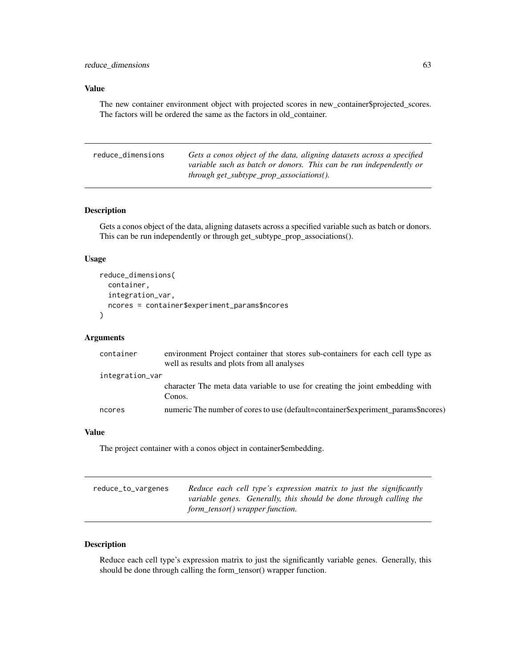#### Value

The new container environment object with projected scores in new\_container\$projected\_scores. The factors will be ordered the same as the factors in old\_container.

| reduce dimensions | Gets a conos object of the data, aligning datasets across a specified |
|-------------------|-----------------------------------------------------------------------|
|                   | variable such as batch or donors. This can be run independently or    |
|                   | <i>through get_subtype_prop_associations().</i>                       |

#### Description

Gets a conos object of the data, aligning datasets across a specified variable such as batch or donors. This can be run independently or through get\_subtype\_prop\_associations().

#### Usage

```
reduce_dimensions(
  container,
  integration_var,
  ncores = container$experiment_params$ncores
\mathcal{E}
```
## Arguments

| container       | environment Project container that stores sub-containers for each cell type as    |
|-----------------|-----------------------------------------------------------------------------------|
|                 | well as results and plots from all analyses                                       |
| integration_var |                                                                                   |
|                 | character The meta data variable to use for creating the joint embedding with     |
|                 | Conos.                                                                            |
| ncores          | numeric The number of cores to use (default=container\$experiment_params\$ncores) |

# Value

The project container with a conos object in container\$embedding.

| reduce_to_vargenes | Reduce each cell type's expression matrix to just the significantly                                   |
|--------------------|-------------------------------------------------------------------------------------------------------|
|                    | variable genes. Generally, this should be done through calling the<br>form tensor() wrapper function. |

#### Description

Reduce each cell type's expression matrix to just the significantly variable genes. Generally, this should be done through calling the form\_tensor() wrapper function.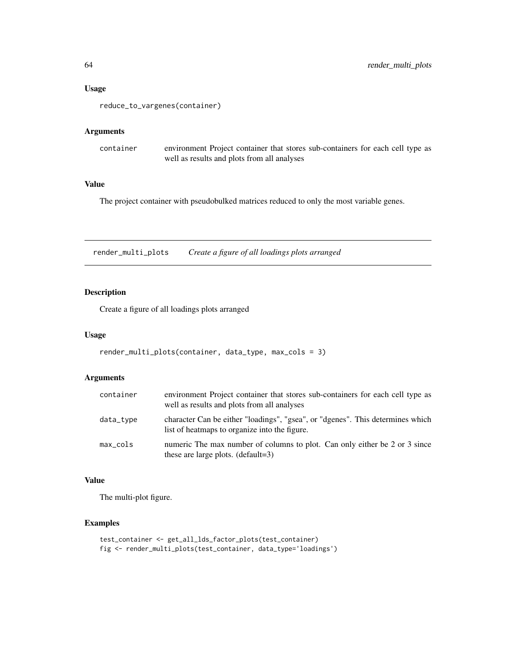#### Usage

reduce\_to\_vargenes(container)

## Arguments

| container | environment Project container that stores sub-containers for each cell type as |
|-----------|--------------------------------------------------------------------------------|
|           | well as results and plots from all analyses                                    |

#### Value

The project container with pseudobulked matrices reduced to only the most variable genes.

render\_multi\_plots *Create a figure of all loadings plots arranged*

# Description

Create a figure of all loadings plots arranged

#### Usage

```
render_multi_plots(container, data_type, max_cols = 3)
```
## Arguments

| container   | environment Project container that stores sub-containers for each cell type as<br>well as results and plots from all analyses   |
|-------------|---------------------------------------------------------------------------------------------------------------------------------|
| data_type   | character Can be either "loadings", "gsea", or "dgenes". This determines which<br>list of heatmaps to organize into the figure. |
| $max\_cols$ | numeric The max number of columns to plot. Can only either be 2 or 3 since<br>these are large plots. (default=3)                |

#### Value

The multi-plot figure.

## Examples

```
test_container <- get_all_lds_factor_plots(test_container)
fig <- render_multi_plots(test_container, data_type='loadings')
```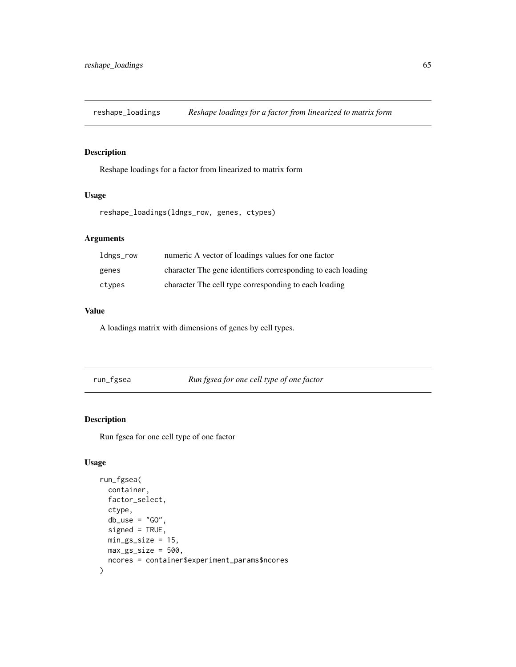reshape\_loadings *Reshape loadings for a factor from linearized to matrix form*

# Description

Reshape loadings for a factor from linearized to matrix form

#### Usage

```
reshape_loadings(ldngs_row, genes, ctypes)
```
## Arguments

| ldngs_row | numeric A vector of loadings values for one factor           |
|-----------|--------------------------------------------------------------|
| genes     | character The gene identifiers corresponding to each loading |
| ctypes    | character The cell type corresponding to each loading        |

## Value

A loadings matrix with dimensions of genes by cell types.

run\_fgsea *Run fgsea for one cell type of one factor*

#### Description

Run fgsea for one cell type of one factor

## Usage

```
run_fgsea(
 container,
  factor_select,
  ctype,
  db_use = "GO",
  signed = TRUE,
 min_g s<sub>size</sub> = 15,
 max_gsize = 500,
 ncores = container$experiment_params$ncores
\mathcal{E}
```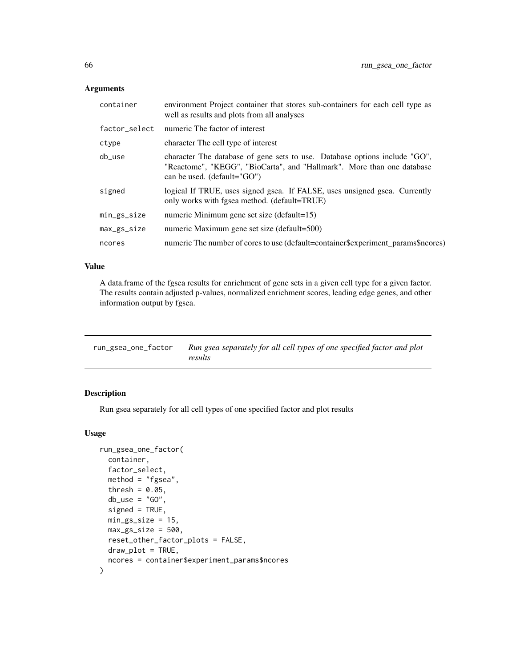#### Arguments

| container     | environment Project container that stores sub-containers for each cell type as<br>well as results and plots from all analyses                                                       |  |  |  |  |  |
|---------------|-------------------------------------------------------------------------------------------------------------------------------------------------------------------------------------|--|--|--|--|--|
| factor_select | numeric The factor of interest                                                                                                                                                      |  |  |  |  |  |
| ctype         | character The cell type of interest                                                                                                                                                 |  |  |  |  |  |
| db_use        | character The database of gene sets to use. Database options include "GO",<br>"Reactome", "KEGG", "BioCarta", and "Hallmark". More than one database<br>can be used. (default="GO") |  |  |  |  |  |
| signed        | logical If TRUE, uses signed gsea. If FALSE, uses unsigned gsea. Currently<br>only works with fgsea method. (default=TRUE)                                                          |  |  |  |  |  |
| min_gs_size   | numeric Minimum gene set size (default=15)                                                                                                                                          |  |  |  |  |  |
| max_gs_size   | numeric Maximum gene set size (default=500)                                                                                                                                         |  |  |  |  |  |
| ncores        | numeric The number of cores to use (default=container\$experiment_params\$ncores)                                                                                                   |  |  |  |  |  |

#### Value

A data.frame of the fgsea results for enrichment of gene sets in a given cell type for a given factor. The results contain adjusted p-values, normalized enrichment scores, leading edge genes, and other information output by fgsea.

| run_gsea_one_factor | Run gsea separately for all cell types of one specified factor and plot |
|---------------------|-------------------------------------------------------------------------|
|                     | results                                                                 |

## Description

Run gsea separately for all cell types of one specified factor and plot results

#### Usage

```
run_gsea_one_factor(
 container,
  factor_select,
  method = "fgsea",
  thresh = 0.05,
  db\_use = "GO",signed = TRUE,
 min_g s<sub>size</sub> = 15,
 max_gs_size = 500,
 reset_other_factor_plots = FALSE,
  draw_plot = TRUE,
  ncores = container$experiment_params$ncores
)
```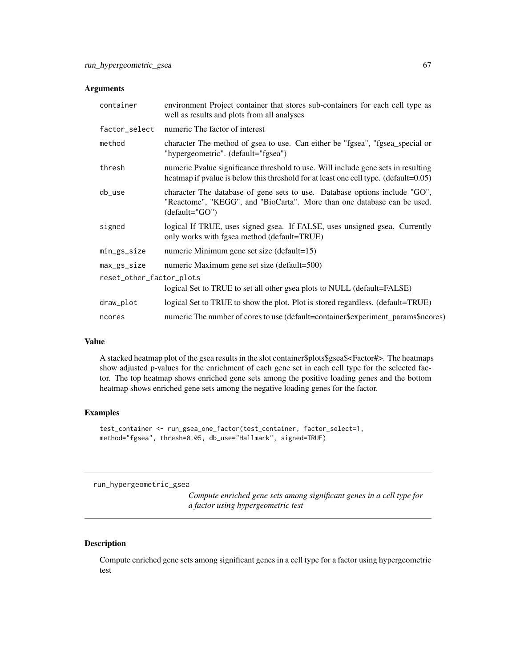#### Arguments

| container                | environment Project container that stores sub-containers for each cell type as<br>well as results and plots from all analyses                                             |  |  |  |
|--------------------------|---------------------------------------------------------------------------------------------------------------------------------------------------------------------------|--|--|--|
| factor_select            | numeric The factor of interest                                                                                                                                            |  |  |  |
| method                   | character The method of gsea to use. Can either be "fgsea", "fgsea_special or<br>"hypergeometric". (default="fgsea")                                                      |  |  |  |
| thresh                   | numeric Pvalue significance threshold to use. Will include gene sets in resulting<br>heatmap if pvalue is below this threshold for at least one cell type. (default=0.05) |  |  |  |
| db_use                   | character The database of gene sets to use. Database options include "GO",<br>"Reactome", "KEGG", and "BioCarta". More than one database can be used.<br>$(detault="GO")$ |  |  |  |
| signed                   | logical If TRUE, uses signed gsea. If FALSE, uses unsigned gsea. Currently<br>only works with fgsea method (default=TRUE)                                                 |  |  |  |
| min_gs_size              | numeric Minimum gene set size (default=15)                                                                                                                                |  |  |  |
| max_gs_size              | numeric Maximum gene set size (default=500)                                                                                                                               |  |  |  |
| reset_other_factor_plots |                                                                                                                                                                           |  |  |  |
|                          | logical Set to TRUE to set all other gsea plots to NULL (default=FALSE)                                                                                                   |  |  |  |
| draw_plot                | logical Set to TRUE to show the plot. Plot is stored regardless. (default=TRUE)                                                                                           |  |  |  |
| ncores                   | numeric The number of cores to use (default=container\$experiment_params\$ncores)                                                                                         |  |  |  |

#### Value

A stacked heatmap plot of the gsea results in the slot container\$plots\$gsea\$<Factor#>. The heatmaps show adjusted p-values for the enrichment of each gene set in each cell type for the selected factor. The top heatmap shows enriched gene sets among the positive loading genes and the bottom heatmap shows enriched gene sets among the negative loading genes for the factor.

#### Examples

test\_container <- run\_gsea\_one\_factor(test\_container, factor\_select=1, method="fgsea", thresh=0.05, db\_use="Hallmark", signed=TRUE)

run\_hypergeometric\_gsea

*Compute enriched gene sets among significant genes in a cell type for a factor using hypergeometric test*

#### Description

Compute enriched gene sets among significant genes in a cell type for a factor using hypergeometric test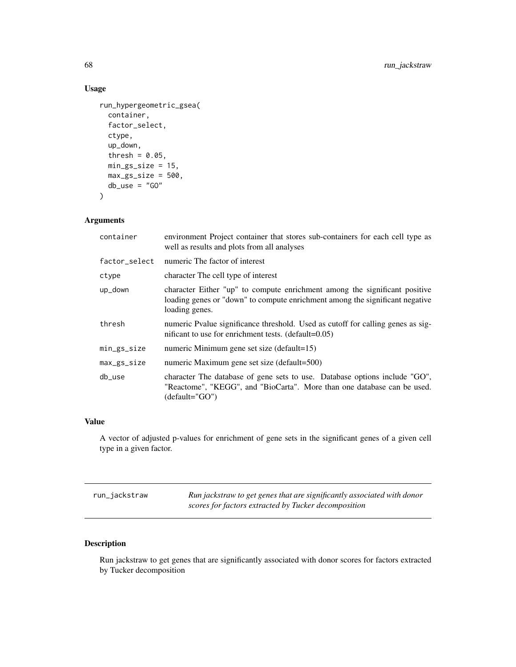# Usage

```
run_hypergeometric_gsea(
 container,
 factor_select,
 ctype,
 up_down,
 thresh = 0.05,
 min_gs_size = 15,
 max_gs_size = 500,
 db\_use = "GO"\mathcal{E}
```
## Arguments

| environment Project container that stores sub-containers for each cell type as<br>well as results and plots from all analyses                                                |  |  |  |  |
|------------------------------------------------------------------------------------------------------------------------------------------------------------------------------|--|--|--|--|
| numeric The factor of interest                                                                                                                                               |  |  |  |  |
| character The cell type of interest                                                                                                                                          |  |  |  |  |
| character Either "up" to compute enrichment among the significant positive<br>loading genes or "down" to compute enrichment among the significant negative<br>loading genes. |  |  |  |  |
| numeric Pvalue significance threshold. Used as cutoff for calling genes as sig-<br>nificant to use for enrichment tests. (default= $0.05$ )                                  |  |  |  |  |
| numeric Minimum gene set size (default=15)                                                                                                                                   |  |  |  |  |
| numeric Maximum gene set size (default=500)                                                                                                                                  |  |  |  |  |
| character The database of gene sets to use. Database options include "GO",<br>"Reactome", "KEGG", and "BioCarta". More than one database can be used.<br>$(detault="GO")$    |  |  |  |  |
|                                                                                                                                                                              |  |  |  |  |

# Value

A vector of adjusted p-values for enrichment of gene sets in the significant genes of a given cell type in a given factor.

| run_jackstraw | Run jackstraw to get genes that are significantly associated with donor |
|---------------|-------------------------------------------------------------------------|
|               | scores for factors extracted by Tucker decomposition                    |

# Description

Run jackstraw to get genes that are significantly associated with donor scores for factors extracted by Tucker decomposition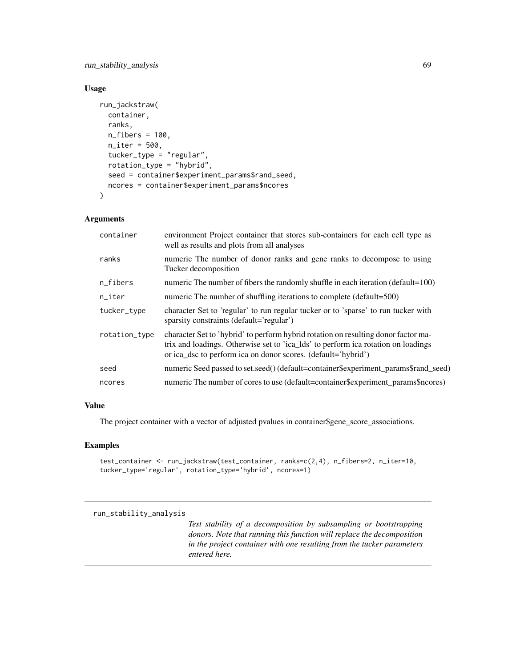run\_stability\_analysis 69

#### Usage

```
run_jackstraw(
  container,
 ranks,
 n_fibers = 100,n_iter = 500,
  tucker_type = "regular",
  rotation_type = "hybrid",
 seed = container$experiment_params$rand_seed,
 ncores = container$experiment_params$ncores
)
```
#### Arguments

| container     | environment Project container that stores sub-containers for each cell type as<br>well as results and plots from all analyses                                                                                                            |
|---------------|------------------------------------------------------------------------------------------------------------------------------------------------------------------------------------------------------------------------------------------|
| ranks         | numeric The number of donor ranks and gene ranks to decompose to using<br>Tucker decomposition                                                                                                                                           |
| n_fibers      | numeric The number of fibers the randomly shuffle in each iteration (default=100)                                                                                                                                                        |
| $n$ _iter     | numeric The number of shuffling iterations to complete (default=500)                                                                                                                                                                     |
| tucker_type   | character Set to 'regular' to run regular tucker or to 'sparse' to run tucker with<br>sparsity constraints (default='regular')                                                                                                           |
| rotation_type | character Set to 'hybrid' to perform hybrid rotation on resulting donor factor ma-<br>trix and loadings. Otherwise set to 'ica_lds' to perform ica rotation on loadings<br>or ica_dsc to perform ica on donor scores. (default='hybrid') |
| seed          | numeric Seed passed to set.seed() (default=container\$experiment_params\$rand_seed)                                                                                                                                                      |
| ncores        | numeric The number of cores to use (default=container\$experiment_params\$ncores)                                                                                                                                                        |

## Value

The project container with a vector of adjusted pvalues in container\$gene\_score\_associations.

#### Examples

```
test_container <- run_jackstraw(test_container, ranks=c(2,4), n_fibers=2, n_iter=10,
tucker_type='regular', rotation_type='hybrid', ncores=1)
```
run\_stability\_analysis

*Test stability of a decomposition by subsampling or bootstrapping donors. Note that running this function will replace the decomposition in the project container with one resulting from the tucker parameters entered here.*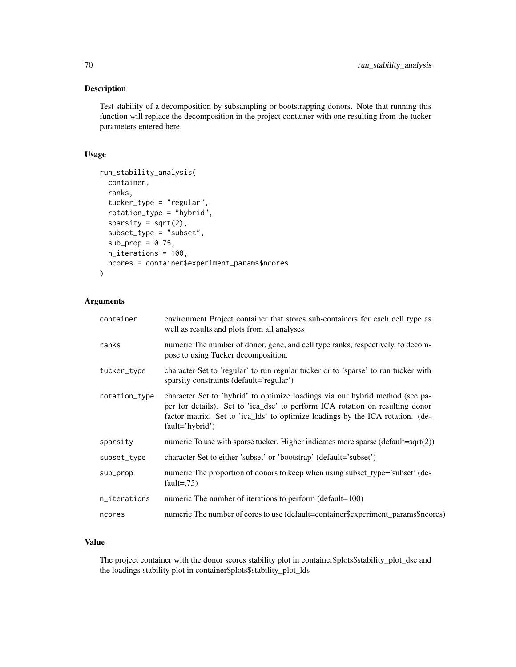#### Description

Test stability of a decomposition by subsampling or bootstrapping donors. Note that running this function will replace the decomposition in the project container with one resulting from the tucker parameters entered here.

## Usage

```
run_stability_analysis(
  container,
  ranks,
  tucker_type = "regular",
  rotation_type = "hybrid",
  sparsity = sqrt(2),
  subset_type = "subset",
  sub\_prop = 0.75,
 n_iterations = 100,
 ncores = container$experiment_params$ncores
)
```
# Arguments

| container     | environment Project container that stores sub-containers for each cell type as<br>well as results and plots from all analyses                                                                                                                                       |  |  |  |
|---------------|---------------------------------------------------------------------------------------------------------------------------------------------------------------------------------------------------------------------------------------------------------------------|--|--|--|
| ranks         | numeric The number of donor, gene, and cell type ranks, respectively, to decom-<br>pose to using Tucker decomposition.                                                                                                                                              |  |  |  |
| tucker_type   | character Set to 'regular' to run regular tucker or to 'sparse' to run tucker with<br>sparsity constraints (default='regular')                                                                                                                                      |  |  |  |
| rotation_type | character Set to 'hybrid' to optimize loadings via our hybrid method (see pa-<br>per for details). Set to 'ica_dsc' to perform ICA rotation on resulting donor<br>factor matrix. Set to 'ica_lds' to optimize loadings by the ICA rotation. (de-<br>fault='hybrid') |  |  |  |
| sparsity      | numeric To use with sparse tucker. Higher indicates more sparse ( $\text{default}=\text{sqrt}(2)$ )                                                                                                                                                                 |  |  |  |
| subset_type   | character Set to either 'subset' or 'bootstrap' (default='subset')                                                                                                                                                                                                  |  |  |  |
| sub_prop      | numeric The proportion of donors to keep when using subset_type='subset' (de-<br>fault= $.75$ )                                                                                                                                                                     |  |  |  |
| n_iterations  | numeric The number of iterations to perform ( $\text{default}=100$ )                                                                                                                                                                                                |  |  |  |
| ncores        | numeric The number of cores to use (default=container\$experiment_params\$ncores)                                                                                                                                                                                   |  |  |  |
|               |                                                                                                                                                                                                                                                                     |  |  |  |

#### Value

The project container with the donor scores stability plot in container\$plots\$stability\_plot\_dsc and the loadings stability plot in container\$plots\$stability\_plot\_lds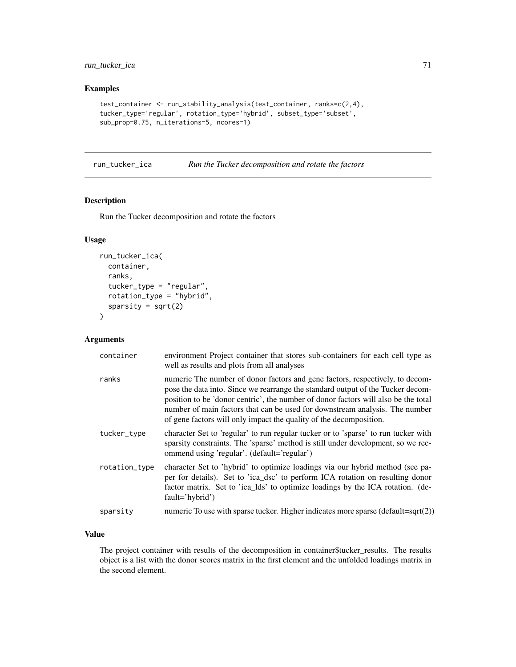## run\_tucker\_ica 71

## Examples

```
test_container <- run_stability_analysis(test_container, ranks=c(2,4),
tucker_type='regular', rotation_type='hybrid', subset_type='subset',
sub_prop=0.75, n_iterations=5, ncores=1)
```
run\_tucker\_ica *Run the Tucker decomposition and rotate the factors*

#### Description

Run the Tucker decomposition and rotate the factors

#### Usage

```
run_tucker_ica(
  container,
  ranks,
  tucker_type = "regular",
  rotation_type = "hybrid",
  sparsity = sqrt(2)\mathcal{E}
```
#### Arguments

| container     | environment Project container that stores sub-containers for each cell type as<br>well as results and plots from all analyses                                                                                                                                                                                                                                                                               |
|---------------|-------------------------------------------------------------------------------------------------------------------------------------------------------------------------------------------------------------------------------------------------------------------------------------------------------------------------------------------------------------------------------------------------------------|
| ranks         | numeric The number of donor factors and gene factors, respectively, to decom-<br>pose the data into. Since we rearrange the standard output of the Tucker decom-<br>position to be 'donor centric', the number of donor factors will also be the total<br>number of main factors that can be used for downstream analysis. The number<br>of gene factors will only impact the quality of the decomposition. |
| tucker_type   | character Set to 'regular' to run regular tucker or to 'sparse' to run tucker with<br>sparsity constraints. The 'sparse' method is still under development, so we rec-<br>ommend using 'regular'. (default='regular')                                                                                                                                                                                       |
| rotation_type | character Set to 'hybrid' to optimize loadings via our hybrid method (see pa-<br>per for details). Set to 'ica_dsc' to perform ICA rotation on resulting donor<br>factor matrix. Set to 'ica_lds' to optimize loadings by the ICA rotation. (de-<br>fault='hybrid')                                                                                                                                         |
| sparsity      | numeric To use with sparse tucker. Higher indicates more sparse (default=sqrt $(2)$ )                                                                                                                                                                                                                                                                                                                       |

#### Value

The project container with results of the decomposition in container\$tucker\_results. The results object is a list with the donor scores matrix in the first element and the unfolded loadings matrix in the second element.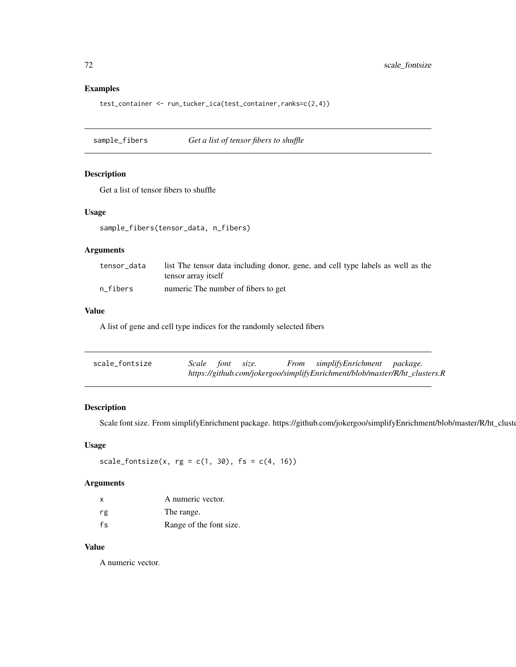72 scale\_fontsize

#### Examples

test\_container <- run\_tucker\_ica(test\_container,ranks=c(2,4))

sample\_fibers *Get a list of tensor fibers to shuffle*

#### Description

Get a list of tensor fibers to shuffle

## Usage

sample\_fibers(tensor\_data, n\_fibers)

## Arguments

| tensor data | list The tensor data including donor, gene, and cell type labels as well as the |
|-------------|---------------------------------------------------------------------------------|
|             | tensor array itself                                                             |
| n fibers    | numeric The number of fibers to get                                             |

# Value

A list of gene and cell type indices for the randomly selected fibers

| scale_fontsize | Scale font size.                                                           |  |  | From | simplifyEnrichment package. |  |
|----------------|----------------------------------------------------------------------------|--|--|------|-----------------------------|--|
|                | https://github.com/jokergoo/simplifyEnrichment/blob/master/R/ht_clusters.R |  |  |      |                             |  |

## Description

Scale font size. From simplifyEnrichment package. https://github.com/jokergoo/simplifyEnrichment/blob/master/R/ht\_clusters.

## Usage

scale\_fontsize(x,  $rg = c(1, 30)$ ,  $fs = c(4, 16)$ )

## Arguments

| x  | A numeric vector.       |
|----|-------------------------|
| rg | The range.              |
| fs | Range of the font size. |

## Value

A numeric vector.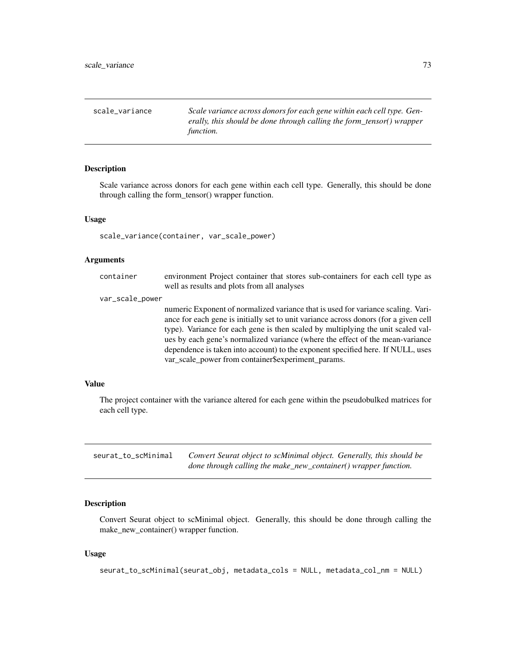<span id="page-72-0"></span>scale\_variance *Scale variance across donors for each gene within each cell type. Generally, this should be done through calling the form\_tensor() wrapper function.*

#### Description

Scale variance across donors for each gene within each cell type. Generally, this should be done through calling the form\_tensor() wrapper function.

#### Usage

scale\_variance(container, var\_scale\_power)

#### Arguments

| container | environment Project container that stores sub-containers for each cell type as |
|-----------|--------------------------------------------------------------------------------|
|           | well as results and plots from all analyses                                    |

var\_scale\_power

numeric Exponent of normalized variance that is used for variance scaling. Variance for each gene is initially set to unit variance across donors (for a given cell type). Variance for each gene is then scaled by multiplying the unit scaled values by each gene's normalized variance (where the effect of the mean-variance dependence is taken into account) to the exponent specified here. If NULL, uses var\_scale\_power from container\$experiment\_params.

#### Value

The project container with the variance altered for each gene within the pseudobulked matrices for each cell type.

| seurat_to_scMinimal | Convert Seurat object to scMinimal object. Generally, this should be |
|---------------------|----------------------------------------------------------------------|
|                     | done through calling the make_new_container() wrapper function.      |

# Description

Convert Seurat object to scMinimal object. Generally, this should be done through calling the make\_new\_container() wrapper function.

#### Usage

```
seurat_to_scMinimal(seurat_obj, metadata_cols = NULL, metadata_col_nm = NULL)
```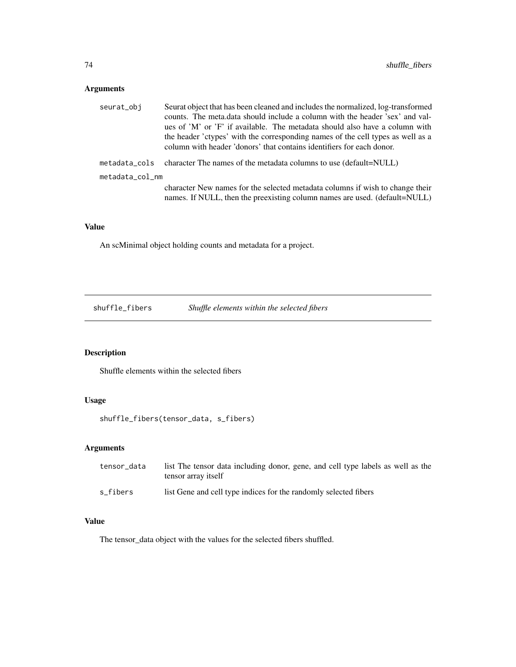# <span id="page-73-0"></span>Arguments

| seurat_obj      | Seurat object that has been cleaned and includes the normalized, log-transformed                                                                            |
|-----------------|-------------------------------------------------------------------------------------------------------------------------------------------------------------|
|                 | counts. The meta.data should include a column with the header 'sex' and val-                                                                                |
|                 | ues of 'M' or 'F' if available. The metadata should also have a column with                                                                                 |
|                 | the header 'ctypes' with the corresponding names of the cell types as well as a<br>column with header 'donors' that contains identifiers for each donor.    |
| metadata cols   | character The names of the metadata columns to use (default=NULL)                                                                                           |
| metadata_col_nm |                                                                                                                                                             |
|                 | character New names for the selected metadata columns if wish to change their<br>names. If NULL, then the preexisting column names are used. (default=NULL) |
|                 |                                                                                                                                                             |

# Value

An scMinimal object holding counts and metadata for a project.

shuffle\_fibers *Shuffle elements within the selected fibers*

# Description

Shuffle elements within the selected fibers

## Usage

```
shuffle_fibers(tensor_data, s_fibers)
```
## Arguments

| tensor data | list The tensor data including donor, gene, and cell type labels as well as the<br>tensor array itself |
|-------------|--------------------------------------------------------------------------------------------------------|
| s_fibers    | list Gene and cell type indices for the randomly selected fibers                                       |

# Value

The tensor\_data object with the values for the selected fibers shuffled.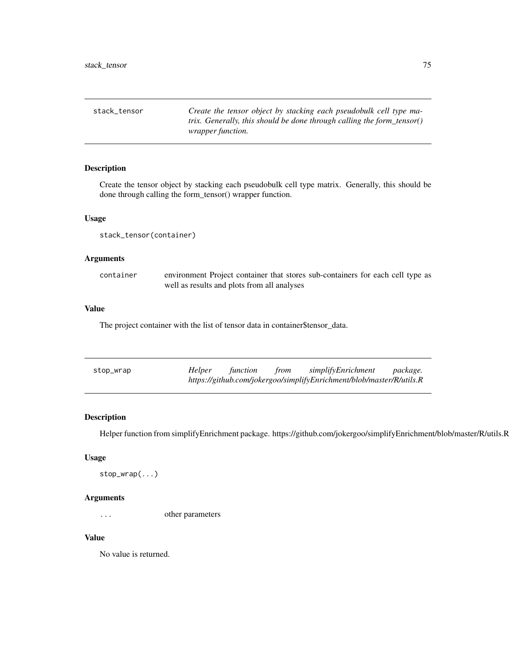<span id="page-74-0"></span>stack\_tensor *Create the tensor object by stacking each pseudobulk cell type matrix. Generally, this should be done through calling the form\_tensor() wrapper function.*

#### Description

Create the tensor object by stacking each pseudobulk cell type matrix. Generally, this should be done through calling the form\_tensor() wrapper function.

#### Usage

stack\_tensor(container)

## Arguments

| container | environment Project container that stores sub-containers for each cell type as |
|-----------|--------------------------------------------------------------------------------|
|           | well as results and plots from all analyses                                    |

## Value

The project container with the list of tensor data in container\$tensor\_data.

| stop_wrap | Helper | function | trom | simplifyEnrichment                                                   | package. |
|-----------|--------|----------|------|----------------------------------------------------------------------|----------|
|           |        |          |      | https://github.com/jokergoo/simplifyEnrichment/blob/master/R/utils.R |          |

#### Description

Helper function from simplifyEnrichment package. https://github.com/jokergoo/simplifyEnrichment/blob/master/R/utils.R

#### Usage

```
stop_wrap(...)
```
#### Arguments

... other parameters

#### Value

No value is returned.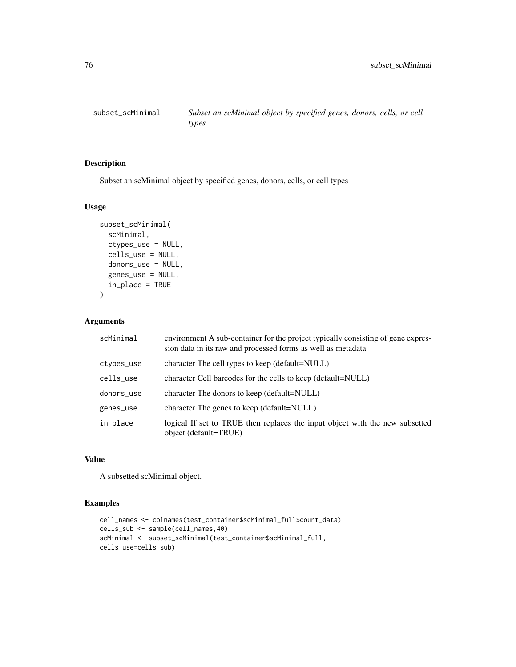<span id="page-75-0"></span>

#### Description

Subset an scMinimal object by specified genes, donors, cells, or cell types

#### Usage

```
subset_scMinimal(
  scMinimal,
  ctypes_use = NULL,
  cells_use = NULL,
  donors_use = NULL,
  genes_use = NULL,
  in_place = TRUE
)
```
## Arguments

| scMinimal  | environment A sub-container for the project typically consisting of gene expres-<br>sion data in its raw and processed forms as well as metadata |
|------------|--------------------------------------------------------------------------------------------------------------------------------------------------|
| ctypes_use | character The cell types to keep (default=NULL)                                                                                                  |
| cells_use  | character Cell barcodes for the cells to keep (default=NULL)                                                                                     |
| donors_use | character The donors to keep (default=NULL)                                                                                                      |
| genes_use  | character The genes to keep (default=NULL)                                                                                                       |
| in_place   | logical If set to TRUE then replaces the input object with the new subsetted<br>object (default=TRUE)                                            |

# Value

A subsetted scMinimal object.

# Examples

```
cell_names <- colnames(test_container$scMinimal_full$count_data)
cells_sub <- sample(cell_names,40)
scMinimal <- subset_scMinimal(test_container$scMinimal_full,
cells_use=cells_sub)
```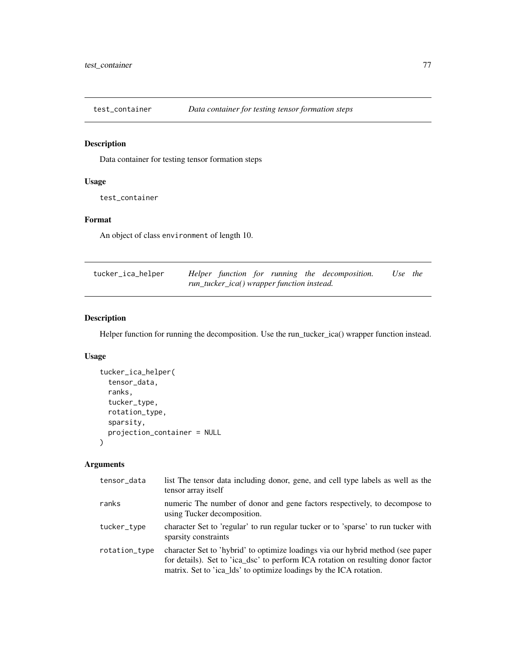<span id="page-76-0"></span>

#### Description

Data container for testing tensor formation steps

## Usage

test\_container

## Format

An object of class environment of length 10.

| tucker_ica_helper |                                            |  | Helper function for running the decomposition. | Use the |
|-------------------|--------------------------------------------|--|------------------------------------------------|---------|
|                   | run_tucker_ica() wrapper function instead. |  |                                                |         |

# Description

Helper function for running the decomposition. Use the run\_tucker\_ica() wrapper function instead.

## Usage

```
tucker_ica_helper(
  tensor_data,
  ranks,
  tucker_type,
  rotation_type,
  sparsity,
 projection_container = NULL
)
```
## Arguments

| tensor_data   | list The tensor data including donor, gene, and cell type labels as well as the<br>tensor array itself                                                                                                                                    |
|---------------|-------------------------------------------------------------------------------------------------------------------------------------------------------------------------------------------------------------------------------------------|
| ranks         | numeric The number of donor and gene factors respectively, to decompose to<br>using Tucker decomposition.                                                                                                                                 |
| tucker_type   | character Set to 'regular' to run regular tucker or to 'sparse' to run tucker with<br>sparsity constraints                                                                                                                                |
| rotation_type | character Set to 'hybrid' to optimize loadings via our hybrid method (see paper<br>for details). Set to 'ica dsc' to perform ICA rotation on resulting donor factor<br>matrix. Set to 'ica_lds' to optimize loadings by the ICA rotation. |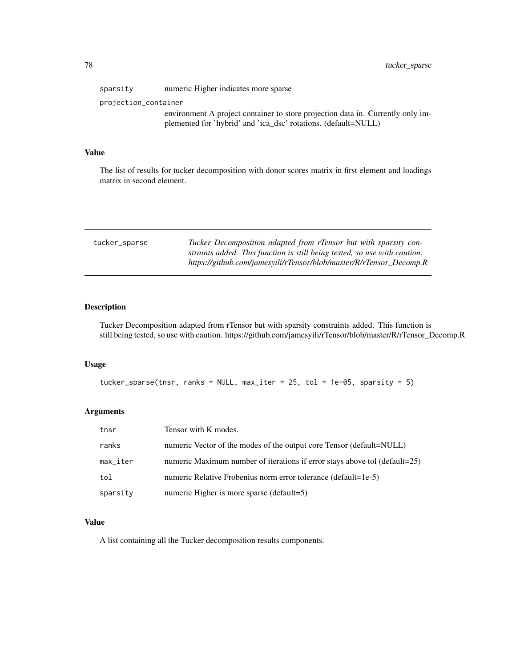<span id="page-77-0"></span>

| sparsity             | numeric Higher indicates more sparse                                                                                                              |
|----------------------|---------------------------------------------------------------------------------------------------------------------------------------------------|
| projection_container |                                                                                                                                                   |
|                      | environment A project container to store projection data in. Currently only im-<br>plemented for 'hybrid' and 'ica_dsc' rotations. (default=NULL) |

# Value

The list of results for tucker decomposition with donor scores matrix in first element and loadings matrix in second element.

| tucker_sparse | Tucker Decomposition adapted from rTensor but with sparsity con-<br>straints added. This function is still being tested, so use with caution. |
|---------------|-----------------------------------------------------------------------------------------------------------------------------------------------|
|               | https://github.com/jamesyili/rTensor/blob/master/R/rTensor Decomp.R                                                                           |

## Description

Tucker Decomposition adapted from rTensor but with sparsity constraints added. This function is still being tested, so use with caution. https://github.com/jamesyili/rTensor/blob/master/R/rTensor\_Decomp.R

#### Usage

tucker\_sparse(tnsr, ranks = NULL, max\_iter = 25, tol = 1e-05, sparsity = 5)

## Arguments

| tnsr                   | Tensor with K modes.                                                       |
|------------------------|----------------------------------------------------------------------------|
| ranks                  | numeric Vector of the modes of the output core Tensor (default=NULL)       |
| $max$ <sub>Liter</sub> | numeric Maximum number of iterations if error stays above tol (default=25) |
| tol                    | numeric Relative Frobenius norm error tolerance (default=1e-5)             |
| sparsity               | numeric Higher is more sparse (default=5)                                  |

#### Value

A list containing all the Tucker decomposition results components.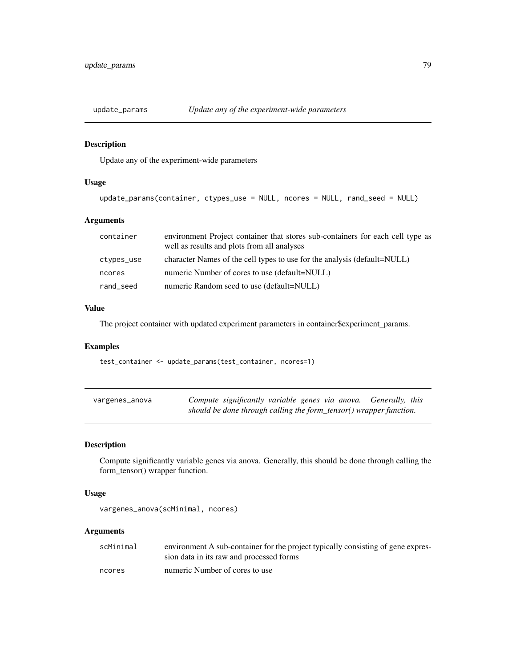<span id="page-78-0"></span>

#### Description

Update any of the experiment-wide parameters

#### Usage

```
update_params(container, ctypes_use = NULL, ncores = NULL, rand_seed = NULL)
```
## Arguments

| container  | environment Project container that stores sub-containers for each cell type as<br>well as results and plots from all analyses |
|------------|-------------------------------------------------------------------------------------------------------------------------------|
| ctypes_use | character Names of the cell types to use for the analysis (default=NULL)                                                      |
| ncores     | numeric Number of cores to use (default=NULL)                                                                                 |
| rand seed  | numeric Random seed to use (default=NULL)                                                                                     |

# Value

The project container with updated experiment parameters in container\$experiment\_params.

#### Examples

test\_container <- update\_params(test\_container, ncores=1)

| vargenes_anova | Compute significantly variable genes via anova. Generally, this    |
|----------------|--------------------------------------------------------------------|
|                | should be done through calling the form_tensor() wrapper function. |

#### Description

Compute significantly variable genes via anova. Generally, this should be done through calling the form\_tensor() wrapper function.

#### Usage

```
vargenes_anova(scMinimal, ncores)
```
#### Arguments

| scMinimal | environment A sub-container for the project typically consisting of gene expres- |
|-----------|----------------------------------------------------------------------------------|
|           | sion data in its raw and processed forms                                         |
| ncores    | numeric Number of cores to use                                                   |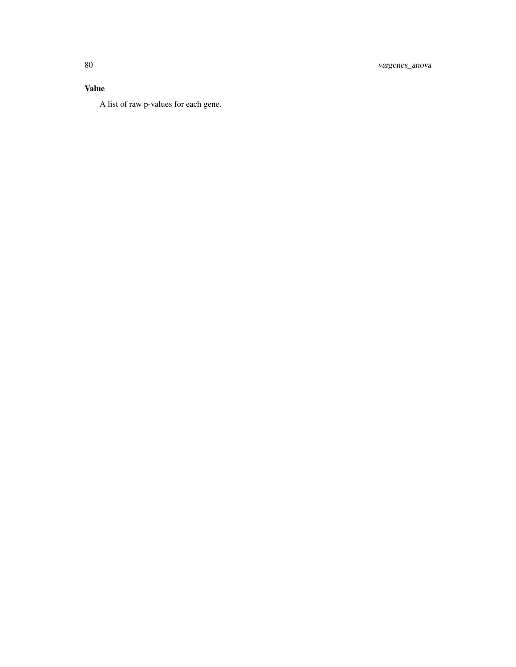80 vargenes\_anova

# Value

A list of raw p-values for each gene.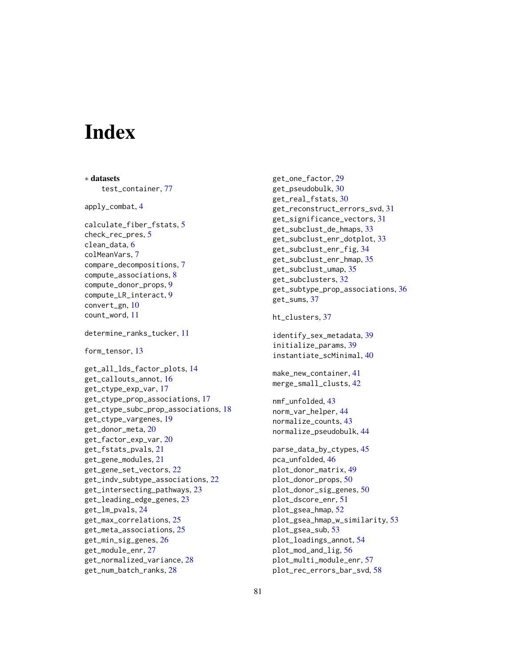# **Index**

∗ datasets test\_container, [77](#page-76-0) apply\_combat, [4](#page-3-0) calculate\_fiber\_fstats, [5](#page-4-0) check\_rec\_pres, [5](#page-4-0) clean\_data, [6](#page-5-0) colMeanVars, [7](#page-6-0) compare\_decompositions, [7](#page-6-0) compute\_associations, [8](#page-7-0) compute\_donor\_props, [9](#page-8-0) compute\_LR\_interact, [9](#page-8-0) convert\_gn, [10](#page-9-0) count\_word, [11](#page-10-0) determine\_ranks\_tucker, [11](#page-10-0) form\_tensor, [13](#page-12-0) get\_all\_lds\_factor\_plots, [14](#page-13-0) get\_callouts\_annot, [16](#page-15-0) get\_ctype\_exp\_var, [17](#page-16-0) get\_ctype\_prop\_associations, [17](#page-16-0) get\_ctype\_subc\_prop\_associations, [18](#page-17-0) get\_ctype\_vargenes, [19](#page-18-0) get\_donor\_meta, [20](#page-19-0) get\_factor\_exp\_var, [20](#page-19-0) get\_fstats\_pvals, [21](#page-20-0) get\_gene\_modules, [21](#page-20-0) get\_gene\_set\_vectors, [22](#page-21-0) get\_indv\_subtype\_associations, [22](#page-21-0) get\_intersecting\_pathways, [23](#page-22-0) get\_leading\_edge\_genes, [23](#page-22-0) get\_lm\_pvals, [24](#page-23-0) get\_max\_correlations, [25](#page-24-0) get\_meta\_associations, [25](#page-24-0) get\_min\_sig\_genes, [26](#page-25-0) get\_module\_enr, [27](#page-26-0) get\_normalized\_variance, [28](#page-27-0) get\_num\_batch\_ranks, [28](#page-27-0)

get\_one\_factor, [29](#page-28-0) get\_pseudobulk, [30](#page-29-0) get\_real\_fstats, [30](#page-29-0) get\_reconstruct\_errors\_svd, [31](#page-30-0) get\_significance\_vectors, [31](#page-30-0) get\_subclust\_de\_hmaps, [33](#page-32-0) get\_subclust\_enr\_dotplot, [33](#page-32-0) get\_subclust\_enr\_fig, [34](#page-33-0) get\_subclust\_enr\_hmap, [35](#page-34-0) get\_subclust\_umap, [35](#page-34-0) get\_subclusters, [32](#page-31-0) get\_subtype\_prop\_associations, [36](#page-35-0) get\_sums, [37](#page-36-0) ht\_clusters, [37](#page-36-0) identify\_sex\_metadata, [39](#page-38-0) initialize\_params, [39](#page-38-0) instantiate\_scMinimal, [40](#page-39-0) make\_new\_container, [41](#page-40-0) merge\_small\_clusts, [42](#page-41-0) nmf\_unfolded, [43](#page-42-0) norm\_var\_helper, [44](#page-43-0) normalize\_counts, [43](#page-42-0) normalize\_pseudobulk, [44](#page-43-0) parse\_data\_by\_ctypes, [45](#page-44-0) pca\_unfolded, [46](#page-45-0) plot\_donor\_matrix, [49](#page-48-0) plot\_donor\_props, [50](#page-49-0) plot\_donor\_sig\_genes, [50](#page-49-0) plot\_dscore\_enr, [51](#page-50-0) plot\_gsea\_hmap, [52](#page-51-0) plot\_gsea\_hmap\_w\_similarity, [53](#page-52-0) plot\_gsea\_sub, [53](#page-52-0) plot\_loadings\_annot, [54](#page-53-0) plot\_mod\_and\_lig, [56](#page-55-0) plot\_multi\_module\_enr, [57](#page-56-0) plot\_rec\_errors\_bar\_svd, [58](#page-57-0)